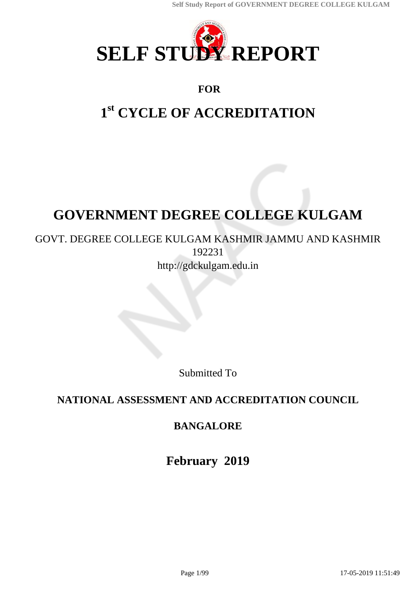

## **FOR**

# **1 st CYCLE OF ACCREDITATION**

# **GOVERNMENT DEGREE COLLEGE KULGAM**

## GOVT. DEGREE COLLEGE KULGAM KASHMIR JAMMU AND KASHMIR 192231 http://gdckulgam.edu.in

Submitted To

## **NATIONAL ASSESSMENT AND ACCREDITATION COUNCIL**

## **BANGALORE**

**February 2019**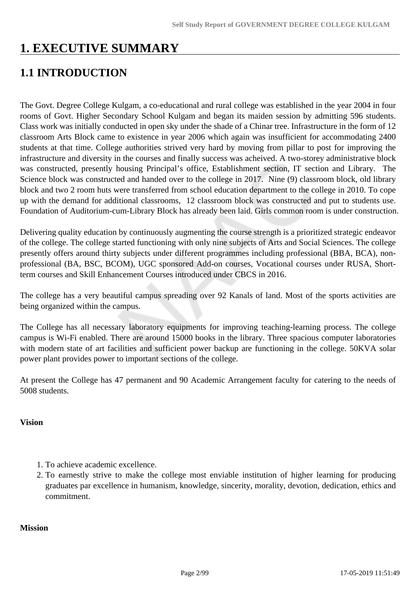## **1. EXECUTIVE SUMMARY**

## **1.1 INTRODUCTION**

The Govt. Degree College Kulgam, a co-educational and rural college was established in the year 2004 in four rooms of Govt. Higher Secondary School Kulgam and began its maiden session by admitting 596 students. Class work was initially conducted in open sky under the shade of a Chinar tree. Infrastructure in the form of 12 classroom Arts Block came to existence in year 2006 which again was insufficient for accommodating 2400 students at that time. College authorities strived very hard by moving from pillar to post for improving the infrastructure and diversity in the courses and finally success was acheived. A two-storey administrative block was constructed, presently housing Principal's office, Establishment section, IT section and Library. The Science block was constructed and handed over to the college in 2017. Nine (9) classroom block, old library block and two 2 room huts were transferred from school education department to the college in 2010. To cope up with the demand for additional classrooms, 12 classroom block was constructed and put to students use. Foundation of Auditorium-cum-Library Block has already been laid. Girls common room is under construction.

Delivering quality education by continuously augmenting the course strength is a prioritized strategic endeavor of the college. The college started functioning with only nine subjects of Arts and Social Sciences. The college presently offers around thirty subjects under different programmes including professional (BBA, BCA), nonprofessional (BA, BSC, BCOM), UGC sponsored Add-on courses, Vocational courses under RUSA, Shortterm courses and Skill Enhancement Courses introduced under CBCS in 2016.

The college has a very beautiful campus spreading over 92 Kanals of land. Most of the sports activities are being organized within the campus.

The College has all necessary laboratory equipments for improving teaching-learning process. The college campus is Wi-Fi enabled. There are around 15000 books in the library. Three spacious computer laboratories with modern state of art facilities and sufficient power backup are functioning in the college. 50KVA solar power plant provides power to important sections of the college.

At present the College has 47 permanent and 90 Academic Arrangement faculty for catering to the needs of 5008 students.

**Vision** 

- 1. To achieve academic excellence.
- 2. To earnestly strive to make the college most enviable institution of higher learning for producing graduates par excellence in humanism, knowledge, sincerity, morality, devotion, dedication, ethics and commitment.

#### **Mission**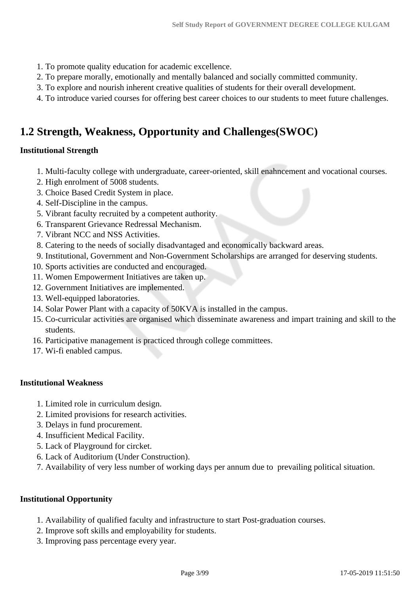- 1. To promote quality education for academic excellence.
- 2. To prepare morally, emotionally and mentally balanced and socially committed community.
- 3. To explore and nourish inherent creative qualities of students for their overall development.
- 4. To introduce varied courses for offering best career choices to our students to meet future challenges.

## **1.2 Strength, Weakness, Opportunity and Challenges(SWOC)**

#### **Institutional Strength**

- 1. Multi-faculty college with undergraduate, career-oriented, skill enahncement and vocational courses.
- 2. High enrolment of 5008 students.
- 3. Choice Based Credit System in place.
- 4. Self-Discipline in the campus.
- 5. Vibrant faculty recruited by a competent authority.
- 6. Transparent Grievance Redressal Mechanism.
- 7. Vibrant NCC and NSS Activities.
- 8. Catering to the needs of socially disadvantaged and economically backward areas.
- 9. Institutional, Government and Non-Government Scholarships are arranged for deserving students.
- 10. Sports activities are conducted and encouraged.
- 11. Women Empowerment Initiatives are taken up.
- 12. Government Initiatives are implemented.
- 13. Well-equipped laboratories.
- 14. Solar Power Plant with a capacity of 50KVA is installed in the campus.
- 15. Co-curricular activities are organised which disseminate awareness and impart training and skill to the students.
- 16. Participative management is practiced through college committees.
- 17. Wi-fi enabled campus.

#### **Institutional Weakness**

- 1. Limited role in curriculum design.
- 2. Limited provisions for research activities.
- 3. Delays in fund procurement.
- 4. Insufficient Medical Facility.
- 5. Lack of Playground for circket.
- 6. Lack of Auditorium (Under Construction).
- 7. Availability of very less number of working days per annum due to prevailing political situation.

#### **Institutional Opportunity**

- 1. Availability of qualified faculty and infrastructure to start Post-graduation courses.
- 2. Improve soft skills and employability for students.
- 3. Improving pass percentage every year.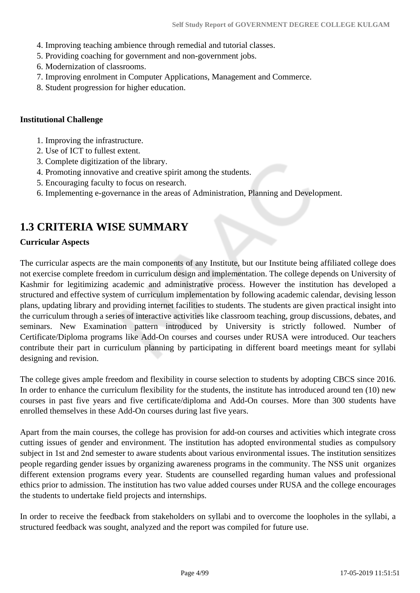- 4. Improving teaching ambience through remedial and tutorial classes.
- 5. Providing coaching for government and non-government jobs.
- 6. Modernization of classrooms.
- 7. Improving enrolment in Computer Applications, Management and Commerce.
- 8. Student progression for higher education.

#### **Institutional Challenge**

- 1. Improving the infrastructure.
- 2. Use of ICT to fullest extent.
- 3. Complete digitization of the library.
- 4. Promoting innovative and creative spirit among the students.
- 5. Encouraging faculty to focus on research.
- 6. Implementing e-governance in the areas of Administration, Planning and Development.

## **1.3 CRITERIA WISE SUMMARY**

#### **Curricular Aspects**

The curricular aspects are the main components of any Institute, but our Institute being affiliated college does not exercise complete freedom in curriculum design and implementation. The college depends on University of Kashmir for legitimizing academic and administrative process. However the institution has developed a structured and effective system of curriculum implementation by following academic calendar, devising lesson plans, updating library and providing internet facilities to students. The students are given practical insight into the curriculum through a series of interactive activities like classroom teaching, group discussions, debates, and seminars. New Examination pattern introduced by University is strictly followed. Number of Certificate/Diploma programs like Add-On courses and courses under RUSA were introduced. Our teachers contribute their part in curriculum planning by participating in different board meetings meant for syllabi designing and revision.

The college gives ample freedom and flexibility in course selection to students by adopting CBCS since 2016. In order to enhance the curriculum flexibility for the students, the institute has introduced around ten (10) new courses in past five years and five certificate/diploma and Add-On courses. More than 300 students have enrolled themselves in these Add-On courses during last five years.

Apart from the main courses, the college has provision for add-on courses and activities which integrate cross cutting issues of gender and environment. The institution has adopted environmental studies as compulsory subject in 1st and 2nd semester to aware students about various environmental issues. The institution sensitizes people regarding gender issues by organizing awareness programs in the community. The NSS unit organizes different extension programs every year. Students are counselled regarding human values and professional ethics prior to admission. The institution has two value added courses under RUSA and the college encourages the students to undertake field projects and internships.

In order to receive the feedback from stakeholders on syllabi and to overcome the loopholes in the syllabi, a structured feedback was sought, analyzed and the report was compiled for future use.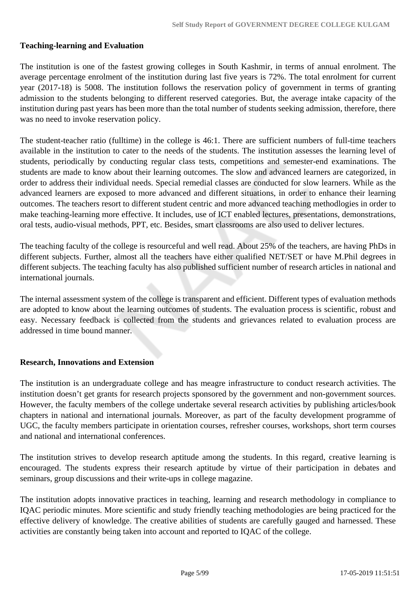#### **Teaching-learning and Evaluation**

The institution is one of the fastest growing colleges in South Kashmir, in terms of annual enrolment. The average percentage enrolment of the institution during last five years is 72%. The total enrolment for current year (2017-18) is 5008. The institution follows the reservation policy of government in terms of granting admission to the students belonging to different reserved categories. But, the average intake capacity of the institution during past years has been more than the total number of students seeking admission, therefore, there was no need to invoke reservation policy.

The student-teacher ratio (fulltime) in the college is 46:1. There are sufficient numbers of full-time teachers available in the institution to cater to the needs of the students. The institution assesses the learning level of students, periodically by conducting regular class tests, competitions and semester-end examinations. The students are made to know about their learning outcomes. The slow and advanced learners are categorized, in order to address their individual needs. Special remedial classes are conducted for slow learners. While as the advanced learners are exposed to more advanced and different situations, in order to enhance their learning outcomes. The teachers resort to different student centric and more advanced teaching methodlogies in order to make teaching-learning more effective. It includes, use of ICT enabled lectures, presentations, demonstrations, oral tests, audio-visual methods, PPT, etc. Besides, smart classrooms are also used to deliver lectures.

The teaching faculty of the college is resourceful and well read. About 25% of the teachers, are having PhDs in different subjects. Further, almost all the teachers have either qualified NET/SET or have M.Phil degrees in different subjects. The teaching faculty has also published sufficient number of research articles in national and international journals.

The internal assessment system of the college is transparent and efficient. Different types of evaluation methods are adopted to know about the learning outcomes of students. The evaluation process is scientific, robust and easy. Necessary feedback is collected from the students and grievances related to evaluation process are addressed in time bound manner.

#### **Research, Innovations and Extension**

The institution is an undergraduate college and has meagre infrastructure to conduct research activities. The institution doesn't get grants for research projects sponsored by the government and non-government sources. However, the faculty members of the college undertake several research activities by publishing articles/book chapters in national and international journals. Moreover, as part of the faculty development programme of UGC, the faculty members participate in orientation courses, refresher courses, workshops, short term courses and national and international conferences.

The institution strives to develop research aptitude among the students. In this regard, creative learning is encouraged. The students express their research aptitude by virtue of their participation in debates and seminars, group discussions and their write-ups in college magazine.

The institution adopts innovative practices in teaching, learning and research methodology in compliance to IQAC periodic minutes. More scientific and study friendly teaching methodologies are being practiced for the effective delivery of knowledge. The creative abilities of students are carefully gauged and harnessed. These activities are constantly being taken into account and reported to IQAC of the college.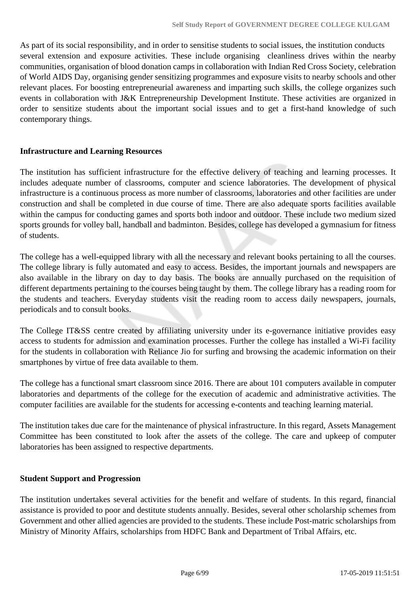As part of its social responsibility, and in order to sensitise students to social issues, the institution conducts several extension and exposure activities. These include organising cleanliness drives within the nearby communities, organisation of blood donation camps in collaboration with Indian Red Cross Society, celebration of World AIDS Day, organising gender sensitizing programmes and exposure visits to nearby schools and other relevant places. For boosting entrepreneurial awareness and imparting such skills, the college organizes such events in collaboration with J&K Entrepreneurship Development Institute. These activities are organized in order to sensitize students about the important social issues and to get a first-hand knowledge of such contemporary things.

#### **Infrastructure and Learning Resources**

The institution has sufficient infrastructure for the effective delivery of teaching and learning processes. It includes adequate number of classrooms, computer and science laboratories. The development of physical infrastructure is a continuous process as more number of classrooms, laboratories and other facilities are under construction and shall be completed in due course of time. There are also adequate sports facilities available within the campus for conducting games and sports both indoor and outdoor. These include two medium sized sports grounds for volley ball, handball and badminton. Besides, college has developed a gymnasium for fitness of students.

The college has a well-equipped library with all the necessary and relevant books pertaining to all the courses. The college library is fully automated and easy to access. Besides, the important journals and newspapers are also available in the library on day to day basis. The books are annually purchased on the requisition of different departments pertaining to the courses being taught by them. The college library has a reading room for the students and teachers. Everyday students visit the reading room to access daily newspapers, journals, periodicals and to consult books.

The College IT&SS centre created by affiliating university under its e-governance initiative provides easy access to students for admission and examination processes. Further the college has installed a Wi-Fi facility for the students in collaboration with Reliance Jio for surfing and browsing the academic information on their smartphones by virtue of free data available to them.

The college has a functional smart classroom since 2016. There are about 101 computers available in computer laboratories and departments of the college for the execution of academic and administrative activities. The computer facilities are available for the students for accessing e-contents and teaching learning material.

The institution takes due care for the maintenance of physical infrastructure. In this regard, Assets Management Committee has been constituted to look after the assets of the college. The care and upkeep of computer laboratories has been assigned to respective departments.

### **Student Support and Progression**

The institution undertakes several activities for the benefit and welfare of students. In this regard, financial assistance is provided to poor and destitute students annually. Besides, several other scholarship schemes from Government and other allied agencies are provided to the students. These include Post-matric scholarships from Ministry of Minority Affairs, scholarships from HDFC Bank and Department of Tribal Affairs, etc.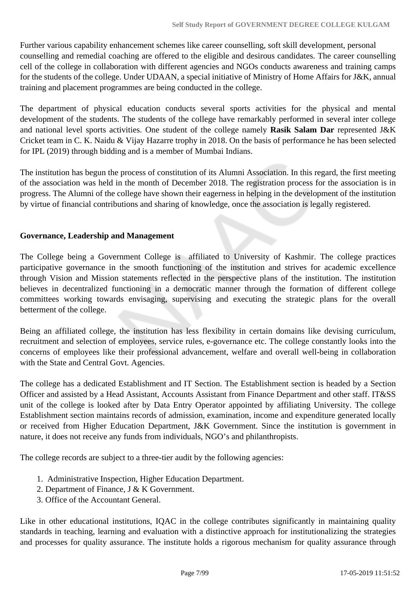Further various capability enhancement schemes like career counselling, soft skill development, personal counselling and remedial coaching are offered to the eligible and desirous candidates. The career counselling cell of the college in collaboration with different agencies and NGOs conducts awareness and training camps for the students of the college. Under UDAAN, a special initiative of Ministry of Home Affairs for J&K, annual training and placement programmes are being conducted in the college.

The department of physical education conducts several sports activities for the physical and mental development of the students. The students of the college have remarkably performed in several inter college and national level sports activities. One student of the college namely **Rasik Salam Dar** represented J&K Cricket team in C. K. Naidu & Vijay Hazarre trophy in 2018. On the basis of performance he has been selected for IPL (2019) through bidding and is a member of Mumbai Indians.

The institution has begun the process of constitution of its Alumni Association. In this regard, the first meeting of the association was held in the month of December 2018. The registration process for the association is in progress. The Alumni of the college have shown their eagerness in helping in the development of the institution by virtue of financial contributions and sharing of knowledge, once the association is legally registered.

#### **Governance, Leadership and Management**

The College being a Government College is affiliated to University of Kashmir. The college practices participative governance in the smooth functioning of the institution and strives for academic excellence through Vision and Mission statements reflected in the perspective plans of the institution. The institution believes in decentralized functioning in a democratic manner through the formation of different college committees working towards envisaging, supervising and executing the strategic plans for the overall betterment of the college.

Being an affiliated college, the institution has less flexibility in certain domains like devising curriculum, recruitment and selection of employees, service rules, e-governance etc. The college constantly looks into the concerns of employees like their professional advancement, welfare and overall well-being in collaboration with the State and Central Govt. Agencies.

The college has a dedicated Establishment and IT Section. The Establishment section is headed by a Section Officer and assisted by a Head Assistant, Accounts Assistant from Finance Department and other staff. IT&SS unit of the college is looked after by Data Entry Operator appointed by affiliating University. The college Establishment section maintains records of admission, examination, income and expenditure generated locally or received from Higher Education Department, J&K Government. Since the institution is government in nature, it does not receive any funds from individuals, NGO's and philanthropists.

The college records are subject to a three-tier audit by the following agencies:

- 1. Administrative Inspection, Higher Education Department.
- 2. Department of Finance, J & K Government.
- 3. Office of the Accountant General.

Like in other educational institutions, IQAC in the college contributes significantly in maintaining quality standards in teaching, learning and evaluation with a distinctive approach for institutionalizing the strategies and processes for quality assurance. The institute holds a rigorous mechanism for quality assurance through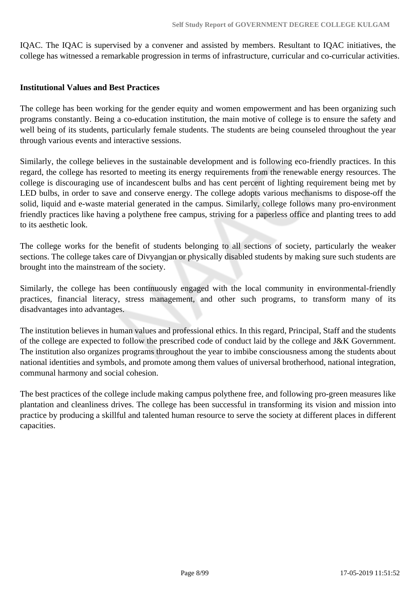IQAC. The IQAC is supervised by a convener and assisted by members. Resultant to IQAC initiatives, the college has witnessed a remarkable progression in terms of infrastructure, curricular and co-curricular activities.

#### **Institutional Values and Best Practices**

The college has been working for the gender equity and women empowerment and has been organizing such programs constantly. Being a co-education institution, the main motive of college is to ensure the safety and well being of its students, particularly female students. The students are being counseled throughout the year through various events and interactive sessions.

Similarly, the college believes in the sustainable development and is following eco-friendly practices. In this regard, the college has resorted to meeting its energy requirements from the renewable energy resources. The college is discouraging use of incandescent bulbs and has cent percent of lighting requirement being met by LED bulbs, in order to save and conserve energy. The college adopts various mechanisms to dispose-off the solid, liquid and e-waste material generated in the campus. Similarly, college follows many pro-environment friendly practices like having a polythene free campus, striving for a paperless office and planting trees to add to its aesthetic look.

The college works for the benefit of students belonging to all sections of society, particularly the weaker sections. The college takes care of Divyangjan or physically disabled students by making sure such students are brought into the mainstream of the society.

Similarly, the college has been continuously engaged with the local community in environmental-friendly practices, financial literacy, stress management, and other such programs, to transform many of its disadvantages into advantages.

The institution believes in human values and professional ethics. In this regard, Principal, Staff and the students of the college are expected to follow the prescribed code of conduct laid by the college and J&K Government. The institution also organizes programs throughout the year to imbibe consciousness among the students about national identities and symbols, and promote among them values of universal brotherhood, national integration, communal harmony and social cohesion.

The best practices of the college include making campus polythene free, and following pro-green measures like plantation and cleanliness drives. The college has been successful in transforming its vision and mission into practice by producing a skillful and talented human resource to serve the society at different places in different capacities.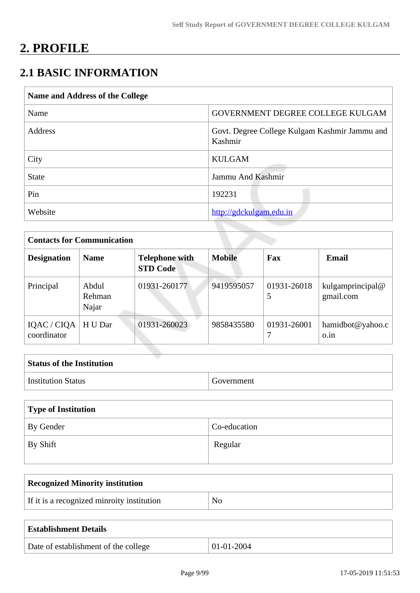# **2. PROFILE**

## **2.1 BASIC INFORMATION**

| Name and Address of the College |                                                          |
|---------------------------------|----------------------------------------------------------|
| Name                            | GOVERNMENT DEGREE COLLEGE KULGAM                         |
| Address                         | Govt. Degree College Kulgam Kashmir Jammu and<br>Kashmir |
| City                            | <b>KULGAM</b>                                            |
| <b>State</b>                    | Jammu And Kashmir                                        |
| Pin                             | 192231                                                   |
| Website                         | http://gdckulgam.edu.in                                  |

| <b>Contacts for Communication</b> |                          |                                          |               |                  |                                       |
|-----------------------------------|--------------------------|------------------------------------------|---------------|------------------|---------------------------------------|
| <b>Designation</b>                | <b>Name</b>              | <b>Telephone with</b><br><b>STD Code</b> | <b>Mobile</b> | Fax              | Email                                 |
| Principal                         | Abdul<br>Rehman<br>Najar | 01931-260177                             | 9419595057    | 01931-26018<br>5 | kulgamprincipal@<br>gmail.com         |
| IQAC / CIQA<br>coordinator        | H U Dar                  | 01931-260023                             | 9858435580    | 01931-26001      | hamidbot@yahoo.c<br>$0.\overline{1}n$ |

| <b>Status of the Institution</b> |            |
|----------------------------------|------------|
| <b>Institution Status</b>        | Government |

| Type of Institution |              |
|---------------------|--------------|
| By Gender           | Co-education |
| By Shift            | Regular      |

| <b>Recognized Minority institution</b>     |    |  |
|--------------------------------------------|----|--|
| If it is a recognized minroity institution | No |  |
|                                            |    |  |

| <b>Establishment Details</b>         |                  |
|--------------------------------------|------------------|
| Date of establishment of the college | $01 - 01 - 2004$ |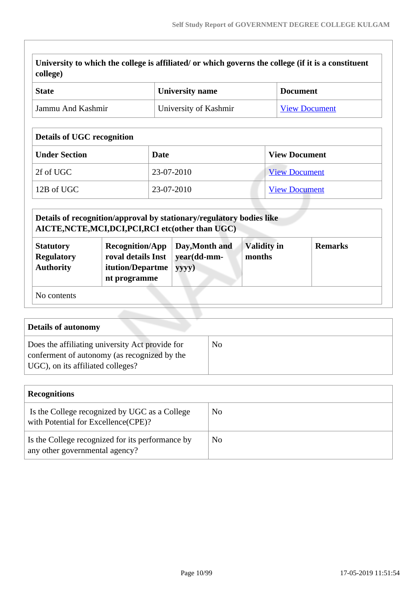| University to which the college is affiliated/ or which governs the college (if it is a constituent |
|-----------------------------------------------------------------------------------------------------|
| $\vert$ college)                                                                                    |

| <b>State</b>      | University name       | <b>Document</b>      |
|-------------------|-----------------------|----------------------|
| Jammu And Kashmir | University of Kashmir | <b>View Document</b> |

## **Details of UGC recognition**

| <b>Under Section</b> | Date       | <b>View Document</b> |
|----------------------|------------|----------------------|
| 2f of UGC            | 23-07-2010 | <b>View Document</b> |
| 12B of UGC           | 23-07-2010 | <b>View Document</b> |

|                                                           | Details of recognition/approval by stationary/regulatory bodies like<br>AICTE, NCTE, MCI, DCI, PCI, RCI etc(other than UGC) |                                        |                              |                |
|-----------------------------------------------------------|-----------------------------------------------------------------------------------------------------------------------------|----------------------------------------|------------------------------|----------------|
| <b>Statutory</b><br><b>Regulatory</b><br><b>Authority</b> | <b>Recognition/App</b><br>roval details Inst<br>itution/Departme<br>nt programme                                            | Day, Month and<br>year(dd-mm-<br>yyyy) | <b>Validity in</b><br>months | <b>Remarks</b> |
| No contents                                               |                                                                                                                             |                                        |                              |                |

| <b>Details of autonomy</b>                                                                                                           |    |
|--------------------------------------------------------------------------------------------------------------------------------------|----|
| Does the affiliating university Act provide for<br>conferment of autonomy (as recognized by the<br>UGC), on its affiliated colleges? | No |

| <b>Recognitions</b>                                                                  |    |
|--------------------------------------------------------------------------------------|----|
| Is the College recognized by UGC as a College<br>with Potential for Excellence(CPE)? | No |
| Is the College recognized for its performance by<br>any other governmental agency?   | No |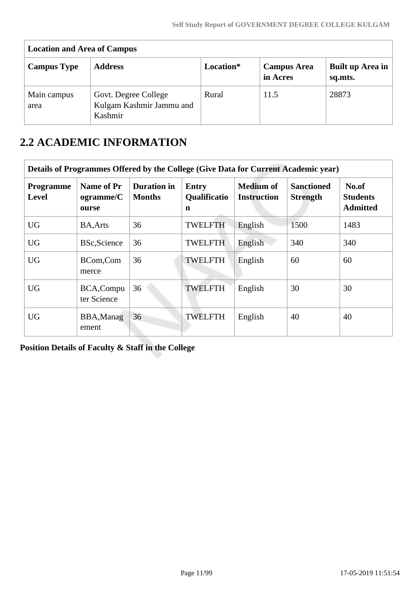| <b>Location and Area of Campus</b> |                                                             |           |                                |                             |  |  |  |  |
|------------------------------------|-------------------------------------------------------------|-----------|--------------------------------|-----------------------------|--|--|--|--|
| <b>Campus Type</b>                 | <b>Address</b>                                              | Location* | <b>Campus Area</b><br>in Acres | Built up Area in<br>sq.mts. |  |  |  |  |
| Main campus<br>area                | Govt. Degree College<br>Kulgam Kashmir Jammu and<br>Kashmir | Rural     | 11.5                           | 28873                       |  |  |  |  |

## **2.2 ACADEMIC INFORMATION**

| Details of Programmes Offered by the College (Give Data for Current Academic year) |                                  |                                     |                                   |                                        |                                      |                                             |  |
|------------------------------------------------------------------------------------|----------------------------------|-------------------------------------|-----------------------------------|----------------------------------------|--------------------------------------|---------------------------------------------|--|
| <b>Programme</b><br><b>Level</b>                                                   | Name of Pr<br>ogramme/C<br>ourse | <b>Duration</b> in<br><b>Months</b> | <b>Entry</b><br>Qualificatio<br>n | <b>Medium of</b><br><b>Instruction</b> | <b>Sanctioned</b><br><b>Strength</b> | No.of<br><b>Students</b><br><b>Admitted</b> |  |
| <b>UG</b>                                                                          | <b>BA, Arts</b>                  | 36                                  | <b>TWELFTH</b>                    | English                                | 1500                                 | 1483                                        |  |
| <b>UG</b>                                                                          | <b>BSc, Science</b>              | 36                                  | <b>TWELFTH</b>                    | English                                | 340                                  | 340                                         |  |
| <b>UG</b>                                                                          | BCom,Com<br>merce                | 36                                  | <b>TWELFTH</b>                    | English                                | 60                                   | 60                                          |  |
| <b>UG</b>                                                                          | BCA, Compu<br>ter Science        | 36                                  | <b>TWELFTH</b>                    | English                                | 30                                   | 30                                          |  |
| <b>UG</b>                                                                          | BBA, Manag<br>ement              | 36                                  | <b>TWELFTH</b>                    | English                                | 40                                   | 40                                          |  |

**Position Details of Faculty & Staff in the College**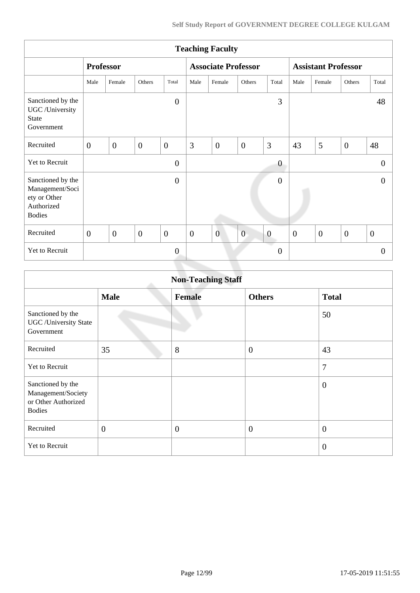|                                                                                     | <b>Teaching Faculty</b> |                  |                |                  |                |                            |                |                  |                            |                |                |                |
|-------------------------------------------------------------------------------------|-------------------------|------------------|----------------|------------------|----------------|----------------------------|----------------|------------------|----------------------------|----------------|----------------|----------------|
|                                                                                     |                         | <b>Professor</b> |                |                  |                | <b>Associate Professor</b> |                |                  | <b>Assistant Professor</b> |                |                |                |
|                                                                                     | Male                    | Female           | Others         | Total            | Male           | Female                     | Others         | Total            | Male                       | Female         | Others         | Total          |
| Sanctioned by the<br>UGC /University<br>State<br>Government                         |                         |                  |                | $\boldsymbol{0}$ |                |                            |                | 3                |                            |                |                | 48             |
| Recruited                                                                           | $\mathbf{0}$            | $\overline{0}$   | $\overline{0}$ | $\overline{0}$   | 3              | $\overline{0}$             | $\overline{0}$ | 3                | 43                         | 5              | $\overline{0}$ | 48             |
| Yet to Recruit                                                                      |                         |                  |                | $\overline{0}$   |                |                            |                | $\boldsymbol{0}$ |                            |                |                | $\overline{0}$ |
| Sanctioned by the<br>Management/Soci<br>ety or Other<br>Authorized<br><b>Bodies</b> |                         |                  |                | $\boldsymbol{0}$ |                |                            |                | $\boldsymbol{0}$ |                            |                |                | $\theta$       |
| Recruited                                                                           | $\overline{0}$          | $\overline{0}$   | $\overline{0}$ | $\overline{0}$   | $\overline{0}$ | $\overline{0}$             | $\overline{0}$ | $\boldsymbol{0}$ | $\overline{0}$             | $\overline{0}$ | $\overline{0}$ | $\overline{0}$ |
| Yet to Recruit                                                                      |                         |                  |                | $\boldsymbol{0}$ |                |                            |                | $\mathbf{0}$     |                            |                |                | $\overline{0}$ |
|                                                                                     |                         |                  |                |                  |                |                            |                |                  |                            |                |                |                |

|                                                                                 | <b>Non-Teaching Staff</b> |                |                  |                |  |  |  |  |  |
|---------------------------------------------------------------------------------|---------------------------|----------------|------------------|----------------|--|--|--|--|--|
|                                                                                 | <b>Male</b>               | <b>Female</b>  | <b>Others</b>    | <b>Total</b>   |  |  |  |  |  |
| Sanctioned by the<br><b>UGC</b> / University State<br>Government                |                           |                |                  | 50             |  |  |  |  |  |
| Recruited                                                                       | 35                        | 8              | $\overline{0}$   | 43             |  |  |  |  |  |
| Yet to Recruit                                                                  |                           |                |                  | 7              |  |  |  |  |  |
| Sanctioned by the<br>Management/Society<br>or Other Authorized<br><b>Bodies</b> |                           |                |                  | $\overline{0}$ |  |  |  |  |  |
| Recruited                                                                       | $\overline{0}$            | $\overline{0}$ | $\boldsymbol{0}$ | $\theta$       |  |  |  |  |  |
| Yet to Recruit                                                                  |                           |                |                  | $\theta$       |  |  |  |  |  |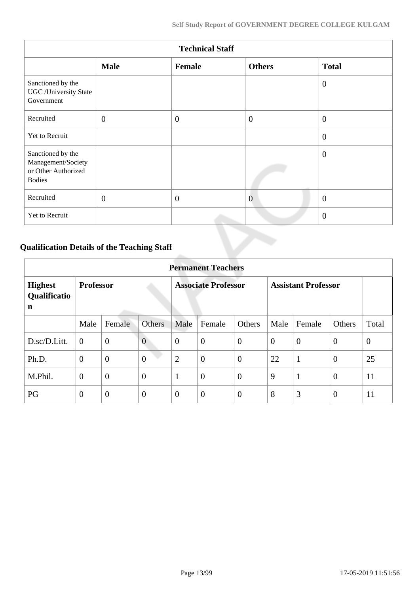| <b>Technical Staff</b>                                                          |              |              |                |                  |  |  |  |
|---------------------------------------------------------------------------------|--------------|--------------|----------------|------------------|--|--|--|
|                                                                                 | <b>Male</b>  | Female       | <b>Others</b>  | <b>Total</b>     |  |  |  |
| Sanctioned by the<br><b>UGC</b> /University State<br>Government                 |              |              |                | $\overline{0}$   |  |  |  |
| Recruited                                                                       | $\mathbf{0}$ | $\mathbf{0}$ | $\overline{0}$ | $\boldsymbol{0}$ |  |  |  |
| Yet to Recruit                                                                  |              |              |                | $\overline{0}$   |  |  |  |
| Sanctioned by the<br>Management/Society<br>or Other Authorized<br><b>Bodies</b> |              |              |                | $\mathbf{0}$     |  |  |  |
| Recruited                                                                       | $\mathbf{0}$ | $\mathbf{0}$ | $\overline{0}$ | $\overline{0}$   |  |  |  |
| Yet to Recruit                                                                  |              |              |                | $\overline{0}$   |  |  |  |

## **Qualification Details of the Teaching Staff**

|                                     | <b>Permanent Teachers</b> |                |                |                            |                |                  |                            |              |                |                |
|-------------------------------------|---------------------------|----------------|----------------|----------------------------|----------------|------------------|----------------------------|--------------|----------------|----------------|
| <b>Highest</b><br>Qualificatio<br>n | <b>Professor</b>          |                |                | <b>Associate Professor</b> |                |                  | <b>Assistant Professor</b> |              |                |                |
|                                     | Male                      | Female         | <b>Others</b>  | Male                       | Female         | Others           | Male                       | Female       | Others         | Total          |
| D.sc/D.Litt.                        | $\overline{0}$            | $\overline{0}$ | $\overline{0}$ | $\theta$                   | $\overline{0}$ | $\overline{0}$   | $\overline{0}$             | $\theta$     | $\overline{0}$ | $\overline{0}$ |
| Ph.D.                               | $\overline{0}$            | $\mathbf{0}$   | $\overline{0}$ | $\overline{2}$             | $\mathbf{0}$   | $\boldsymbol{0}$ | 22                         | $\mathbf{1}$ | $\overline{0}$ | 25             |
| M.Phil.                             | $\overline{0}$            | $\overline{0}$ | $\overline{0}$ | $\mathbf{1}$               | $\overline{0}$ | $\overline{0}$   | 9                          | $\mathbf{1}$ | $\overline{0}$ | 11             |
| PG                                  | $\theta$                  | $\overline{0}$ | $\overline{0}$ | $\overline{0}$             | $\overline{0}$ | $\overline{0}$   | 8                          | 3            | $\overline{0}$ | 11             |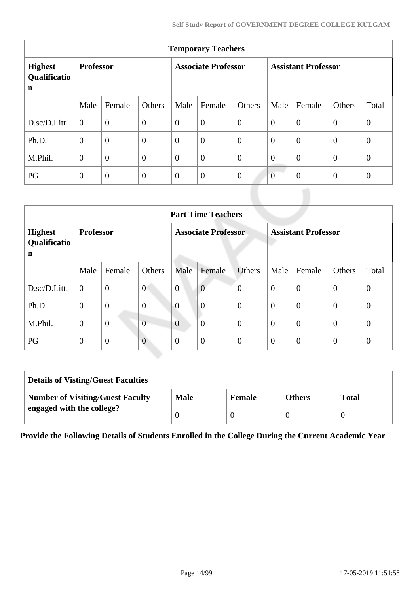|                                               | <b>Temporary Teachers</b> |                |                            |                |                  |                            |                |                |                |                |
|-----------------------------------------------|---------------------------|----------------|----------------------------|----------------|------------------|----------------------------|----------------|----------------|----------------|----------------|
| <b>Highest</b><br>Qualificatio<br>$\mathbf n$ | <b>Professor</b>          |                | <b>Associate Professor</b> |                |                  | <b>Assistant Professor</b> |                |                |                |                |
|                                               | Male                      | Female         | Others                     | Male           | Female           | Others                     | Male           | Female         | Others         | Total          |
| D.sc/D.Litt.                                  | $\overline{0}$            | $\overline{0}$ | $\boldsymbol{0}$           | $\overline{0}$ | $\boldsymbol{0}$ | $\overline{0}$             | $\theta$       | $\overline{0}$ | $\mathbf{0}$   | $\mathbf{0}$   |
| Ph.D.                                         | $\theta$                  | $\overline{0}$ | $\mathbf{0}$               | $\overline{0}$ | $\boldsymbol{0}$ | $\overline{0}$             | $\theta$       | $\overline{0}$ | $\overline{0}$ | $\mathbf{0}$   |
| M.Phil.                                       | $\overline{0}$            | $\overline{0}$ | $\overline{0}$             | $\overline{0}$ | $\overline{0}$   | $\overline{0}$             | $\overline{0}$ | $\overline{0}$ | $\overline{0}$ | $\overline{0}$ |
| PG                                            | $\overline{0}$            | $\overline{0}$ | $\mathbf{0}$               | $\overline{0}$ | $\boldsymbol{0}$ | $\overline{0}$             | $\overline{0}$ | $\theta$       | $\overline{0}$ | $\mathbf{0}$   |
|                                               |                           |                |                            |                |                  |                            |                |                |                |                |

| <b>Part Time Teachers</b>           |                  |                |                            |                |                |                            |                |                |                |                |
|-------------------------------------|------------------|----------------|----------------------------|----------------|----------------|----------------------------|----------------|----------------|----------------|----------------|
| <b>Highest</b><br>Qualificatio<br>n | <b>Professor</b> |                | <b>Associate Professor</b> |                |                | <b>Assistant Professor</b> |                |                |                |                |
|                                     | Male             | Female         | Others                     | Male           | Female         | <b>Others</b>              | Male           | Female         | Others         | Total          |
| D.sc/D.Litt.                        | $\boldsymbol{0}$ | $\mathbf{0}$   | $\overline{0}$             | $\overline{0}$ | $\overline{0}$ | $\overline{0}$             | $\theta$       | $\overline{0}$ | $\theta$       | $\overline{0}$ |
| Ph.D.                               | $\overline{0}$   | $\overline{0}$ | $\overline{0}$             | $\overline{0}$ | $\overline{0}$ | $\overline{0}$             | $\theta$       | $\overline{0}$ | $\overline{0}$ | $\theta$       |
| M.Phil.                             | $\theta$         | $\overline{0}$ | $\overline{0}$             | $\overline{0}$ | $\overline{0}$ | $\overline{0}$             | $\overline{0}$ | $\overline{0}$ | $\overline{0}$ | $\theta$       |
| PG                                  | $\theta$         | $\overline{0}$ | $\overline{0}$             | $\theta$       | $\overline{0}$ | $\overline{0}$             | $\overline{0}$ | $\overline{0}$ | $\theta$       | $\theta$       |

| <b>Details of Visting/Guest Faculties</b> |             |               |               |              |  |
|-------------------------------------------|-------------|---------------|---------------|--------------|--|
| <b>Number of Visiting/Guest Faculty</b>   | <b>Male</b> | <b>Female</b> | <b>Others</b> | <b>Total</b> |  |
| engaged with the college?                 |             |               |               |              |  |

**Provide the Following Details of Students Enrolled in the College During the Current Academic Year**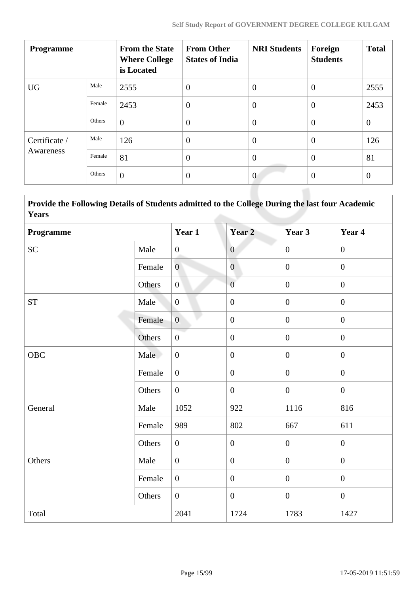| <b>Programme</b> |        | <b>From the State</b><br><b>Where College</b><br>is Located | <b>From Other</b><br><b>States of India</b> | <b>NRI Students</b> | Foreign<br><b>Students</b> | <b>Total</b>   |
|------------------|--------|-------------------------------------------------------------|---------------------------------------------|---------------------|----------------------------|----------------|
| <b>UG</b>        | Male   | 2555                                                        | $\theta$                                    | $\theta$            | $\theta$                   | 2555           |
|                  | Female | 2453                                                        | $\overline{0}$                              | $\theta$            | $\overline{0}$             | 2453           |
|                  | Others | $\overline{0}$                                              | $\overline{0}$                              | $\theta$            | $\overline{0}$             | $\overline{0}$ |
| Certificate /    | Male   | 126                                                         | $\overline{0}$                              | $\overline{0}$      | $\overline{0}$             | 126            |
| Awareness        | Female | 81                                                          | $\overline{0}$                              | $\theta$            | $\theta$                   | 81             |
|                  | Others | $\overline{0}$                                              | $\Omega$                                    | $\overline{0}$      | $\theta$                   | $\overline{0}$ |

 **Provide the Following Details of Students admitted to the College During the last four Academic Years**

| Programme          |        | Year 1           | Year 2           | Year 3           | Year 4           |
|--------------------|--------|------------------|------------------|------------------|------------------|
| <b>SC</b>          | Male   | $\boldsymbol{0}$ | $\overline{0}$   | $\boldsymbol{0}$ | $\overline{0}$   |
|                    | Female | $\overline{0}$   | $\boldsymbol{0}$ | $\overline{0}$   | $\mathbf{0}$     |
|                    | Others | $\overline{0}$   | $\boldsymbol{0}$ | $\boldsymbol{0}$ | $\boldsymbol{0}$ |
| ${\cal S}{\cal T}$ | Male   | $\overline{0}$   | $\boldsymbol{0}$ | $\overline{0}$   | $\boldsymbol{0}$ |
|                    | Female | $\overline{0}$   | $\boldsymbol{0}$ | $\boldsymbol{0}$ | $\overline{0}$   |
|                    | Others | $\overline{0}$   | $\boldsymbol{0}$ | $\overline{0}$   | $\overline{0}$   |
| <b>OBC</b>         | Male   | $\boldsymbol{0}$ | $\boldsymbol{0}$ | $\overline{0}$   | $\overline{0}$   |
|                    | Female | $\boldsymbol{0}$ | $\boldsymbol{0}$ | $\overline{0}$   | $\overline{0}$   |
|                    | Others | $\overline{0}$   | $\boldsymbol{0}$ | $\boldsymbol{0}$ | $\boldsymbol{0}$ |
| General            | Male   | 1052             | 922              | 1116             | 816              |
|                    | Female | 989              | 802              | 667              | 611              |
|                    | Others | $\overline{0}$   | $\boldsymbol{0}$ | $\overline{0}$   | $\mathbf{0}$     |
| Others             | Male   | $\boldsymbol{0}$ | $\boldsymbol{0}$ | $\boldsymbol{0}$ | $\boldsymbol{0}$ |
|                    | Female | $\overline{0}$   | $\boldsymbol{0}$ | $\overline{0}$   | $\overline{0}$   |
|                    | Others | $\overline{0}$   | $\boldsymbol{0}$ | $\mathbf{0}$     | $\boldsymbol{0}$ |
| Total              |        | 2041             | 1724             | 1783             | 1427             |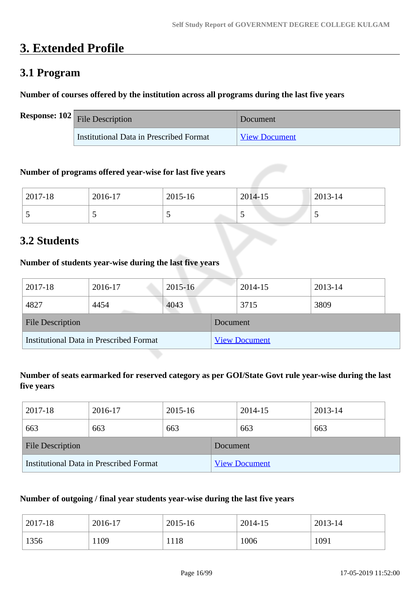## **3. Extended Profile**

## **3.1 Program**

### **Number of courses offered by the institution across all programs during the last five years**

| <b>Response:</b> $102$ File Description | Document             |
|-----------------------------------------|----------------------|
| Institutional Data in Prescribed Format | <b>View Document</b> |

### **Number of programs offered year-wise for last five years**

| 2017-18 | 2016-17 | 2015-16 | 2014-15 | 2013-14 |
|---------|---------|---------|---------|---------|
| ັ       |         |         | ັ       | -       |

## **3.2 Students**

### **Number of students year-wise during the last five years**

| 2017-18                 | 2016-17                                 | $2015 - 16$ |          | 2014-15              | 2013-14 |  |
|-------------------------|-----------------------------------------|-------------|----------|----------------------|---------|--|
| 4827                    | 4454                                    | 4043        |          | 3715                 | 3809    |  |
| <b>File Description</b> |                                         |             | Document |                      |         |  |
|                         | Institutional Data in Prescribed Format |             |          | <b>View Document</b> |         |  |

## **Number of seats earmarked for reserved category as per GOI/State Govt rule year-wise during the last five years**

| 2017-18                 | 2016-17                                 | 2015-16 |          | 2014-15              | 2013-14 |  |
|-------------------------|-----------------------------------------|---------|----------|----------------------|---------|--|
| 663                     | 663                                     | 663     |          | 663                  | 663     |  |
| <b>File Description</b> |                                         |         | Document |                      |         |  |
|                         | Institutional Data in Prescribed Format |         |          | <b>View Document</b> |         |  |

### **Number of outgoing / final year students year-wise during the last five years**

| 2017-18 | 2016-17 | 2015-16 | 2014-15 | 2013-14 |
|---------|---------|---------|---------|---------|
| 1356    | 109     | 1118    | 1006    | 1091    |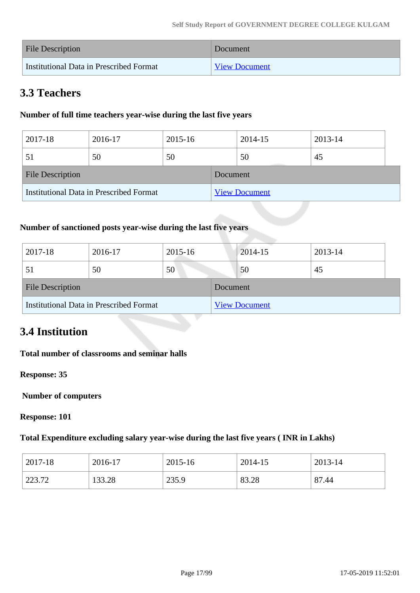| <b>File Description</b>                 | Document             |
|-----------------------------------------|----------------------|
| Institutional Data in Prescribed Format | <b>View Document</b> |

## **3.3 Teachers**

## **Number of full time teachers year-wise during the last five years**

| 2017-18                 | 2016-17                                 | 2015-16 |          | 2014-15              | 2013-14 |  |
|-------------------------|-----------------------------------------|---------|----------|----------------------|---------|--|
|                         | 50                                      | 50      |          | 50                   | 45      |  |
| <b>File Description</b> |                                         |         | Document |                      |         |  |
|                         | Institutional Data in Prescribed Format |         |          | <b>View Document</b> |         |  |

## **Number of sanctioned posts year-wise during the last five years**

| 2017-18                 | 2016-17                                        | 2015-16 |          | $2014 - 15$          | 2013-14 |
|-------------------------|------------------------------------------------|---------|----------|----------------------|---------|
|                         | 50                                             | 50      |          | 50                   | 45      |
| <b>File Description</b> |                                                |         | Document |                      |         |
|                         | <b>Institutional Data in Prescribed Format</b> |         |          | <b>View Document</b> |         |

## **3.4 Institution**

### **Total number of classrooms and seminar halls**

**Response: 35**

 **Number of computers**

**Response: 101**

## **Total Expenditure excluding salary year-wise during the last five years ( INR in Lakhs)**

| 2017-18 | 2016-17 | 2015-16 | 2014-15 | 2013-14 |
|---------|---------|---------|---------|---------|
| 223.72  | 133.28  | 235.9   | 83.28   | 87.44   |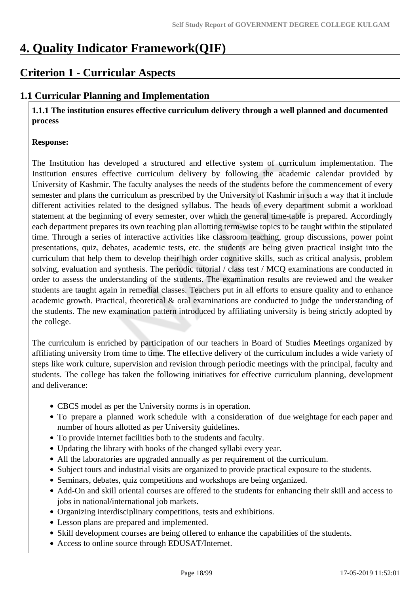## **4. Quality Indicator Framework(QIF)**

## **Criterion 1 - Curricular Aspects**

## **1.1 Curricular Planning and Implementation**

 **1.1.1 The institution ensures effective curriculum delivery through a well planned and documented process** 

#### **Response:**

The Institution has developed a structured and effective system of curriculum implementation. The Institution ensures effective curriculum delivery by following the academic calendar provided by University of Kashmir. The faculty analyses the needs of the students before the commencement of every semester and plans the curriculum as prescribed by the University of Kashmir in such a way that it include different activities related to the designed syllabus. The heads of every department submit a workload statement at the beginning of every semester, over which the general time-table is prepared. Accordingly each department prepares its own teaching plan allotting term-wise topics to be taught within the stipulated time. Through a series of interactive activities like classroom teaching, group discussions, power point presentations, quiz, debates, academic tests, etc. the students are being given practical insight into the curriculum that help them to develop their high order cognitive skills, such as critical analysis, problem solving, evaluation and synthesis. The periodic tutorial / class test / MCQ examinations are conducted in order to assess the understanding of the students. The examination results are reviewed and the weaker students are taught again in remedial classes. Teachers put in all efforts to ensure quality and to enhance academic growth. Practical, theoretical & oral examinations are conducted to judge the understanding of the students. The new examination pattern introduced by affiliating university is being strictly adopted by the college.

The curriculum is enriched by participation of our teachers in Board of Studies Meetings organized by affiliating university from time to time. The effective delivery of the curriculum includes a wide variety of steps like work culture, supervision and revision through periodic meetings with the principal, faculty and students. The college has taken the following initiatives for effective curriculum planning, development and deliverance:

- CBCS model as per the University norms is in operation.
- To prepare a planned work schedule with a consideration of due weightage for each paper and number of hours allotted as per University guidelines.
- To provide internet facilities both to the students and faculty.
- Updating the library with books of the changed syllabi every year.
- All the laboratories are upgraded annually as per requirement of the curriculum.
- Subject tours and industrial visits are organized to provide practical exposure to the students.
- Seminars, debates, quiz competitions and workshops are being organized.
- Add-On and skill oriental courses are offered to the students for enhancing their skill and access to jobs in national/international job markets.
- Organizing interdisciplinary competitions, tests and exhibitions.
- Lesson plans are prepared and implemented.
- Skill development courses are being offered to enhance the capabilities of the students.
- Access to online source through EDUSAT/Internet.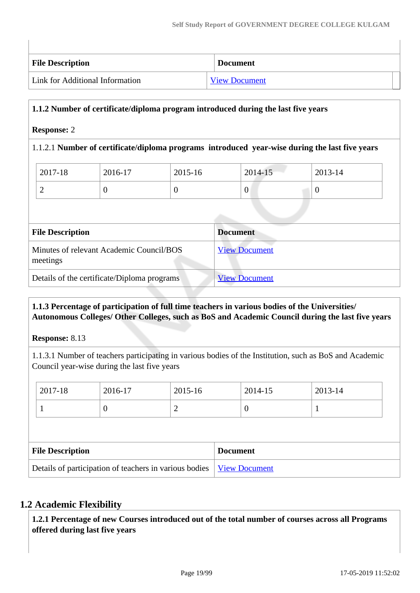| <b>File Description</b>         | Document             |  |
|---------------------------------|----------------------|--|
| Link for Additional Information | <b>View Document</b> |  |

#### **1.1.2 Number of certificate/diploma program introduced during the last five years**

#### **Response:** 2

#### 1.1.2.1 **Number of certificate/diploma programs introduced year-wise during the last five years**

| 2017-18 | 2016-17 | 2015-16 | 2014-15 | 2013-14 |
|---------|---------|---------|---------|---------|
| ∼       | ν       |         | v       |         |

| <b>File Description</b>                              | <b>Document</b>      |
|------------------------------------------------------|----------------------|
| Minutes of relevant Academic Council/BOS<br>meetings | <b>View Document</b> |
| Details of the certificate/Diploma programs          | <b>View Document</b> |

## **1.1.3 Percentage of participation of full time teachers in various bodies of the Universities/ Autonomous Colleges/ Other Colleges, such as BoS and Academic Council during the last five years**

#### **Response:** 8.13

1.1.3.1 Number of teachers participating in various bodies of the Institution, such as BoS and Academic Council year-wise during the last five years

| 2017-18                 | 2016-17 | 2015-16 |                 | 2014-15 | 2013-14 |
|-------------------------|---------|---------|-----------------|---------|---------|
|                         | 0       |         |                 |         |         |
|                         |         |         |                 |         |         |
|                         |         |         |                 |         |         |
| <b>File Description</b> |         |         | <b>Document</b> |         |         |

## **1.2 Academic Flexibility**

 **1.2.1 Percentage of new Courses introduced out of the total number of courses across all Programs offered during last five years**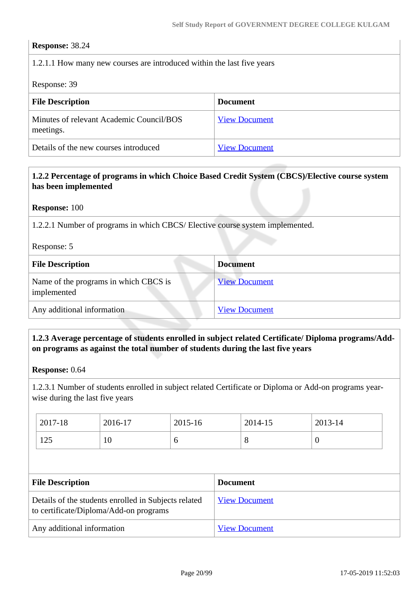#### **Response:** 38.24

## 1.2.1.1 How many new courses are introduced within the last five years

Response: 39

| <b>File Description</b>                               | <b>Document</b>      |
|-------------------------------------------------------|----------------------|
| Minutes of relevant Academic Council/BOS<br>meetings. | <b>View Document</b> |
| Details of the new courses introduced                 | <b>View Document</b> |

## **1.2.2 Percentage of programs in which Choice Based Credit System (CBCS)/Elective course system has been implemented**

**Response:** 100

1.2.2.1 Number of programs in which CBCS/ Elective course system implemented.

Response: 5

| <b>File Description</b>                              | <b>Document</b>      |
|------------------------------------------------------|----------------------|
| Name of the programs in which CBCS is<br>implemented | <b>View Document</b> |
| Any additional information                           | <b>View Document</b> |

### **1.2.3 Average percentage of students enrolled in subject related Certificate/ Diploma programs/Addon programs as against the total number of students during the last five years**

**Response:** 0.64

1.2.3.1 Number of students enrolled in subject related Certificate or Diploma or Add-on programs yearwise during the last five years

| 2017-18 | 2016-17 | 2015-16 | 2014-15 | 2013-14 |
|---------|---------|---------|---------|---------|
| 125     | 1∪      | ◡       | 8       | ◡       |

| <b>File Description</b>                                                                        | <b>Document</b>      |
|------------------------------------------------------------------------------------------------|----------------------|
| Details of the students enrolled in Subjects related<br>to certificate/Diploma/Add-on programs | <b>View Document</b> |
| Any additional information                                                                     | <b>View Document</b> |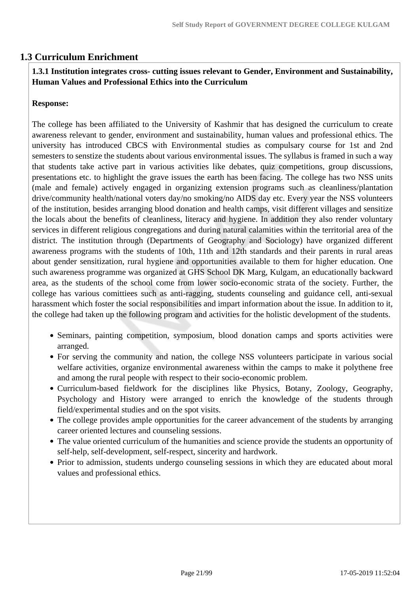## **1.3 Curriculum Enrichment**

## **1.3.1 Institution integrates cross- cutting issues relevant to Gender, Environment and Sustainability, Human Values and Professional Ethics into the Curriculum**

#### **Response:**

The college has been affiliated to the University of Kashmir that has designed the curriculum to create awareness relevant to gender, environment and sustainability, human values and professional ethics. The university has introduced CBCS with Environmental studies as compulsary course for 1st and 2nd semesters to senstize the students about various environmental issues. The syllabus is framed in such a way that students take active part in various activities like debates, quiz competitions, group discussions, presentations etc. to highlight the grave issues the earth has been facing. The college has two NSS units (male and female) actively engaged in organizing extension programs such as cleanliness/plantation drive/community health/national voters day/no smoking/no AIDS day etc. Every year the NSS volunteers of the institution, besides arranging blood donation and health camps, visit different villages and sensitize the locals about the benefits of cleanliness, literacy and hygiene. In addition they also render voluntary services in different religious congregations and during natural calamities within the territorial area of the district. The institution through (Departments of Geography and Sociology) have organized different awareness programs with the students of 10th, 11th and 12th standards and their parents in rural areas about gender sensitization, rural hygiene and opportunities available to them for higher education. One such awareness programme was organized at GHS School DK Marg, Kulgam, an educationally backward area, as the students of the school come from lower socio-economic strata of the society. Further, the college has various comittiees such as anti-ragging, students counseling and guidance cell, anti-sexual harassment which foster the social responsibilities and impart information about the issue. In addition to it, the college had taken up the following program and activities for the holistic development of the students.

- Seminars, painting competition, symposium, blood donation camps and sports activities were arranged.
- For serving the community and nation, the college NSS volunteers participate in various social welfare activities, organize environmental awareness within the camps to make it polythene free and among the rural people with respect to their socio-economic problem.
- Curriculum-based fieldwork for the disciplines like Physics, Botany, Zoology, Geography, Psychology and History were arranged to enrich the knowledge of the students through field/experimental studies and on the spot visits.
- The college provides ample opportunities for the career advancement of the students by arranging career oriented lectures and counseling sessions.
- The value oriented curriculum of the humanities and science provide the students an opportunity of self-help, self-development, self-respect, sincerity and hardwork.
- Prior to admission, students undergo counseling sessions in which they are educated about moral values and professional ethics.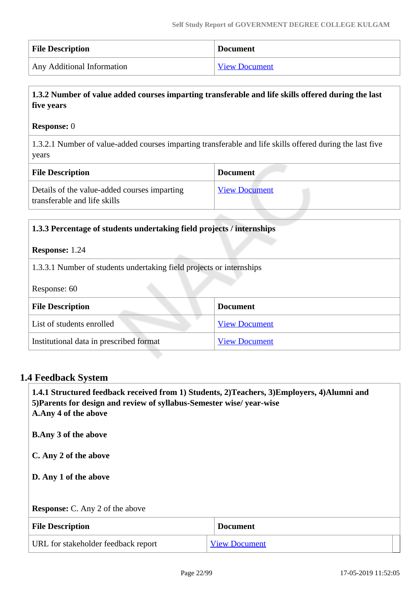| <b>File Description</b>    | <b>Document</b>      |
|----------------------------|----------------------|
| Any Additional Information | <b>View Document</b> |

## **1.3.2 Number of value added courses imparting transferable and life skills offered during the last five years**

#### **Response:** 0

1.3.2.1 Number of value-added courses imparting transferable and life skills offered during the last five years

| <b>File Description</b>                                                      | <b>Document</b>      |
|------------------------------------------------------------------------------|----------------------|
| Details of the value-added courses imparting<br>transferable and life skills | <b>View Document</b> |

| 1.3.3 Percentage of students undertaking field projects / internships |                      |  |  |
|-----------------------------------------------------------------------|----------------------|--|--|
| <b>Response:</b> 1.24                                                 |                      |  |  |
| 1.3.3.1 Number of students undertaking field projects or internships  |                      |  |  |
| Response: 60                                                          |                      |  |  |
| <b>File Description</b><br><b>Document</b>                            |                      |  |  |
| List of students enrolled<br><b>View Document</b>                     |                      |  |  |
| Institutional data in prescribed format                               | <b>View Document</b> |  |  |

## **1.4 Feedback System**

 **1.4.1 Structured feedback received from 1) Students, 2)Teachers, 3)Employers, 4)Alumni and 5)Parents for design and review of syllabus-Semester wise/ year-wise A.Any 4 of the above**

**B.Any 3 of the above**

**C. Any 2 of the above**

**D. Any 1 of the above**

#### **Response:** C. Any 2 of the above

| <b>File Description</b>             | <b>Document</b>      |
|-------------------------------------|----------------------|
| URL for stakeholder feedback report | <b>View Document</b> |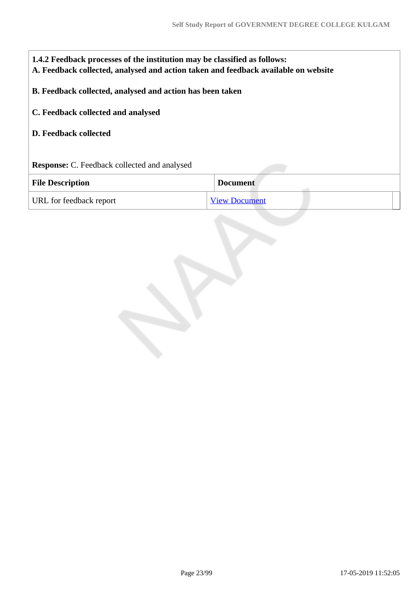| 1.4.2 Feedback processes of the institution may be classified as follows:<br>A. Feedback collected, analysed and action taken and feedback available on website |                      |  |
|-----------------------------------------------------------------------------------------------------------------------------------------------------------------|----------------------|--|
| B. Feedback collected, analysed and action has been taken                                                                                                       |                      |  |
| C. Feedback collected and analysed                                                                                                                              |                      |  |
| <b>D. Feedback collected</b>                                                                                                                                    |                      |  |
| <b>Response:</b> C. Feedback collected and analysed                                                                                                             |                      |  |
| <b>File Description</b>                                                                                                                                         | <b>Document</b>      |  |
| URL for feedback report                                                                                                                                         | <b>View Document</b> |  |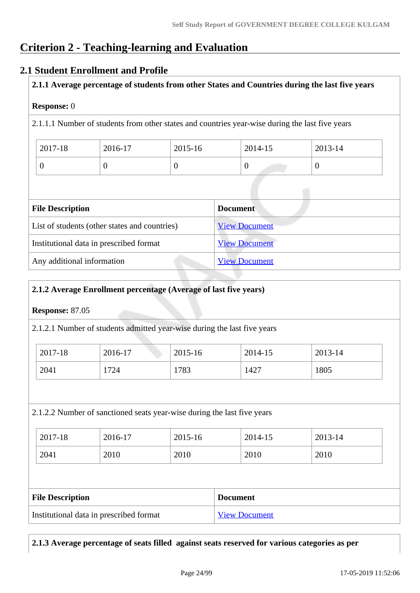## **Criterion 2 - Teaching-learning and Evaluation**

## **2.1 Student Enrollment and Profile**

**2.1.1 Average percentage of students from other States and Countries during the last five years**

#### **Response:** 0

2.1.1.1 Number of students from other states and countries year-wise during the last five years

| 2017-18 | 2016-17 | $2015 - 16$ | 2014-15 | 2013-14 |
|---------|---------|-------------|---------|---------|
|         |         | ິ           |         |         |

| <b>File Description</b>                       | <b>Document</b>      |  |
|-----------------------------------------------|----------------------|--|
| List of students (other states and countries) | <b>View Document</b> |  |
| Institutional data in prescribed format       | <b>View Document</b> |  |
| Any additional information                    | <b>View Document</b> |  |

#### **2.1.2 Average Enrollment percentage (Average of last five years)**

#### **Response:** 87.05

2.1.2.1 Number of students admitted year-wise during the last five years

| 2017-18 | 2016-17 | 2015-16 | 2014-15 | 2013-14 |
|---------|---------|---------|---------|---------|
| 2041    | 724     | 1783    | 1427    | 1805    |

#### 2.1.2.2 Number of sanctioned seats year-wise during the last five years

| 2017-18 | 2016-17 | 2015-16 | 2014-15 | 2013-14 |
|---------|---------|---------|---------|---------|
| 2041    | 2010    | 2010    | 2010    | 2010    |

| <b>File Description</b>                 | <b>Document</b>      |
|-----------------------------------------|----------------------|
| Institutional data in prescribed format | <b>View Document</b> |

**2.1.3 Average percentage of seats filled against seats reserved for various categories as per**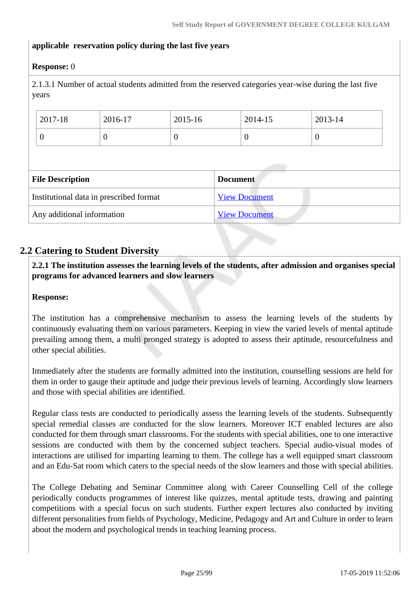#### **applicable reservation policy during the last five years**

#### **Response:** 0

2.1.3.1 Number of actual students admitted from the reserved categories year-wise during the last five years

|                         | 2017-18                                 | 2016-17        | 2015-16         |  | 2014-15              | 2013-14        |
|-------------------------|-----------------------------------------|----------------|-----------------|--|----------------------|----------------|
|                         | $\overline{0}$                          | $\overline{0}$ | $\overline{0}$  |  | $\overline{0}$       | $\overline{0}$ |
|                         |                                         |                |                 |  |                      |                |
| <b>File Description</b> |                                         |                | <b>Document</b> |  |                      |                |
|                         |                                         |                |                 |  |                      |                |
|                         | Institutional data in prescribed format |                |                 |  | <b>View Document</b> |                |

## **2.2 Catering to Student Diversity**

 **2.2.1 The institution assesses the learning levels of the students, after admission and organises special programs for advanced learners and slow learners**

#### **Response:**

The institution has a comprehensive mechanism to assess the learning levels of the students by continuously evaluating them on various parameters. Keeping in view the varied levels of mental aptitude prevailing among them, a multi pronged strategy is adopted to assess their aptitude, resourcefulness and other special abilities.

Immediately after the students are formally admitted into the institution, counselling sessions are held for them in order to gauge their aptitude and judge their previous levels of learning. Accordingly slow learners and those with special abilities are identified.

Regular class tests are conducted to periodically assess the learning levels of the students. Subsequently special remedial classes are conducted for the slow learners. Moreover ICT enabled lectures are also conducted for them through smart classrooms. For the students with special abilities, one to one interactive sessions are conducted with them by the concerned subject teachers. Special audio-visual modes of interactions are utilised for imparting learning to them. The college has a well equipped smart classroom and an Edu-Sat room which caters to the special needs of the slow learners and those with special abilities.

The College Debating and Seminar Committee along with Career Counselling Cell of the college periodically conducts programmes of interest like quizzes, mental aptitude tests, drawing and painting competitions with a special focus on such students. Further expert lectures also conducted by inviting different personalities from fields of Psychology, Medicine, Pedagogy and Art and Culture in order to learn about the modern and psychological trends in teaching learning process.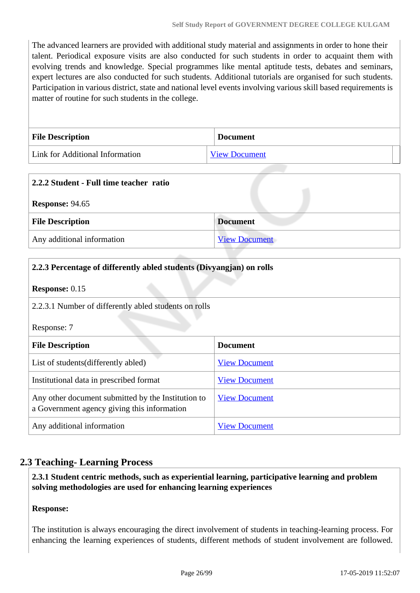The advanced learners are provided with additional study material and assignments in order to hone their talent. Periodical exposure visits are also conducted for such students in order to acquaint them with evolving trends and knowledge. Special programmes like mental aptitude tests, debates and seminars, expert lectures are also conducted for such students. Additional tutorials are organised for such students. Participation in various district, state and national level events involving various skill based requirements is matter of routine for such students in the college.

| <b>File Description</b>         | <b>Document</b>      |
|---------------------------------|----------------------|
| Link for Additional Information | <b>View Document</b> |

| 2.2.2 Student - Full time teacher ratio            |                 |  |
|----------------------------------------------------|-----------------|--|
| <b>Response: 94.65</b>                             |                 |  |
| <b>File Description</b>                            | <b>Document</b> |  |
| Any additional information<br><b>View Document</b> |                 |  |

| 2.2.3 Percentage of differently abled students (Divyangjan) on rolls                              |                      |  |
|---------------------------------------------------------------------------------------------------|----------------------|--|
| <b>Response: 0.15</b>                                                                             |                      |  |
| 2.2.3.1 Number of differently abled students on rolls                                             |                      |  |
| Response: 7                                                                                       |                      |  |
| <b>File Description</b>                                                                           | <b>Document</b>      |  |
| List of students (differently abled)                                                              | <b>View Document</b> |  |
| Institutional data in prescribed format                                                           | <b>View Document</b> |  |
| Any other document submitted by the Institution to<br>a Government agency giving this information | <b>View Document</b> |  |
| Any additional information                                                                        | <b>View Document</b> |  |

## **2.3 Teaching- Learning Process**

 **2.3.1 Student centric methods, such as experiential learning, participative learning and problem solving methodologies are used for enhancing learning experiences**

### **Response:**

The institution is always encouraging the direct involvement of students in teaching-learning process. For enhancing the learning experiences of students, different methods of student involvement are followed.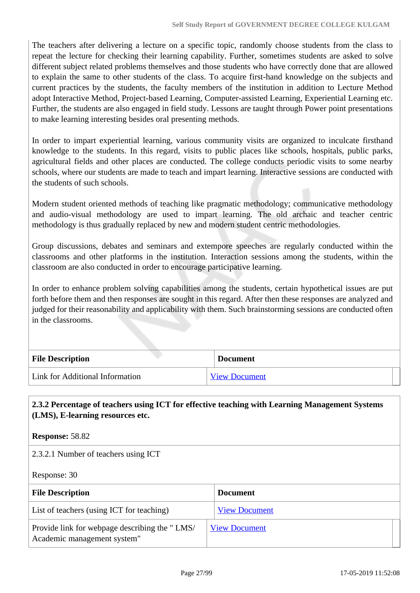The teachers after delivering a lecture on a specific topic, randomly choose students from the class to repeat the lecture for checking their learning capability. Further, sometimes students are asked to solve different subject related problems themselves and those students who have correctly done that are allowed to explain the same to other students of the class. To acquire first-hand knowledge on the subjects and current practices by the students, the faculty members of the institution in addition to Lecture Method adopt Interactive Method, Project-based Learning, Computer-assisted Learning, Experiential Learning etc. Further, the students are also engaged in field study. Lessons are taught through Power point presentations to make learning interesting besides oral presenting methods.

In order to impart experiential learning, various community visits are organized to inculcate firsthand knowledge to the students. In this regard, visits to public places like schools, hospitals, public parks, agricultural fields and other places are conducted. The college conducts periodic visits to some nearby schools, where our students are made to teach and impart learning. Interactive sessions are conducted with the students of such schools.

Modern student oriented methods of teaching like pragmatic methodology; communicative methodology and audio-visual methodology are used to impart learning. The old archaic and teacher centric methodology is thus gradually replaced by new and modern student centric methodologies.

Group discussions, debates and seminars and extempore speeches are regularly conducted within the classrooms and other platforms in the institution. Interaction sessions among the students, within the classroom are also conducted in order to encourage participative learning.

In order to enhance problem solving capabilities among the students, certain hypothetical issues are put forth before them and then responses are sought in this regard. After then these responses are analyzed and judged for their reasonability and applicability with them. Such brainstorming sessions are conducted often in the classrooms.

| <b>File Description</b>         | <b>Document</b>      |
|---------------------------------|----------------------|
| Link for Additional Information | <b>View Document</b> |

## **2.3.2 Percentage of teachers using ICT for effective teaching with Learning Management Systems (LMS), E-learning resources etc.**

**Response:** 58.82

2.3.2.1 Number of teachers using ICT

Response: 30

| <b>File Description</b>                                                      | <b>Document</b>      |
|------------------------------------------------------------------------------|----------------------|
| List of teachers (using ICT for teaching)                                    | <b>View Document</b> |
| Provide link for webpage describing the "LMS/<br>Academic management system" | <b>View Document</b> |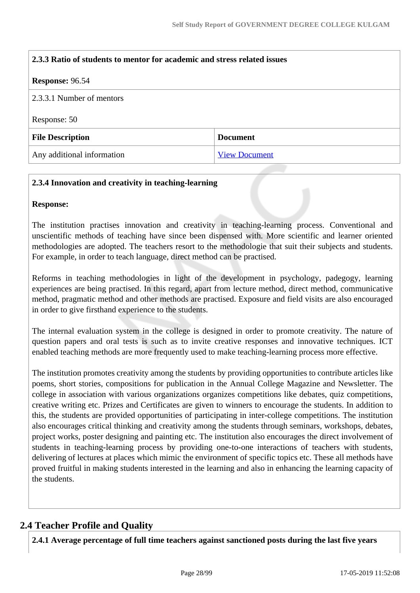| 2.3.3 Ratio of students to mentor for academic and stress related issues |  |  |
|--------------------------------------------------------------------------|--|--|
| <b>Response: 96.54</b>                                                   |  |  |
| 2.3.3.1 Number of mentors                                                |  |  |
| Response: 50                                                             |  |  |
| <b>File Description</b><br><b>Document</b>                               |  |  |
| Any additional information<br><b>View Document</b>                       |  |  |

#### **2.3.4 Innovation and creativity in teaching-learning**

#### **Response:**

The institution practises innovation and creativity in teaching-learning process. Conventional and unscientific methods of teaching have since been dispensed with. More scientific and learner oriented methodologies are adopted. The teachers resort to the methodologie that suit their subjects and students. For example, in order to teach language, direct method can be practised.

Reforms in teaching methodologies in light of the development in psychology, padegogy, learning experiences are being practised. In this regard, apart from lecture method, direct method, communicative method, pragmatic method and other methods are practised. Exposure and field visits are also encouraged in order to give firsthand experience to the students.

The internal evaluation system in the college is designed in order to promote creativity. The nature of question papers and oral tests is such as to invite creative responses and innovative techniques. ICT enabled teaching methods are more frequently used to make teaching-learning process more effective.

The institution promotes creativity among the students by providing opportunities to contribute articles like poems, short stories, compositions for publication in the Annual College Magazine and Newsletter. The college in association with various organizations organizes competitions like debates, quiz competitions, creative writing etc. Prizes and Certificates are given to winners to encourage the students. In addition to this, the students are provided opportunities of participating in inter-college competitions. The institution also encourages critical thinking and creativity among the students through seminars, workshops, debates, project works, poster designing and painting etc. The institution also encourages the direct involvement of students in teaching-learning process by providing one-to-one interactions of teachers with students, delivering of lectures at places which mimic the environment of specific topics etc. These all methods have proved fruitful in making students interested in the learning and also in enhancing the learning capacity of the students.

## **2.4 Teacher Profile and Quality**

**2.4.1 Average percentage of full time teachers against sanctioned posts during the last five years**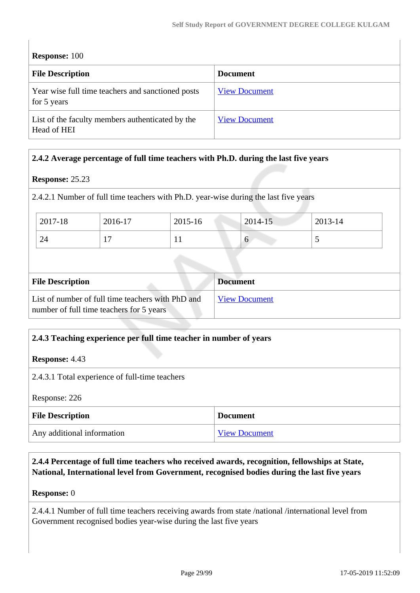#### **Response:** 100

| <b>File Description</b>                                          | <b>Document</b>      |
|------------------------------------------------------------------|----------------------|
| Year wise full time teachers and sanctioned posts<br>for 5 years | <b>View Document</b> |
| List of the faculty members authenticated by the<br>Head of HEI  | <b>View Document</b> |

## **2.4.2 Average percentage of full time teachers with Ph.D. during the last five years**

#### **Response:** 25.23

2.4.2.1 Number of full time teachers with Ph.D. year-wise during the last five years

| 2017-18 | 2016-17 | $2015 - 16$ | 2014-15  | 2013-14  |
|---------|---------|-------------|----------|----------|
| 24      | -       | . .         | $\sigma$ | <b>~</b> |

| <b>File Description</b>                                                                       | <b>Document</b>      |
|-----------------------------------------------------------------------------------------------|----------------------|
| List of number of full time teachers with PhD and<br>number of full time teachers for 5 years | <b>View Document</b> |

## **2.4.3 Teaching experience per full time teacher in number of years**

**Response:** 4.43

2.4.3.1 Total experience of full-time teachers

Response: 226

| <b>File Description</b>    | <b>Document</b>      |
|----------------------------|----------------------|
| Any additional information | <b>View Document</b> |

## **2.4.4 Percentage of full time teachers who received awards, recognition, fellowships at State, National, International level from Government, recognised bodies during the last five years**

#### **Response:** 0

2.4.4.1 Number of full time teachers receiving awards from state /national /international level from Government recognised bodies year-wise during the last five years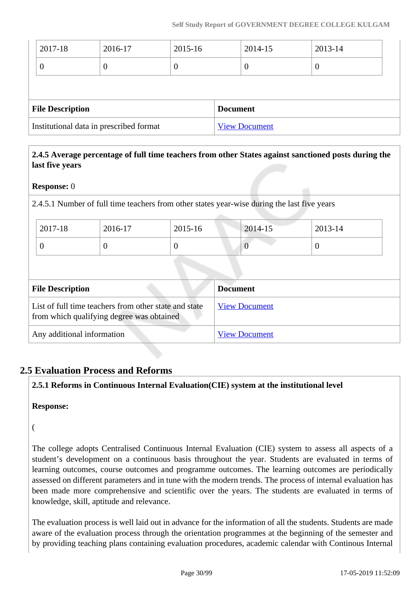| Institutional data in prescribed format |          |          |                 | <b>View Document</b> |                  |  |
|-----------------------------------------|----------|----------|-----------------|----------------------|------------------|--|
| <b>File Description</b>                 |          |          | <b>Document</b> |                      |                  |  |
|                                         |          |          |                 |                      |                  |  |
| 0                                       | $\theta$ | $\theta$ |                 | $\theta$             | $\boldsymbol{0}$ |  |
| 2017-18                                 | 2016-17  | 2015-16  |                 | 2014-15              | 2013-14          |  |

### **2.4.5 Average percentage of full time teachers from other States against sanctioned posts during the last five years**

### **Response:** 0

2.4.5.1 Number of full time teachers from other states year-wise during the last five years

| $12017 - 18$ | 2016-17 | 2015-16 | 2014-15 | 2013-14 |
|--------------|---------|---------|---------|---------|
|              |         |         |         |         |

| <b>File Description</b>                                                                            | <b>Document</b>      |
|----------------------------------------------------------------------------------------------------|----------------------|
| List of full time teachers from other state and state<br>from which qualifying degree was obtained | <b>View Document</b> |
| Any additional information                                                                         | <b>View Document</b> |

## **2.5 Evaluation Process and Reforms**

## **2.5.1 Reforms in Continuous Internal Evaluation(CIE) system at the institutional level**

### **Response:**

(

The college adopts Centralised Continuous Internal Evaluation (CIE) system to assess all aspects of a student's development on a continuous basis throughout the year. Students are evaluated in terms of learning outcomes, course outcomes and programme outcomes. The learning outcomes are periodically assessed on different parameters and in tune with the modern trends. The process of internal evaluation has been made more comprehensive and scientific over the years. The students are evaluated in terms of knowledge, skill, aptitude and relevance.

The evaluation process is well laid out in advance for the information of all the students. Students are made aware of the evaluation process through the orientation programmes at the beginning of the semester and by providing teaching plans containing evaluation procedures, academic calendar with Continous Internal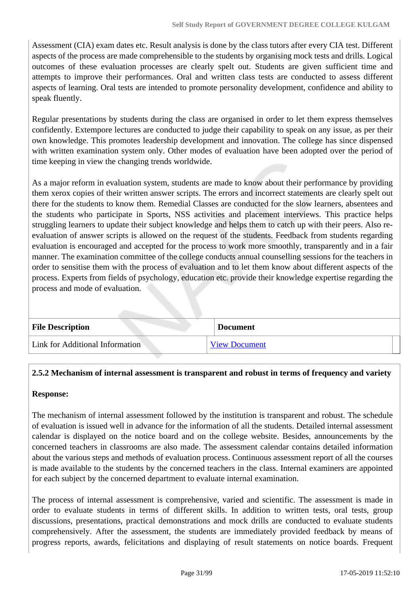Assessment (CIA) exam dates etc. Result analysis is done by the class tutors after every CIA test. Different aspects of the process are made comprehensible to the students by organising mock tests and drills. Logical outcomes of these evaluation processes are clearly spelt out. Students are given sufficient time and attempts to improve their performances. Oral and written class tests are conducted to assess different aspects of learning. Oral tests are intended to promote personality development, confidence and ability to speak fluently.

Regular presentations by students during the class are organised in order to let them express themselves confidently. Extempore lectures are conducted to judge their capability to speak on any issue, as per their own knowledge. This promotes leadership development and innovation. The college has since dispensed with written examination system only. Other modes of evaluation have been adopted over the period of time keeping in view the changing trends worldwide.

As a major reform in evaluation system, students are made to know about their performance by providing them xerox copies of their written answer scripts. The errors and incorrect statements are clearly spelt out there for the students to know them. Remedial Classes are conducted for the slow learners, absentees and the students who participate in Sports, NSS activities and placement interviews. This practice helps struggling learners to update their subject knowledge and helps them to catch up with their peers. Also reevaluation of answer scripts is allowed on the request of the students. Feedback from students regarding evaluation is encouraged and accepted for the process to work more smoothly, transparently and in a fair manner. The examination committee of the college conducts annual counselling sessions for the teachers in order to sensitise them with the process of evaluation and to let them know about different aspects of the process. Experts from fields of psychology, education etc. provide their knowledge expertise regarding the process and mode of evaluation.

| <b>File Description</b>         | <b>Document</b>      |
|---------------------------------|----------------------|
| Link for Additional Information | <b>View Document</b> |

## **2.5.2 Mechanism of internal assessment is transparent and robust in terms of frequency and variety**

### **Response:**

The mechanism of internal assessment followed by the institution is transparent and robust. The schedule of evaluation is issued well in advance for the information of all the students. Detailed internal assessment calendar is displayed on the notice board and on the college website. Besides, announcements by the concerned teachers in classrooms are also made. The assessment calendar contains detailed information about the various steps and methods of evaluation process. Continuous assessment report of all the courses is made available to the students by the concerned teachers in the class. Internal examiners are appointed for each subject by the concerned department to evaluate internal examination.

The process of internal assessment is comprehensive, varied and scientific. The assessment is made in order to evaluate students in terms of different skills. In addition to written tests, oral tests, group discussions, presentations, practical demonstrations and mock drills are conducted to evaluate students comprehensively. After the assessment, the students are immediately provided feedback by means of progress reports, awards, felicitations and displaying of result statements on notice boards. Frequent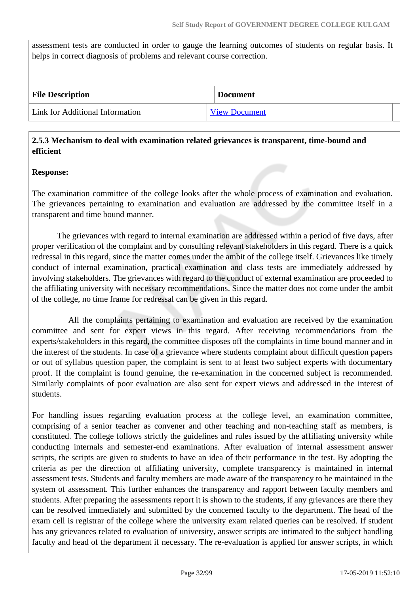assessment tests are conducted in order to gauge the learning outcomes of students on regular basis. It helps in correct diagnosis of problems and relevant course correction.

| <b>File Description</b>         | <b>Document</b>      |
|---------------------------------|----------------------|
| Link for Additional Information | <b>View Document</b> |

## **2.5.3 Mechanism to deal with examination related grievances is transparent, time-bound and efficient**

### **Response:**

The examination committee of the college looks after the whole process of examination and evaluation. The grievances pertaining to examination and evaluation are addressed by the committee itself in a transparent and time bound manner.

 The grievances with regard to internal examination are addressed within a period of five days, after proper verification of the complaint and by consulting relevant stakeholders in this regard. There is a quick redressal in this regard, since the matter comes under the ambit of the college itself. Grievances like timely conduct of internal examination, practical examination and class tests are immediately addressed by involving stakeholders. The grievances with regard to the conduct of external examination are proceeded to the affiliating university with necessary recommendations. Since the matter does not come under the ambit of the college, no time frame for redressal can be given in this regard.

 All the complaints pertaining to examination and evaluation are received by the examination committee and sent for expert views in this regard. After receiving recommendations from the experts/stakeholders in this regard, the committee disposes off the complaints in time bound manner and in the interest of the students. In case of a grievance where students complaint about difficult question papers or out of syllabus question paper, the complaint is sent to at least two subject experts with documentary proof. If the complaint is found genuine, the re-examination in the concerned subject is recommended. Similarly complaints of poor evaluation are also sent for expert views and addressed in the interest of students.

For handling issues regarding evaluation process at the college level, an examination committee, comprising of a senior teacher as convener and other teaching and non-teaching staff as members, is constituted. The college follows strictly the guidelines and rules issued by the affiliating university while conducting internals and semester-end examinations. After evaluation of internal assessment answer scripts, the scripts are given to students to have an idea of their performance in the test. By adopting the criteria as per the direction of affiliating university, complete transparency is maintained in internal assessment tests. Students and faculty members are made aware of the transparency to be maintained in the system of assessment. This further enhances the transparency and rapport between faculty members and students. After preparing the assessments report it is shown to the students, if any grievances are there they can be resolved immediately and submitted by the concerned faculty to the department. The head of the exam cell is registrar of the college where the university exam related queries can be resolved. If student has any grievances related to evaluation of university, answer scripts are intimated to the subject handling faculty and head of the department if necessary. The re-evaluation is applied for answer scripts, in which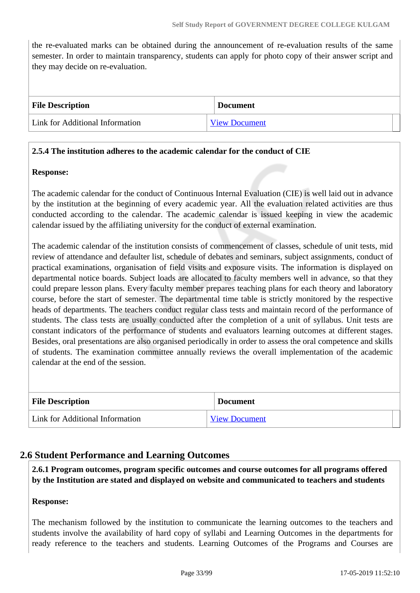the re-evaluated marks can be obtained during the announcement of re-evaluation results of the same semester. In order to maintain transparency, students can apply for photo copy of their answer script and they may decide on re-evaluation.

| <b>File Description</b>         | <b>Document</b>      |
|---------------------------------|----------------------|
| Link for Additional Information | <b>View Document</b> |

### **2.5.4 The institution adheres to the academic calendar for the conduct of CIE**

#### **Response:**

The academic calendar for the conduct of Continuous Internal Evaluation (CIE) is well laid out in advance by the institution at the beginning of every academic year. All the evaluation related activities are thus conducted according to the calendar. The academic calendar is issued keeping in view the academic calendar issued by the affiliating university for the conduct of external examination.

The academic calendar of the institution consists of commencement of classes, schedule of unit tests, mid review of attendance and defaulter list, schedule of debates and seminars, subject assignments, conduct of practical examinations, organisation of field visits and exposure visits. The information is displayed on departmental notice boards. Subject loads are allocated to faculty members well in advance, so that they could prepare lesson plans. Every faculty member prepares teaching plans for each theory and laboratory course, before the start of semester. The departmental time table is strictly monitored by the respective heads of departments. The teachers conduct regular class tests and maintain record of the performance of students. The class tests are usually conducted after the completion of a unit of syllabus. Unit tests are constant indicators of the performance of students and evaluators learning outcomes at different stages. Besides, oral presentations are also organised periodically in order to assess the oral competence and skills of students. The examination committee annually reviews the overall implementation of the academic calendar at the end of the session.

| <b>File Description</b>         | <b>Document</b>      |
|---------------------------------|----------------------|
| Link for Additional Information | <b>View Document</b> |

### **2.6 Student Performance and Learning Outcomes**

 **2.6.1 Program outcomes, program specific outcomes and course outcomes for all programs offered by the Institution are stated and displayed on website and communicated to teachers and students**

#### **Response:**

The mechanism followed by the institution to communicate the learning outcomes to the teachers and students involve the availability of hard copy of syllabi and Learning Outcomes in the departments for ready reference to the teachers and students. Learning Outcomes of the Programs and Courses are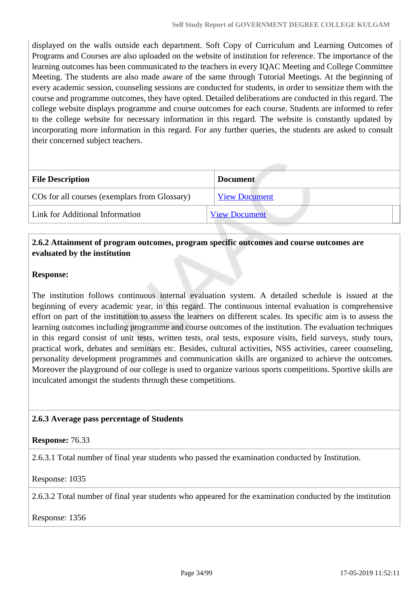displayed on the walls outside each department. Soft Copy of Curriculum and Learning Outcomes of Programs and Courses are also uploaded on the website of institution for reference. The importance of the learning outcomes has been communicated to the teachers in every IQAC Meeting and College Committee Meeting. The students are also made aware of the same through Tutorial Meetings. At the beginning of every academic session, counseling sessions are conducted for students, in order to sensitize them with the course and programme outcomes, they have opted. Detailed deliberations are conducted in this regard. The college website displays programme and course outcomes for each course. Students are informed to refer to the college website for necessary information in this regard. The website is constantly updated by incorporating more information in this regard. For any further queries, the students are asked to consult their concerned subject teachers.

| <b>File Description</b>                       | <b>Document</b>      |
|-----------------------------------------------|----------------------|
| COs for all courses (exemplars from Glossary) | <b>View Document</b> |
| Link for Additional Information               | <b>View Document</b> |

## **2.6.2 Attainment of program outcomes, program specific outcomes and course outcomes are evaluated by the institution**

### **Response:**

The institution follows continuous internal evaluation system. A detailed schedule is issued at the beginning of every academic year, in this regard. The continuous internal evaluation is comprehensive effort on part of the institution to assess the learners on different scales. Its specific aim is to assess the learning outcomes including programme and course outcomes of the institution. The evaluation techniques in this regard consist of unit tests, written tests, oral tests, exposure visits, field surveys, study tours, practical work, debates and seminars etc. Besides, cultural activities, NSS activities, career counseling, personality development programmes and communication skills are organized to achieve the outcomes. Moreover the playground of our college is used to organize various sports competitions. Sportive skills are inculcated amongst the students through these competitions.

### **2.6.3 Average pass percentage of Students**

#### **Response:** 76.33

2.6.3.1 Total number of final year students who passed the examination conducted by Institution.

#### Response: 1035

2.6.3.2 Total number of final year students who appeared for the examination conducted by the institution

Response: 1356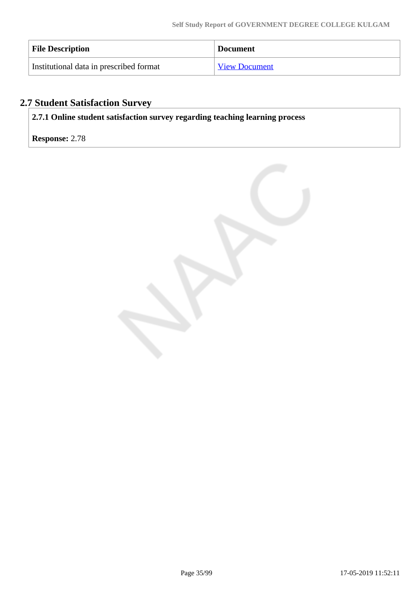| <b>File Description</b>                 | <b>Document</b>      |
|-----------------------------------------|----------------------|
| Institutional data in prescribed format | <b>View Document</b> |

## **2.7 Student Satisfaction Survey**

**2.7.1 Online student satisfaction survey regarding teaching learning process**

## **Response:** 2.78

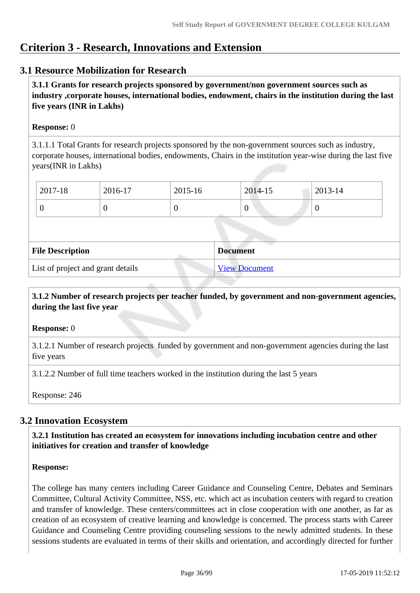## **Criterion 3 - Research, Innovations and Extension**

## **3.1 Resource Mobilization for Research**

 **3.1.1 Grants for research projects sponsored by government/non government sources such as industry ,corporate houses, international bodies, endowment, chairs in the institution during the last five years (INR in Lakhs)** 

### **Response:** 0

3.1.1.1 Total Grants for research projects sponsored by the non-government sources such as industry, corporate houses, international bodies, endowments, Chairs in the institution year-wise during the last five years(INR in Lakhs)

| $\frac{1}{2017-18}$ | 2016-17 | 2015-16 | 2014-15 | 2013-14 |
|---------------------|---------|---------|---------|---------|
|                     |         | ν       | v       |         |

| <b>File Description</b>           | <b>Document</b>      |
|-----------------------------------|----------------------|
| List of project and grant details | <b>View Document</b> |

## **3.1.2 Number of research projects per teacher funded, by government and non-government agencies, during the last five year**

### **Response:** 0

3.1.2.1 Number of research projects funded by government and non-government agencies during the last five years

3.1.2.2 Number of full time teachers worked in the institution during the last 5 years

Response: 246

## **3.2 Innovation Ecosystem**

## **3.2.1 Institution has created an ecosystem for innovations including incubation centre and other initiatives for creation and transfer of knowledge**

### **Response:**

The college has many centers including Career Guidance and Counseling Centre, Debates and Seminars Committee, Cultural Activity Committee, NSS, etc. which act as incubation centers with regard to creation and transfer of knowledge. These centers/committees act in close cooperation with one another, as far as creation of an ecosystem of creative learning and knowledge is concerned. The process starts with Career Guidance and Counseling Centre providing counseling sessions to the newly admitted students. In these sessions students are evaluated in terms of their skills and orientation, and accordingly directed for further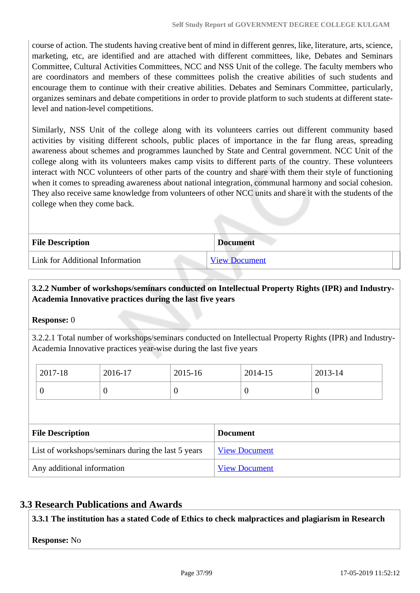course of action. The students having creative bent of mind in different genres, like, literature, arts, science, marketing, etc, are identified and are attached with different committees, like, Debates and Seminars Committee, Cultural Activities Committees, NCC and NSS Unit of the college. The faculty members who are coordinators and members of these committees polish the creative abilities of such students and encourage them to continue with their creative abilities. Debates and Seminars Committee, particularly, organizes seminars and debate competitions in order to provide platform to such students at different statelevel and nation-level competitions.

Similarly, NSS Unit of the college along with its volunteers carries out different community based activities by visiting different schools, public places of importance in the far flung areas, spreading awareness about schemes and programmes launched by State and Central government. NCC Unit of the college along with its volunteers makes camp visits to different parts of the country. These volunteers interact with NCC volunteers of other parts of the country and share with them their style of functioning when it comes to spreading awareness about national integration, communal harmony and social cohesion. They also receive same knowledge from volunteers of other NCC units and share it with the students of the college when they come back.

| <b>File Description</b>         | <b>Document</b>      |  |
|---------------------------------|----------------------|--|
| Link for Additional Information | <b>View Document</b> |  |

#### **3.2.2 Number of workshops/seminars conducted on Intellectual Property Rights (IPR) and Industry-Academia Innovative practices during the last five years**

#### **Response:** 0

3.2.2.1 Total number of workshops/seminars conducted on Intellectual Property Rights (IPR) and Industry-Academia Innovative practices year-wise during the last five years

| 2017-18 | 2016-17          | 2015-16 | 2014-15        | 2013-14 |
|---------|------------------|---------|----------------|---------|
| ν       | $\boldsymbol{0}$ | ບ       | $\overline{0}$ | ◡       |

| <b>File Description</b>                            | <b>Document</b>      |
|----------------------------------------------------|----------------------|
| List of workshops/seminars during the last 5 years | <b>View Document</b> |
| Any additional information                         | <b>View Document</b> |

#### **3.3 Research Publications and Awards**

**3.3.1 The institution has a stated Code of Ethics to check malpractices and plagiarism in Research**

**Response:** No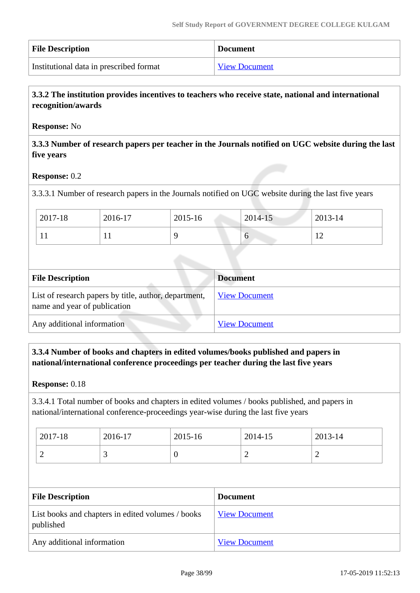| <b>File Description</b>                 | <b>Document</b>      |
|-----------------------------------------|----------------------|
| Institutional data in prescribed format | <b>View Document</b> |

#### **3.3.2 The institution provides incentives to teachers who receive state, national and international recognition/awards**

#### **Response:** No

 **3.3.3 Number of research papers per teacher in the Journals notified on UGC website during the last five years**

#### **Response:** 0.2

3.3.3.1 Number of research papers in the Journals notified on UGC website during the last five years

| 2017-18 | 2016-17 | 2015-16 | 2014-15 | 2013-14      |
|---------|---------|---------|---------|--------------|
|         | . .     |         | v       | $\sim$<br>-- |

| <b>File Description</b>                                                               | <b>Document</b>      |
|---------------------------------------------------------------------------------------|----------------------|
| List of research papers by title, author, department,<br>name and year of publication | <b>View Document</b> |
| Any additional information                                                            | <b>View Document</b> |

#### **3.3.4 Number of books and chapters in edited volumes/books published and papers in national/international conference proceedings per teacher during the last five years**

**Response:** 0.18

3.3.4.1 Total number of books and chapters in edited volumes / books published, and papers in national/international conference-proceedings year-wise during the last five years

| 2017-18                  | 2016-17 | 2015-16 | 2014-15 | 2013-14 |
|--------------------------|---------|---------|---------|---------|
| $\overline{\phantom{0}}$ | ້       | ν       | -       | ∸       |

| <b>File Description</b>                                        | <b>Document</b>      |
|----------------------------------------------------------------|----------------------|
| List books and chapters in edited volumes / books<br>published | <b>View Document</b> |
| Any additional information                                     | <b>View Document</b> |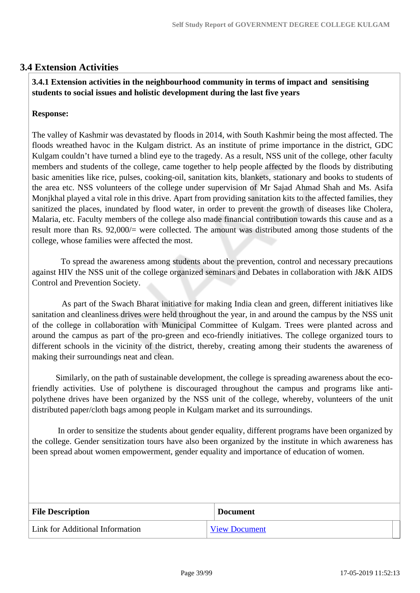## **3.4 Extension Activities**

#### **3.4.1 Extension activities in the neighbourhood community in terms of impact and sensitising students to social issues and holistic development during the last five years**

#### **Response:**

The valley of Kashmir was devastated by floods in 2014, with South Kashmir being the most affected. The floods wreathed havoc in the Kulgam district. As an institute of prime importance in the district, GDC Kulgam couldn't have turned a blind eye to the tragedy. As a result, NSS unit of the college, other faculty members and students of the college, came together to help people affected by the floods by distributing basic amenities like rice, pulses, cooking-oil, sanitation kits, blankets, stationary and books to students of the area etc. NSS volunteers of the college under supervision of Mr Sajad Ahmad Shah and Ms. Asifa Monjkhal played a vital role in this drive. Apart from providing sanitation kits to the affected families, they sanitized the places, inundated by flood water, in order to prevent the growth of diseases like Cholera, Malaria, etc. Faculty members of the college also made financial contribution towards this cause and as a result more than Rs. 92,000/= were collected. The amount was distributed among those students of the college, whose families were affected the most.

 To spread the awareness among students about the prevention, control and necessary precautions against HIV the NSS unit of the college organized seminars and Debates in collaboration with J&K AIDS Control and Prevention Society.

 As part of the Swach Bharat initiative for making India clean and green, different initiatives like sanitation and cleanliness drives were held throughout the year, in and around the campus by the NSS unit of the college in collaboration with Municipal Committee of Kulgam. Trees were planted across and around the campus as part of the pro-green and eco-friendly initiatives. The college organized tours to different schools in the vicinity of the district, thereby, creating among their students the awareness of making their surroundings neat and clean.

 Similarly, on the path of sustainable development, the college is spreading awareness about the ecofriendly activities. Use of polythene is discouraged throughout the campus and programs like antipolythene drives have been organized by the NSS unit of the college, whereby, volunteers of the unit distributed paper/cloth bags among people in Kulgam market and its surroundings.

 In order to sensitize the students about gender equality, different programs have been organized by the college. Gender sensitization tours have also been organized by the institute in which awareness has been spread about women empowerment, gender equality and importance of education of women.

| <b>File Description</b>         | <b>Document</b>      |
|---------------------------------|----------------------|
| Link for Additional Information | <b>View Document</b> |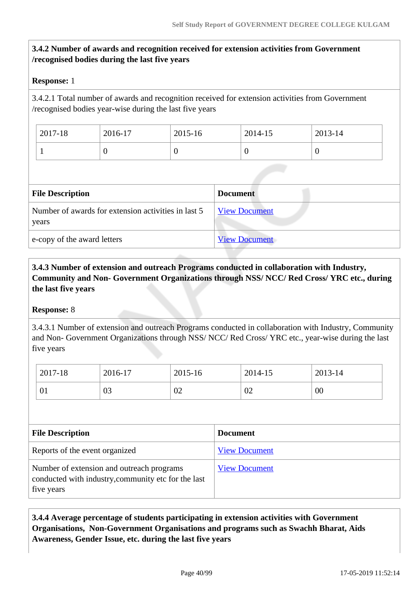#### **3.4.2 Number of awards and recognition received for extension activities from Government /recognised bodies during the last five years**

#### **Response:** 1

3.4.2.1 Total number of awards and recognition received for extension activities from Government /recognised bodies year-wise during the last five years

| 2017-18 | 2016-17 | 2015-16 | 2014-15 | 2013-14 |
|---------|---------|---------|---------|---------|
|         | ν       | ◡       | ν       |         |

| <b>File Description</b>                                      | <b>Document</b>      |
|--------------------------------------------------------------|----------------------|
| Number of awards for extension activities in last 5<br>years | <b>View Document</b> |
| e-copy of the award letters                                  | <b>View Document</b> |

## **3.4.3 Number of extension and outreach Programs conducted in collaboration with Industry, Community and Non- Government Organizations through NSS/ NCC/ Red Cross/ YRC etc., during the last five years**

#### **Response:** 8

3.4.3.1 Number of extension and outreach Programs conducted in collaboration with Industry, Community and Non- Government Organizations through NSS/ NCC/ Red Cross/ YRC etc., year-wise during the last five years

| 2017-18 | 2016-17 | 2015-16 | 2014-15 | 2013-14 |
|---------|---------|---------|---------|---------|
| 01      | 03      | 02      | 02      | 00      |

| <b>File Description</b>                                                                                        | <b>Document</b>      |
|----------------------------------------------------------------------------------------------------------------|----------------------|
| Reports of the event organized                                                                                 | <b>View Document</b> |
| Number of extension and outreach programs<br>conducted with industry, community etc for the last<br>five years | <b>View Document</b> |

#### **3.4.4 Average percentage of students participating in extension activities with Government Organisations, Non-Government Organisations and programs such as Swachh Bharat, Aids Awareness, Gender Issue, etc. during the last five years**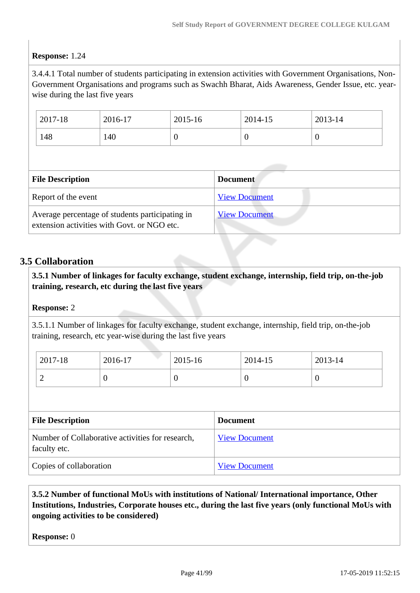#### **Response:** 1.24

3.4.4.1 Total number of students participating in extension activities with Government Organisations, Non-Government Organisations and programs such as Swachh Bharat, Aids Awareness, Gender Issue, etc. yearwise during the last five years

| 2017-18 | 2016-17 | $2015 - 16$ | 2014-15 | 2013-14 |
|---------|---------|-------------|---------|---------|
| 148     | 140     | v           | `       | v       |

| <b>File Description</b>                                                                        | <b>Document</b>      |
|------------------------------------------------------------------------------------------------|----------------------|
| Report of the event                                                                            | <b>View Document</b> |
| Average percentage of students participating in<br>extension activities with Govt. or NGO etc. | <b>View Document</b> |

#### **3.5 Collaboration**

 **3.5.1 Number of linkages for faculty exchange, student exchange, internship, field trip, on-the-job training, research, etc during the last five years**

#### **Response:** 2

3.5.1.1 Number of linkages for faculty exchange, student exchange, internship, field trip, on-the-job training, research, etc year-wise during the last five years

| 2017-18 | 2016-17 | 2015-16 | 2014-15 | 2013-14 |
|---------|---------|---------|---------|---------|
| ∽       |         |         | ν       |         |

| <b>File Description</b>                                          | <b>Document</b>      |
|------------------------------------------------------------------|----------------------|
| Number of Collaborative activities for research,<br>faculty etc. | <b>View Document</b> |
| Copies of collaboration                                          | <b>View Document</b> |

#### **3.5.2 Number of functional MoUs with institutions of National/ International importance, Other Institutions, Industries, Corporate houses etc., during the last five years (only functional MoUs with ongoing activities to be considered)**

**Response:** 0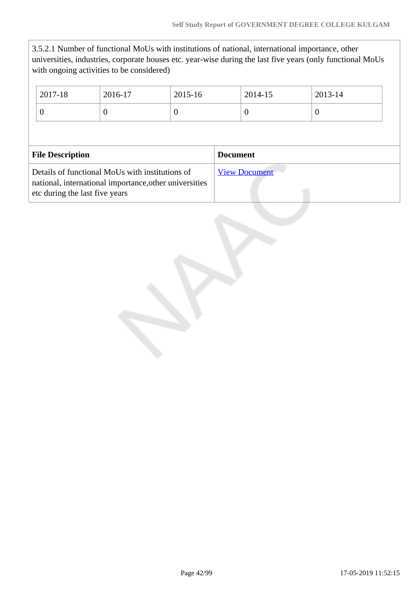3.5.2.1 Number of functional MoUs with institutions of national, international importance, other universities, industries, corporate houses etc. year-wise during the last five years (only functional MoUs with ongoing activities to be considered)

| 2017-18                 | 2016-17  | 2015-16  |                 | 2014-15  | 2013-14        |
|-------------------------|----------|----------|-----------------|----------|----------------|
| $\theta$                | $\theta$ | $\theta$ |                 | $\theta$ | $\overline{0}$ |
|                         |          |          |                 |          |                |
|                         |          |          |                 |          |                |
| <b>File Description</b> |          |          | <b>Document</b> |          |                |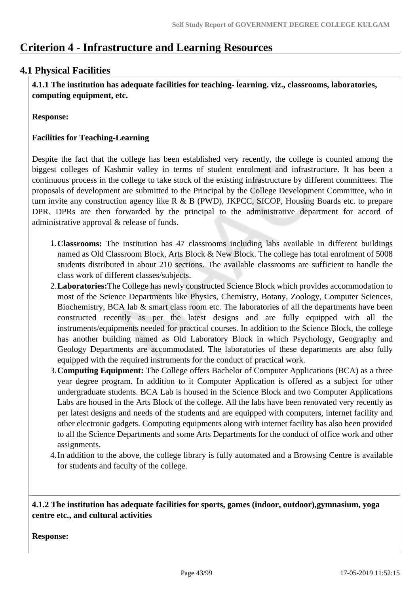## **Criterion 4 - Infrastructure and Learning Resources**

## **4.1 Physical Facilities**

 **4.1.1 The institution has adequate facilities for teaching- learning. viz., classrooms, laboratories, computing equipment, etc.**

**Response:** 

#### **Facilities for Teaching-Learning**

Despite the fact that the college has been established very recently, the college is counted among the biggest colleges of Kashmir valley in terms of student enrolment and infrastructure. It has been a continuous process in the college to take stock of the existing infrastructure by different committees. The proposals of development are submitted to the Principal by the College Development Committee, who in turn invite any construction agency like R & B (PWD), JKPCC, SICOP, Housing Boards etc. to prepare DPR. DPRs are then forwarded by the principal to the administrative department for accord of administrative approval & release of funds.

- 1.**Classrooms:** The institution has 47 classrooms including labs available in different buildings named as Old Classroom Block, Arts Block & New Block. The college has total enrolment of 5008 students distributed in about 210 sections. The available classrooms are sufficient to handle the class work of different classes/subjects.
- 2.**Laboratories:**The College has newly constructed Science Block which provides accommodation to most of the Science Departments like Physics, Chemistry, Botany, Zoology, Computer Sciences, Biochemistry, BCA lab & smart class room etc. The laboratories of all the departments have been constructed recently as per the latest designs and are fully equipped with all the instruments/equipments needed for practical courses. In addition to the Science Block, the college has another building named as Old Laboratory Block in which Psychology, Geography and Geology Departments are accommodated. The laboratories of these departments are also fully equipped with the required instruments for the conduct of practical work.
- 3.**Computing Equipment:** The College offers Bachelor of Computer Applications (BCA) as a three year degree program. In addition to it Computer Application is offered as a subject for other undergraduate students. BCA Lab is housed in the Science Block and two Computer Applications Labs are housed in the Arts Block of the college. All the labs have been renovated very recently as per latest designs and needs of the students and are equipped with computers, internet facility and other electronic gadgets. Computing equipments along with internet facility has also been provided to all the Science Departments and some Arts Departments for the conduct of office work and other assignments.
- 4.In addition to the above, the college library is fully automated and a Browsing Centre is available for students and faculty of the college.

 **4.1.2 The institution has adequate facilities for sports, games (indoor, outdoor),gymnasium, yoga centre etc., and cultural activities**

**Response:**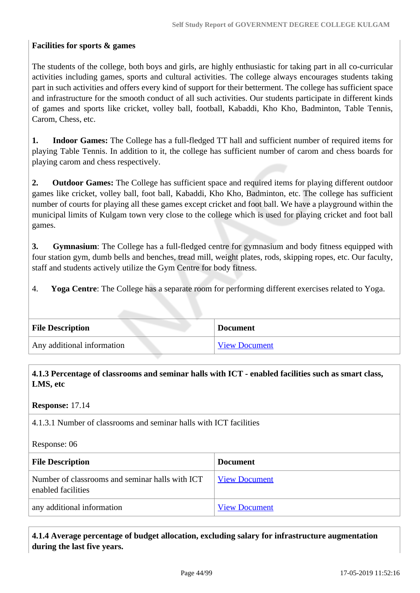#### **Facilities for sports & games**

The students of the college, both boys and girls, are highly enthusiastic for taking part in all co-curricular activities including games, sports and cultural activities. The college always encourages students taking part in such activities and offers every kind of support for their betterment. The college has sufficient space and infrastructure for the smooth conduct of all such activities. Our students participate in different kinds of games and sports like cricket, volley ball, football, Kabaddi, Kho Kho, Badminton, Table Tennis, Carom, Chess, etc.

**1. Indoor Games:** The College has a full-fledged TT hall and sufficient number of required items for playing Table Tennis. In addition to it, the college has sufficient number of carom and chess boards for playing carom and chess respectively.

**2. Outdoor Games:** The College has sufficient space and required items for playing different outdoor games like cricket, volley ball, foot ball, Kabaddi, Kho Kho, Badminton, etc. The college has sufficient number of courts for playing all these games except cricket and foot ball. We have a playground within the municipal limits of Kulgam town very close to the college which is used for playing cricket and foot ball games.

**3. Gymnasium**: The College has a full-fledged centre for gymnasium and body fitness equipped with four station gym, dumb bells and benches, tread mill, weight plates, rods, skipping ropes, etc. Our faculty, staff and students actively utilize the Gym Centre for body fitness.

4. **Yoga Centre**: The College has a separate room for performing different exercises related to Yoga.

| <b>File Description</b>    | <b>Document</b>      |
|----------------------------|----------------------|
| Any additional information | <b>View Document</b> |

 **4.1.3 Percentage of classrooms and seminar halls with ICT - enabled facilities such as smart class, LMS, etc**

**Response:** 17.14

4.1.3.1 Number of classrooms and seminar halls with ICT facilities

Response: 06

| <b>File Description</b>                                               | <b>Document</b>      |
|-----------------------------------------------------------------------|----------------------|
| Number of classrooms and seminar halls with ICT<br>enabled facilities | <b>View Document</b> |
| any additional information                                            | <b>View Document</b> |

 **4.1.4 Average percentage of budget allocation, excluding salary for infrastructure augmentation during the last five years.**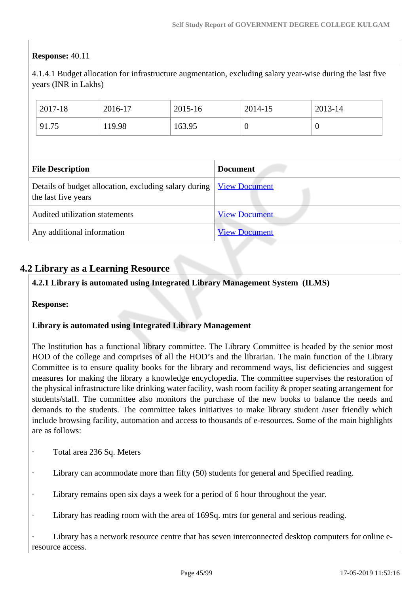#### **Response:** 40.11

4.1.4.1 Budget allocation for infrastructure augmentation, excluding salary year-wise during the last five years (INR in Lakhs)

|                                                                              | 2017-18                 | 2016-17 | $2015 - 16$ |                      | 2014-15        | 2013-14  |
|------------------------------------------------------------------------------|-------------------------|---------|-------------|----------------------|----------------|----------|
|                                                                              | 91.75                   | 119.98  | 163.95      |                      | $\overline{0}$ | $\theta$ |
|                                                                              |                         |         |             |                      |                |          |
|                                                                              | <b>File Description</b> |         |             | <b>Document</b>      |                |          |
| Details of budget allocation, excluding salary during<br>the last five years |                         |         |             | <b>View Document</b> |                |          |
| Audited utilization statements                                               |                         |         |             | <b>View Document</b> |                |          |
| Any additional information                                                   |                         |         |             | <b>View Document</b> |                |          |

## **4.2 Library as a Learning Resource**

**4.2.1 Library is automated using Integrated Library Management System (ILMS)**

**Response:** 

#### **Library is automated using Integrated Library Management**

The Institution has a functional library committee. The Library Committee is headed by the senior most HOD of the college and comprises of all the HOD's and the librarian. The main function of the Library Committee is to ensure quality books for the library and recommend ways, list deficiencies and suggest measures for making the library a knowledge encyclopedia. The committee supervises the restoration of the physical infrastructure like drinking water facility, wash room facility & proper seating arrangement for students/staff. The committee also monitors the purchase of the new books to balance the needs and demands to the students. The committee takes initiatives to make library student /user friendly which include browsing facility, automation and access to thousands of e-resources. Some of the main highlights are as follows:

- · Total area 236 Sq. Meters
- · Library can acommodate more than fifty (50) students for general and Specified reading.
- Library remains open six days a week for a period of 6 hour throughout the year.
- Library has reading room with the area of 169Sq. mtrs for general and serious reading.

Library has a network resource centre that has seven interconnected desktop computers for online eresource access.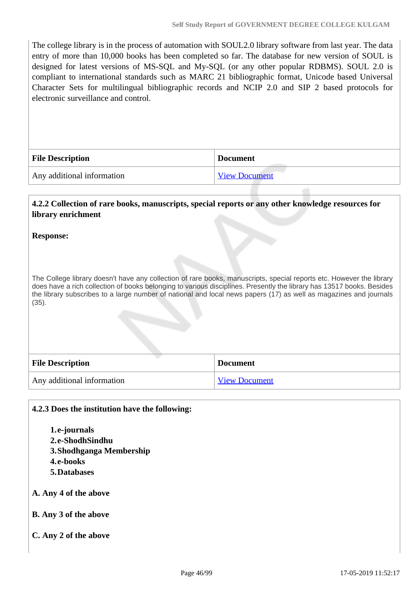The college library is in the process of automation with SOUL2.0 library software from last year. The data entry of more than 10,000 books has been completed so far. The database for new version of SOUL is designed for latest versions of MS-SQL and My-SQL (or any other popular RDBMS). SOUL 2.0 is compliant to international standards such as MARC 21 bibliographic format, Unicode based Universal Character Sets for multilingual bibliographic records and NCIP 2.0 and SIP 2 based protocols for electronic surveillance and control.

| <b>File Description</b>    | <b>Document</b>      |  |
|----------------------------|----------------------|--|
| Any additional information | <b>View Document</b> |  |

#### **4.2.2 Collection of rare books, manuscripts, special reports or any other knowledge resources for library enrichment**

#### **Response:**

The College library doesn't have any collection of rare books, manuscripts, special reports etc. However the library does have a rich collection of books belonging to various disciplines. Presently the library has 13517 books. Besides the library subscribes to a large number of national and local news papers (17) as well as magazines and journals (35).

| <b>File Description</b>    | <b>Document</b>      |
|----------------------------|----------------------|
| Any additional information | <b>View Document</b> |

#### **4.2.3 Does the institution have the following:**

- **1.e-journals 2.e-ShodhSindhu 3.Shodhganga Membership 4.e-books 5.Databases**
- **A. Any 4 of the above**
- **B. Any 3 of the above**
- **C. Any 2 of the above**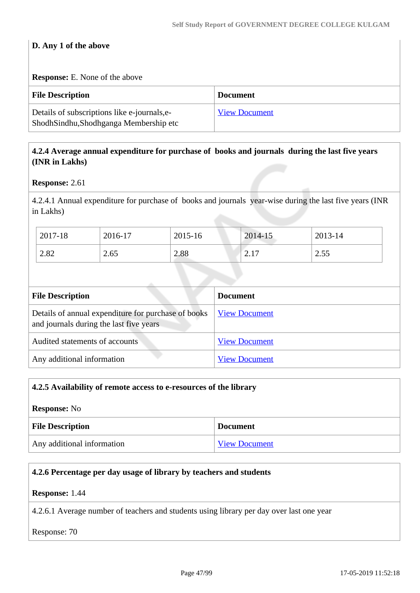#### **D. Any 1 of the above**

**Response:** E. None of the above

| <b>File Description</b>                                                                 | <b>Document</b>      |
|-----------------------------------------------------------------------------------------|----------------------|
| Details of subscriptions like e-journals, e-<br>Shodh Sindhu, Shodhganga Membership etc | <b>View Document</b> |

#### **4.2.4 Average annual expenditure for purchase of books and journals during the last five years (INR in Lakhs)**

#### **Response:** 2.61

4.2.4.1 Annual expenditure for purchase of books and journals year-wise during the last five years (INR in Lakhs)

| 2017-18 | 2016-17 | 2015-16 | 2014-15                                                 | 2013-14 |
|---------|---------|---------|---------------------------------------------------------|---------|
| 2.82    | 2.65    | 2.88    | 1 <sub>7</sub><br>$\sim$<br>$\sim$ $\sim$ $\sim$ $\sim$ | 2.55    |

| <b>File Description</b>                                                                        | <b>Document</b>      |
|------------------------------------------------------------------------------------------------|----------------------|
| Details of annual expenditure for purchase of books<br>and journals during the last five years | <b>View Document</b> |
| Audited statements of accounts                                                                 | <b>View Document</b> |
| Any additional information                                                                     | <b>View Document</b> |

# **4.2.5 Availability of remote access to e-resources of the library Response:** No **File Description Document** Any additional information <br>
<u>[View Document](https://assessmentonline.naac.gov.in/storage/app/hei/SSR/101873/4.2.5_1548582881_2321.pdf)</u>

#### **4.2.6 Percentage per day usage of library by teachers and students**

**Response:** 1.44

4.2.6.1 Average number of teachers and students using library per day over last one year

Response: 70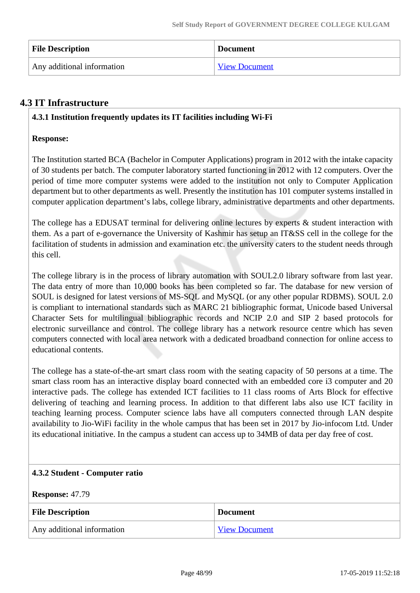| <b>File Description</b>    | <b>Document</b>      |  |
|----------------------------|----------------------|--|
| Any additional information | <b>View Document</b> |  |

## **4.3 IT Infrastructure**

#### **4.3.1 Institution frequently updates its IT facilities including Wi-Fi**

#### **Response:**

The Institution started BCA (Bachelor in Computer Applications) program in 2012 with the intake capacity of 30 students per batch. The computer laboratory started functioning in 2012 with 12 computers. Over the period of time more computer systems were added to the institution not only to Computer Application department but to other departments as well. Presently the institution has 101 computer systems installed in computer application department's labs, college library, administrative departments and other departments.

The college has a EDUSAT terminal for delivering online lectures by experts & student interaction with them. As a part of e-governance the University of Kashmir has setup an IT&SS cell in the college for the facilitation of students in admission and examination etc. the university caters to the student needs through this cell.

The college library is in the process of library automation with SOUL2.0 library software from last year. The data entry of more than 10,000 books has been completed so far. The database for new version of SOUL is designed for latest versions of MS-SQL and MySQL (or any other popular RDBMS). SOUL 2.0 is compliant to international standards such as MARC 21 bibliographic format, Unicode based Universal Character Sets for multilingual bibliographic records and NCIP 2.0 and SIP 2 based protocols for electronic surveillance and control. The college library has a network resource centre which has seven computers connected with local area network with a dedicated broadband connection for online access to educational contents.

The college has a state-of-the-art smart class room with the seating capacity of 50 persons at a time. The smart class room has an interactive display board connected with an embedded core i3 computer and 20 interactive pads. The college has extended ICT facilities to 11 class rooms of Arts Block for effective delivering of teaching and learning process. In addition to that different labs also use ICT facility in teaching learning process. Computer science labs have all computers connected through LAN despite availability to Jio-WiFi facility in the whole campus that has been set in 2017 by Jio-infocom Ltd. Under its educational initiative. In the campus a student can access up to 34MB of data per day free of cost.

#### **4.3.2 Student - Computer ratio**

**Response:** 47.79

| <b>File Description</b>    | <b>Document</b>      |  |
|----------------------------|----------------------|--|
| Any additional information | <b>View Document</b> |  |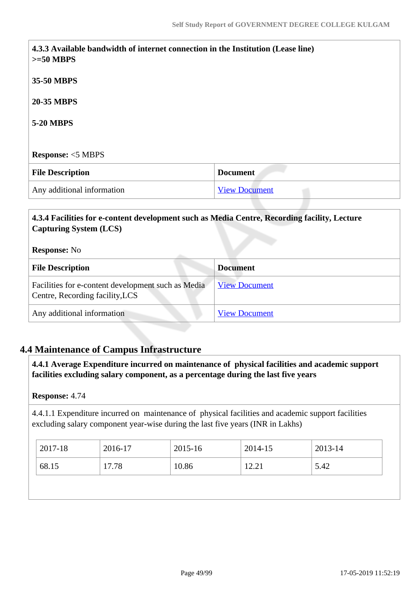| 4.3.3 Available bandwidth of internet connection in the Institution (Lease line)<br>$>=50$ MBPS |                      |  |  |
|-------------------------------------------------------------------------------------------------|----------------------|--|--|
| <b>35-50 MBPS</b>                                                                               |                      |  |  |
| <b>20-35 MBPS</b>                                                                               |                      |  |  |
| <b>5-20 MBPS</b>                                                                                |                      |  |  |
| <b>Response: &lt;5 MBPS</b>                                                                     |                      |  |  |
| <b>File Description</b>                                                                         | <b>Document</b>      |  |  |
| Any additional information                                                                      | <b>View Document</b> |  |  |

## **4.3.4 Facilities for e-content development such as Media Centre, Recording facility, Lecture Capturing System (LCS)**

#### **Response:** No

| <b>File Description</b>                                                               | <b>Document</b>      |
|---------------------------------------------------------------------------------------|----------------------|
| Facilities for e-content development such as Media<br>Centre, Recording facility, LCS | <b>View Document</b> |
| Any additional information                                                            | <b>View Document</b> |

## **4.4 Maintenance of Campus Infrastructure**

 **4.4.1 Average Expenditure incurred on maintenance of physical facilities and academic support facilities excluding salary component, as a percentage during the last five years**

#### **Response:** 4.74

4.4.1.1 Expenditure incurred on maintenance of physical facilities and academic support facilities excluding salary component year-wise during the last five years (INR in Lakhs)

| 2017-18 | 2016-17 | 2015-16 | 2014-15 | $2013 - 14$ |
|---------|---------|---------|---------|-------------|
| 68.15   | 17.78   | 10.86   | 12.21   | 5.42        |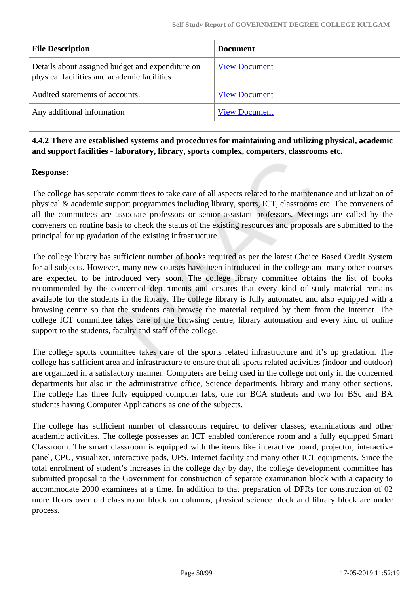| <b>File Description</b>                                                                         | <b>Document</b>      |
|-------------------------------------------------------------------------------------------------|----------------------|
| Details about assigned budget and expenditure on<br>physical facilities and academic facilities | <b>View Document</b> |
| Audited statements of accounts.                                                                 | <b>View Document</b> |
| Any additional information                                                                      | <b>View Document</b> |

 **4.4.2 There are established systems and procedures for maintaining and utilizing physical, academic and support facilities - laboratory, library, sports complex, computers, classrooms etc.**

#### **Response:**

The college has separate committees to take care of all aspects related to the maintenance and utilization of physical & academic support programmes including library, sports, ICT, classrooms etc. The conveners of all the committees are associate professors or senior assistant professors. Meetings are called by the conveners on routine basis to check the status of the existing resources and proposals are submitted to the principal for up gradation of the existing infrastructure.

The college library has sufficient number of books required as per the latest Choice Based Credit System for all subjects. However, many new courses have been introduced in the college and many other courses are expected to be introduced very soon. The college library committee obtains the list of books recommended by the concerned departments and ensures that every kind of study material remains available for the students in the library. The college library is fully automated and also equipped with a browsing centre so that the students can browse the material required by them from the Internet. The college ICT committee takes care of the browsing centre, library automation and every kind of online support to the students, faculty and staff of the college.

The college sports committee takes care of the sports related infrastructure and it's up gradation. The college has sufficient area and infrastructure to ensure that all sports related activities (indoor and outdoor) are organized in a satisfactory manner. Computers are being used in the college not only in the concerned departments but also in the administrative office, Science departments, library and many other sections. The college has three fully equipped computer labs, one for BCA students and two for BSc and BA students having Computer Applications as one of the subjects.

The college has sufficient number of classrooms required to deliver classes, examinations and other academic activities. The college possesses an ICT enabled conference room and a fully equipped Smart Classroom. The smart classroom is equipped with the items like interactive board, projector, interactive panel, CPU, visualizer, interactive pads, UPS, Internet facility and many other ICT equipments. Since the total enrolment of student's increases in the college day by day, the college development committee has submitted proposal to the Government for construction of separate examination block with a capacity to accommodate 2000 examinees at a time. In addition to that preparation of DPRs for construction of 02 more floors over old class room block on columns, physical science block and library block are under process.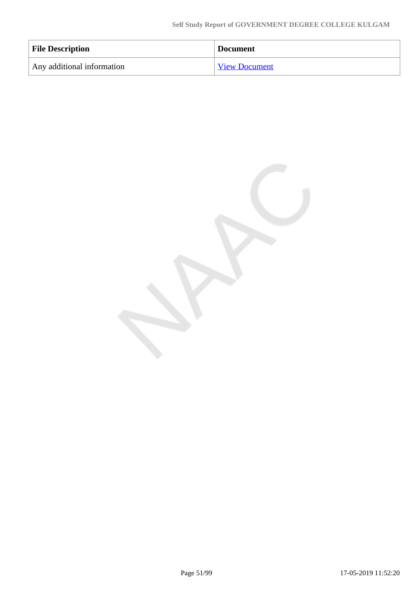| <b>File Description</b>    | <b>Document</b>      |  |
|----------------------------|----------------------|--|
| Any additional information | <b>View Document</b> |  |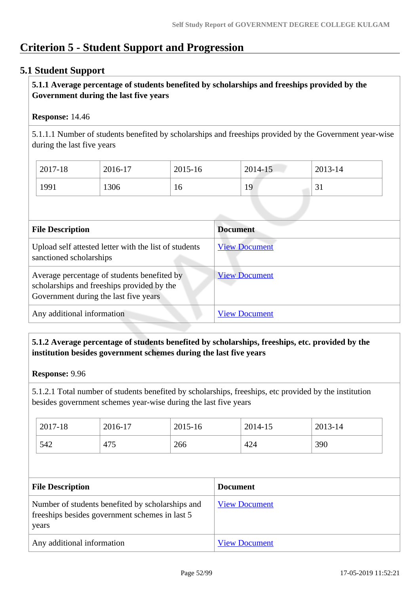## **Criterion 5 - Student Support and Progression**

#### **5.1 Student Support**

#### **5.1.1 Average percentage of students benefited by scholarships and freeships provided by the Government during the last five years**

#### **Response:** 14.46

5.1.1.1 Number of students benefited by scholarships and freeships provided by the Government year-wise during the last five years

| 2017-18 | 2016-17 | 2015-16 | 2014-15 | 2013-14 |
|---------|---------|---------|---------|---------|
| 1991    | 1306    | 16      | 19      | ◡       |

| <b>File Description</b>                                                                                                            | <b>Document</b>      |
|------------------------------------------------------------------------------------------------------------------------------------|----------------------|
| Upload self attested letter with the list of students<br>sanctioned scholarships                                                   | <b>View Document</b> |
| Average percentage of students benefited by<br>scholarships and freeships provided by the<br>Government during the last five years | <b>View Document</b> |
| Any additional information                                                                                                         | <b>View Document</b> |

#### **5.1.2 Average percentage of students benefited by scholarships, freeships, etc. provided by the institution besides government schemes during the last five years**

#### **Response:** 9.96

5.1.2.1 Total number of students benefited by scholarships, freeships, etc provided by the institution besides government schemes year-wise during the last five years

| 2017-18 | 2016-17 | 2015-16 | 2014-15 | 2013-14 |
|---------|---------|---------|---------|---------|
| 542     | 475     | 266     | 424     | 390     |

| <b>File Description</b>                                                                                      | <b>Document</b>      |
|--------------------------------------------------------------------------------------------------------------|----------------------|
| Number of students benefited by scholarships and<br>free ships besides government schemes in last 5<br>years | <b>View Document</b> |
| Any additional information                                                                                   | <b>View Document</b> |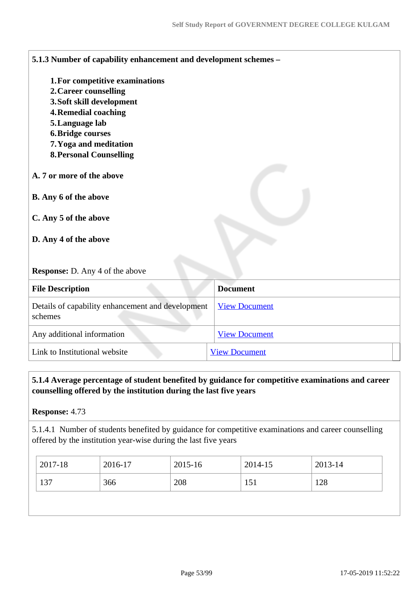| 5.1.3 Number of capability enhancement and development schemes - |                      |
|------------------------------------------------------------------|----------------------|
| 1. For competitive examinations                                  |                      |
| 2. Career counselling                                            |                      |
| 3. Soft skill development                                        |                      |
| 4. Remedial coaching                                             |                      |
| 5. Language lab                                                  |                      |
| <b>6.Bridge courses</b>                                          |                      |
| 7. Yoga and meditation                                           |                      |
| <b>8. Personal Counselling</b>                                   |                      |
| A. 7 or more of the above                                        |                      |
| B. Any 6 of the above<br>C. Any 5 of the above                   |                      |
|                                                                  |                      |
| D. Any 4 of the above                                            |                      |
|                                                                  |                      |
| <b>Response:</b> D. Any 4 of the above                           |                      |
| <b>File Description</b>                                          | <b>Document</b>      |
| Details of capability enhancement and development<br>schemes     | <b>View Document</b> |
| Any additional information                                       | <b>View Document</b> |
| Link to Institutional website                                    | <b>View Document</b> |

#### **5.1.4 Average percentage of student benefited by guidance for competitive examinations and career counselling offered by the institution during the last five years**

#### **Response:** 4.73

5.1.4.1 Number of students benefited by guidance for competitive examinations and career counselling offered by the institution year-wise during the last five years

|            | 2016-17<br>2015-16 | 2014-15           | 2013-14 |
|------------|--------------------|-------------------|---------|
| 137<br>366 | 208                | $\sim$ 1<br>1 J 1 | 128     |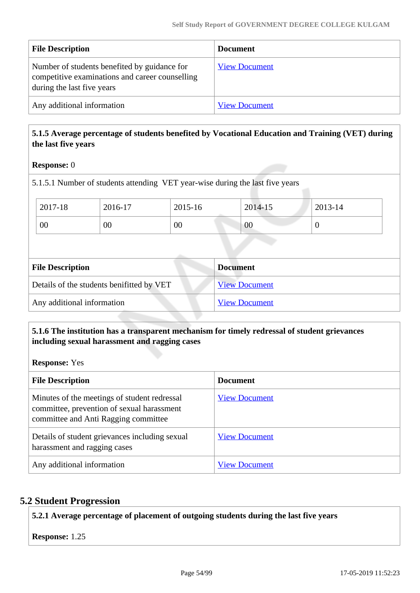| <b>File Description</b>                                                                                                       | <b>Document</b>      |
|-------------------------------------------------------------------------------------------------------------------------------|----------------------|
| Number of students benefited by guidance for<br>competitive examinations and career counselling<br>during the last five years | <b>View Document</b> |
| Any additional information                                                                                                    | <b>View Document</b> |

#### **5.1.5 Average percentage of students benefited by Vocational Education and Training (VET) during the last five years**

#### **Response:** 0

5.1.5.1 Number of students attending VET year-wise during the last five years

| 2017-18 | 2016-17 | 2015-16 | 2014-15        | 2013-14 |
|---------|---------|---------|----------------|---------|
| 00      | 00      | 00      | 0 <sup>c</sup> | ν       |

| <b>File Description</b>                   | <b>Document</b>      |  |  |
|-------------------------------------------|----------------------|--|--|
| Details of the students benifitted by VET | <b>View Document</b> |  |  |
| Any additional information                | <b>View Document</b> |  |  |

#### **5.1.6 The institution has a transparent mechanism for timely redressal of student grievances including sexual harassment and ragging cases**

**Response:** Yes

| <b>File Description</b>                                                                                                            | <b>Document</b>      |
|------------------------------------------------------------------------------------------------------------------------------------|----------------------|
| Minutes of the meetings of student redressal<br>committee, prevention of sexual harassment<br>committee and Anti Ragging committee | <b>View Document</b> |
| Details of student grievances including sexual<br>harassment and ragging cases                                                     | <b>View Document</b> |
| Any additional information                                                                                                         | <b>View Document</b> |

#### **5.2 Student Progression**

**5.2.1 Average percentage of placement of outgoing students during the last five years**

**Response:** 1.25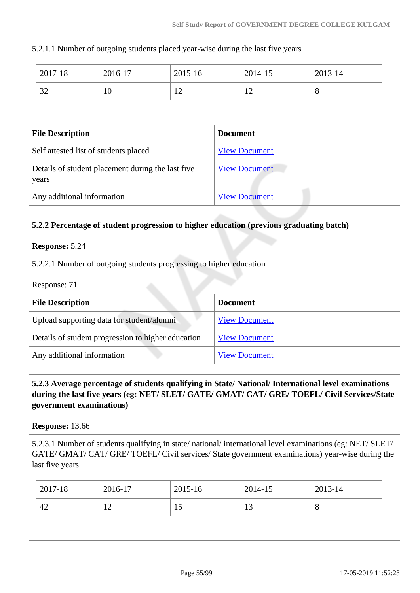|                                                            |                                            | 5.2.1.1 Number of outgoing students placed year-wise during the last five years |                      |  |         |         |  |
|------------------------------------------------------------|--------------------------------------------|---------------------------------------------------------------------------------|----------------------|--|---------|---------|--|
|                                                            | 2017-18                                    | 2016-17                                                                         | $2015 - 16$          |  | 2014-15 | 2013-14 |  |
|                                                            | 32                                         | 10                                                                              | 12                   |  | 12      | 8       |  |
|                                                            |                                            |                                                                                 |                      |  |         |         |  |
|                                                            | <b>Document</b><br><b>File Description</b> |                                                                                 |                      |  |         |         |  |
| Self attested list of students placed                      |                                            | <b>View Document</b>                                                            |                      |  |         |         |  |
| Details of student placement during the last five<br>years |                                            |                                                                                 | <b>View Document</b> |  |         |         |  |
| Any additional information                                 |                                            |                                                                                 | <b>View Document</b> |  |         |         |  |
|                                                            |                                            |                                                                                 |                      |  |         |         |  |

#### **5.2.2 Percentage of student progression to higher education (previous graduating batch)**

#### **Response:** 5.24

5.2.2.1 Number of outgoing students progressing to higher education

Response: 71

| <b>File Description</b>                            | <b>Document</b>      |
|----------------------------------------------------|----------------------|
| Upload supporting data for student/alumni          | <b>View Document</b> |
| Details of student progression to higher education | <b>View Document</b> |
| Any additional information                         | <b>View Document</b> |

#### **5.2.3 Average percentage of students qualifying in State/ National/ International level examinations during the last five years (eg: NET/ SLET/ GATE/ GMAT/ CAT/ GRE/ TOEFL/ Civil Services/State government examinations)**

**Response:** 13.66

5.2.3.1 Number of students qualifying in state/ national/ international level examinations (eg: NET/ SLET/ GATE/ GMAT/ CAT/ GRE/ TOEFL/ Civil services/ State government examinations) year-wise during the last five years

| 2017-18 | 2016-17                  | 2015-16 | 2014-15 | 2013-14 |
|---------|--------------------------|---------|---------|---------|
| 42      | $\sim$<br>$\overline{1}$ | ⊥ັ      | ⊥ັ      | O       |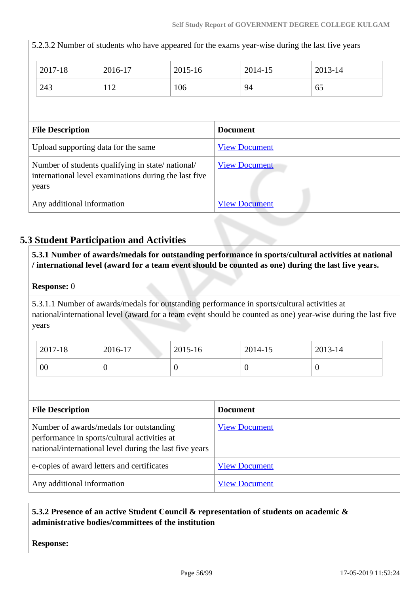|                                                                                                                    | 2017-18 | 2016-17 | $2015 - 16$          |                      | 2014-15 | 2013-14 |  |
|--------------------------------------------------------------------------------------------------------------------|---------|---------|----------------------|----------------------|---------|---------|--|
|                                                                                                                    | 243     | 112     | 106                  |                      | 94      | 65      |  |
|                                                                                                                    |         |         |                      |                      |         |         |  |
| <b>File Description</b>                                                                                            |         |         |                      | <b>Document</b>      |         |         |  |
| Upload supporting data for the same                                                                                |         |         | <b>View Document</b> |                      |         |         |  |
| Number of students qualifying in state/national/<br>international level examinations during the last five<br>years |         |         | <b>View Document</b> |                      |         |         |  |
| Any additional information                                                                                         |         |         |                      | <b>View Document</b> |         |         |  |

5.2.3.2 Number of students who have appeared for the exams year-wise during the last five years

## **5.3 Student Participation and Activities**

 **5.3.1 Number of awards/medals for outstanding performance in sports/cultural activities at national / international level (award for a team event should be counted as one) during the last five years.**

#### **Response:** 0

5.3.1.1 Number of awards/medals for outstanding performance in sports/cultural activities at national/international level (award for a team event should be counted as one) year-wise during the last five years

| 2017-18 | 2016-17 | 2015-16 | 2014-15 | 2013-14 |
|---------|---------|---------|---------|---------|
| 00      | ν       |         |         | ν       |

| <b>File Description</b>                                                                                                                            | <b>Document</b>      |
|----------------------------------------------------------------------------------------------------------------------------------------------------|----------------------|
| Number of awards/medals for outstanding<br>performance in sports/cultural activities at<br>national/international level during the last five years | <b>View Document</b> |
| e-copies of award letters and certificates                                                                                                         | <b>View Document</b> |
| Any additional information                                                                                                                         | <b>View Document</b> |

#### **5.3.2 Presence of an active Student Council & representation of students on academic & administrative bodies/committees of the institution**

**Response:**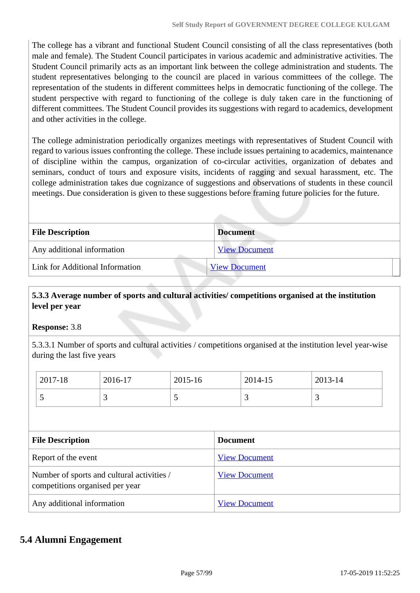The college has a vibrant and functional Student Council consisting of all the class representatives (both male and female). The Student Council participates in various academic and administrative activities. The Student Council primarily acts as an important link between the college administration and students. The student representatives belonging to the council are placed in various committees of the college. The representation of the students in different committees helps in democratic functioning of the college. The student perspective with regard to functioning of the college is duly taken care in the functioning of different committees. The Student Council provides its suggestions with regard to academics, development and other activities in the college.

The college administration periodically organizes meetings with representatives of Student Council with regard to various issues confronting the college. These include issues pertaining to academics, maintenance of discipline within the campus, organization of co-circular activities, organization of debates and seminars, conduct of tours and exposure visits, incidents of ragging and sexual harassment, etc. The college administration takes due cognizance of suggestions and observations of students in these council meetings. Due consideration is given to these suggestions before framing future policies for the future.

| <b>File Description</b>         | <b>Document</b>      |  |
|---------------------------------|----------------------|--|
| Any additional information      | <b>View Document</b> |  |
| Link for Additional Information | <b>View Document</b> |  |

#### **5.3.3 Average number of sports and cultural activities/ competitions organised at the institution level per year**

**Response:** 3.8

5.3.3.1 Number of sports and cultural activities / competitions organised at the institution level year-wise during the last five years

| 2017-18 | 2016-17 | 2015-16 | 2014-15                  | 2013-14 |
|---------|---------|---------|--------------------------|---------|
|         |         |         | $\overline{\phantom{0}}$ |         |

| <b>File Description</b>                                                       | <b>Document</b>      |
|-------------------------------------------------------------------------------|----------------------|
| Report of the event                                                           | <b>View Document</b> |
| Number of sports and cultural activities /<br>competitions organised per year | <b>View Document</b> |
| Any additional information                                                    | <b>View Document</b> |

## **5.4 Alumni Engagement**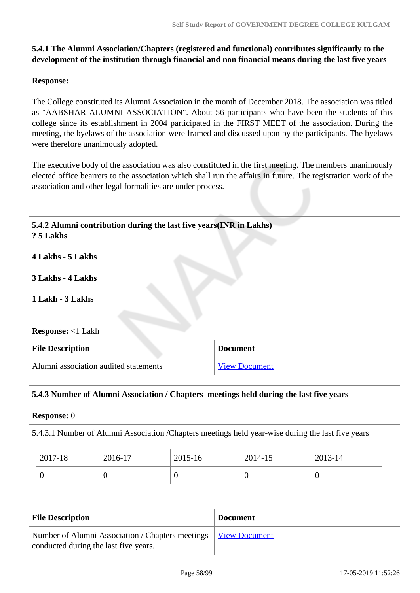## **5.4.1 The Alumni Association/Chapters (registered and functional) contributes significantly to the development of the institution through financial and non financial means during the last five years**

#### **Response:**

The College constituted its Alumni Association in the month of December 2018. The association was titled as "AABSHAR ALUMNI ASSOCIATION". About 56 participants who have been the students of this college since its establishment in 2004 participated in the FIRST MEET of the association. During the meeting, the byelaws of the association were framed and discussed upon by the participants. The byelaws were therefore unanimously adopted.

The executive body of the association was also constituted in the first meeting. The members unanimously elected office bearrers to the association which shall run the affairs in future. The registration work of the association and other legal formalities are under process.

| 5.4.2 Alumni contribution during the last five years(INR in Lakhs)<br>? 5 Lakhs |                      |  |
|---------------------------------------------------------------------------------|----------------------|--|
| 4 Lakhs - 5 Lakhs                                                               |                      |  |
| 3 Lakhs - 4 Lakhs                                                               |                      |  |
| 1 Lakh - 3 Lakhs                                                                |                      |  |
| <b>Response:</b> <1 Lakh                                                        |                      |  |
| <b>File Description</b>                                                         | <b>Document</b>      |  |
| Alumni association audited statements                                           | <b>View Document</b> |  |

#### **5.4.3 Number of Alumni Association / Chapters meetings held during the last five years**

#### **Response:** 0

5.4.3.1 Number of Alumni Association /Chapters meetings held year-wise during the last five years

| 2017-18 | 2016-17 | 2015-16 | 2014-15 | 2013-14 |
|---------|---------|---------|---------|---------|
| ν       | ີ       | ◡       | ◡       | v       |

| <b>File Description</b>                                                                                   | <b>Document</b> |
|-----------------------------------------------------------------------------------------------------------|-----------------|
| Number of Alumni Association / Chapters meetings   View Document<br>conducted during the last five years. |                 |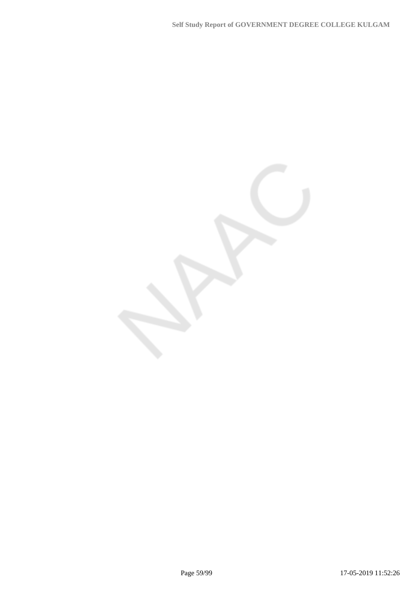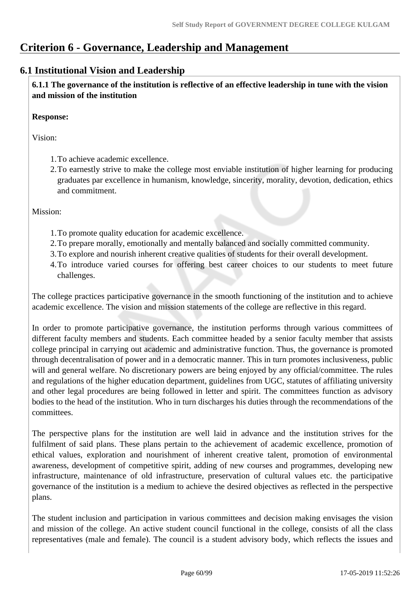## **Criterion 6 - Governance, Leadership and Management**

## **6.1 Institutional Vision and Leadership**

 **6.1.1 The governance of the institution is reflective of an effective leadership in tune with the vision and mission of the institution**

#### **Response:**

Vision:

- 1.To achieve academic excellence.
- 2.To earnestly strive to make the college most enviable institution of higher learning for producing graduates par excellence in humanism, knowledge, sincerity, morality, devotion, dedication, ethics and commitment.

Mission:

- 1.To promote quality education for academic excellence.
- 2.To prepare morally, emotionally and mentally balanced and socially committed community.
- 3.To explore and nourish inherent creative qualities of students for their overall development.
- 4.To introduce varied courses for offering best career choices to our students to meet future challenges.

The college practices participative governance in the smooth functioning of the institution and to achieve academic excellence. The vision and mission statements of the college are reflective in this regard.

In order to promote participative governance, the institution performs through various committees of different faculty members and students. Each committee headed by a senior faculty member that assists college principal in carrying out academic and administrative function. Thus, the governance is promoted through decentralisation of power and in a democratic manner. This in turn promotes inclusiveness, public will and general welfare. No discretionary powers are being enjoyed by any official/committee. The rules and regulations of the higher education department, guidelines from UGC, statutes of affiliating university and other legal procedures are being followed in letter and spirit. The committees function as advisory bodies to the head of the institution. Who in turn discharges his duties through the recommendations of the committees.

The perspective plans for the institution are well laid in advance and the institution strives for the fulfilment of said plans. These plans pertain to the achievement of academic excellence, promotion of ethical values, exploration and nourishment of inherent creative talent, promotion of environmental awareness, development of competitive spirit, adding of new courses and programmes, developing new infrastructure, maintenance of old infrastructure, preservation of cultural values etc. the participative governance of the institution is a medium to achieve the desired objectives as reflected in the perspective plans.

The student inclusion and participation in various committees and decision making envisages the vision and mission of the college. An active student council functional in the college, consists of all the class representatives (male and female). The council is a student advisory body, which reflects the issues and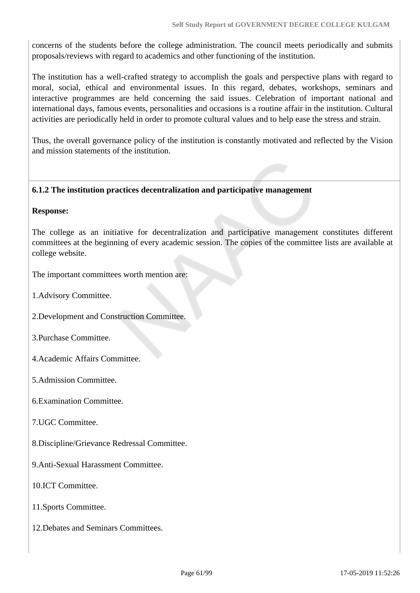concerns of the students before the college administration. The council meets periodically and submits proposals/reviews with regard to academics and other functioning of the institution.

The institution has a well-crafted strategy to accomplish the goals and perspective plans with regard to moral, social, ethical and environmental issues. In this regard, debates, workshops, seminars and interactive programmes are held concerning the said issues. Celebration of important national and international days, famous events, personalities and occasions is a routine affair in the institution. Cultural activities are periodically held in order to promote cultural values and to help ease the stress and strain.

Thus, the overall governance policy of the institution is constantly motivated and reflected by the Vision and mission statements of the institution.

#### **6.1.2 The institution practices decentralization and participative management**

#### **Response:**

The college as an initiative for decentralization and participative management constitutes different committees at the beginning of every academic session. The copies of the committee lists are available at college website.

The important committees worth mention are:

- 1.Advisory Committee.
- 2.Development and Construction Committee.
- 3.Purchase Committee.
- 4.Academic Affairs Committee.
- 5.Admission Committee.
- 6.Examination Committee.
- 7.UGC Committee.
- 8.Discipline/Grievance Redressal Committee.
- 9.Anti-Sexual Harassment Committee.
- 10.ICT Committee.
- 11.Sports Committee.
- 12.Debates and Seminars Committees.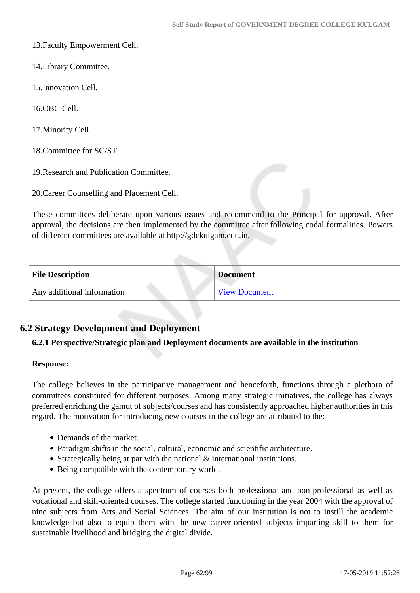13.Faculty Empowerment Cell.

14.Library Committee.

15.Innovation Cell.

16.OBC Cell.

17.Minority Cell.

18.Committee for SC/ST.

19.Research and Publication Committee.

20.Career Counselling and Placement Cell.

These committees deliberate upon various issues and recommend to the Principal for approval. After approval, the decisions are then implemented by the committee after following codal formalities. Powers of different committees are available at http://gdckulgam.edu.in.

| <b>File Description</b>    | <b>Document</b>      |
|----------------------------|----------------------|
| Any additional information | <b>View Document</b> |

## **6.2 Strategy Development and Deployment**

#### **6.2.1 Perspective/Strategic plan and Deployment documents are available in the institution**

#### **Response:**

The college believes in the participative management and henceforth, functions through a plethora of committees constituted for different purposes. Among many strategic initiatives, the college has always preferred enriching the gamut of subjects/courses and has consistently approached higher authorities in this regard. The motivation for introducing new courses in the college are attributed to the:

- Demands of the market.
- Paradigm shifts in the social, cultural, economic and scientific architecture.
- Strategically being at par with the national & international institutions.
- Being compatible with the contemporary world.

At present, the college offers a spectrum of courses both professional and non-professional as well as vocational and skill-oriented courses. The college started functioning in the year 2004 with the approval of nine subjects from Arts and Social Sciences. The aim of our institution is not to instill the academic knowledge but also to equip them with the new career-oriented subjects imparting skill to them for sustainable livelihood and bridging the digital divide.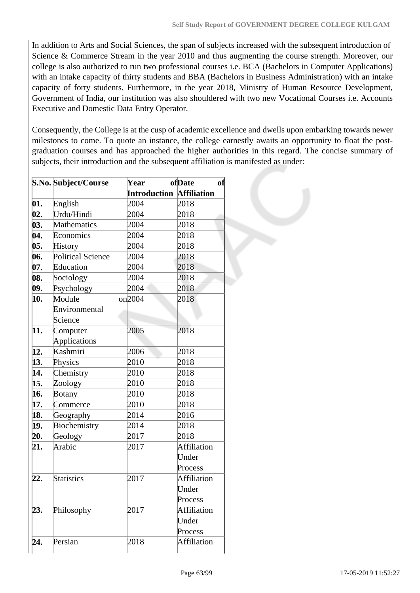In addition to Arts and Social Sciences, the span of subjects increased with the subsequent introduction of Science & Commerce Stream in the year 2010 and thus augmenting the course strength. Moreover, our college is also authorized to run two professional courses i.e. BCA (Bachelors in Computer Applications) with an intake capacity of thirty students and BBA (Bachelors in Business Administration) with an intake capacity of forty students. Furthermore, in the year 2018, Ministry of Human Resource Development, Government of India, our institution was also shouldered with two new Vocational Courses i.e. Accounts Executive and Domestic Data Entry Operator.

Consequently, the College is at the cusp of academic excellence and dwells upon embarking towards newer milestones to come. To quote an instance, the college earnestly awaits an opportunity to float the postgraduation courses and has approached the higher authorities in this regard. The concise summary of subjects, their introduction and the subsequent affiliation is manifested as under:

|     | S.No. Subject/Course     | Year                            | ofDate<br>of       |
|-----|--------------------------|---------------------------------|--------------------|
|     |                          | <b>Introduction Affiliation</b> |                    |
| 01. | English                  | 2004                            | 2018               |
| 02. | Urdu/Hindi               | 2004                            | 2018               |
| 03. | <b>Mathematics</b>       | 2004                            | 2018               |
| 04. | Economics                | 2004                            | 2018               |
| 05. | <b>History</b>           | 2004                            | 2018               |
| 06. | <b>Political Science</b> | 2004                            | 2018               |
| 07. | Education                | 2004                            | 2018               |
| 08. | Sociology                | 2004                            | 2018               |
| 09. | Psychology               | 2004                            | 2018               |
| 10. | Module                   | on <sub>2004</sub>              | 2018               |
|     | Environmental            |                                 |                    |
|     | Science                  |                                 |                    |
| 11. | Computer                 | 2005                            | 2018               |
|     | Applications             |                                 |                    |
| 12. | Kashmiri                 | 2006                            | 2018               |
| 13. | Physics                  | 2010                            | 2018               |
| 14. | Chemistry                | 2010                            | 2018               |
| 15. | Zoology                  | 2010                            | 2018               |
| 16. | <b>Botany</b>            | 2010                            | 2018               |
| 17. | Commerce                 | 2010                            | 2018               |
| 18. | Geography                | 2014                            | 2016               |
| 19. | Biochemistry             | 2014                            | 2018               |
| 20. | Geology                  | 2017                            | 2018               |
| 21. | Arabic                   | 2017                            | <b>Affiliation</b> |
|     |                          |                                 | Under              |
|     |                          |                                 | Process            |
| 22. | <b>Statistics</b>        | 2017                            | <b>Affiliation</b> |
|     |                          |                                 | Under              |
|     |                          |                                 | Process            |
| 23. | Philosophy               | 2017                            | <b>Affiliation</b> |
|     |                          |                                 | Under              |
|     |                          |                                 | Process            |
| 24. | Persian                  | 2018                            | Affiliation        |
|     |                          |                                 |                    |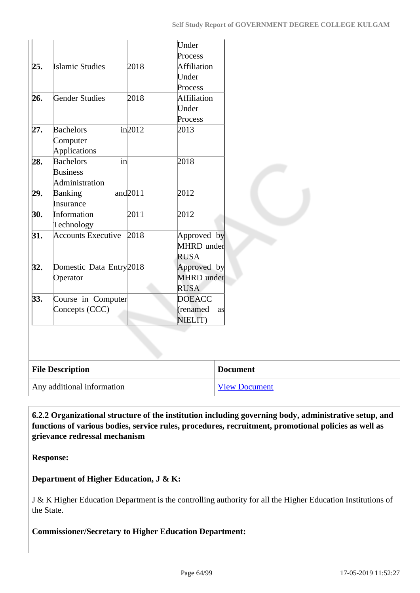|                |                                              |            | Under         |                      |
|----------------|----------------------------------------------|------------|---------------|----------------------|
|                |                                              |            | Process       |                      |
| 25.            | Islamic Studies                              | 2018       | Affiliation   |                      |
|                |                                              |            | Under         |                      |
|                |                                              |            | Process       |                      |
| 26.            | <b>Gender Studies</b>                        | 2018       | Affiliation   |                      |
|                |                                              |            | Under         |                      |
|                |                                              |            | Process       |                      |
| 27.            | <b>Bachelors</b><br>Computer<br>Applications | in2012     | 2013          |                      |
| 28.            | in<br><b>Bachelors</b>                       |            | 2018          |                      |
|                | <b>Business</b>                              |            |               |                      |
|                | Administration                               |            |               |                      |
| 29.            | <b>Banking</b>                               | and $2011$ | 2012          |                      |
|                | Insurance                                    |            |               |                      |
| 30.            | Information                                  | 2011       | 2012          |                      |
|                | Technology                                   |            |               |                      |
| 31.            | <b>Accounts Executive</b>                    | 2018       | Approved by   |                      |
|                |                                              |            | MHRD under    |                      |
|                |                                              |            | <b>RUSA</b>   |                      |
| $\mathbf{32.}$ | Domestic Data Entry <sub>2018</sub>          |            | Approved by   |                      |
|                | Operator                                     |            | MHRD under    |                      |
|                |                                              |            | <b>RUSA</b>   |                      |
| 33.            | Course in Computer                           |            | <b>DOEACC</b> |                      |
|                | Concepts (CCC)                               |            | (renamed      | as                   |
|                |                                              |            | NIELIT)       |                      |
|                |                                              |            |               |                      |
|                |                                              |            |               |                      |
|                |                                              |            |               |                      |
|                | <b>File Description</b>                      |            |               | <b>Document</b>      |
|                | Any additional information                   |            |               | <b>View Document</b> |

 **6.2.2 Organizational structure of the institution including governing body, administrative setup, and functions of various bodies, service rules, procedures, recruitment, promotional policies as well as grievance redressal mechanism**

**Response:** 

**Department of Higher Education, J & K:**

J & K Higher Education Department is the controlling authority for all the Higher Education Institutions of the State.

**Commissioner/Secretary to Higher Education Department:**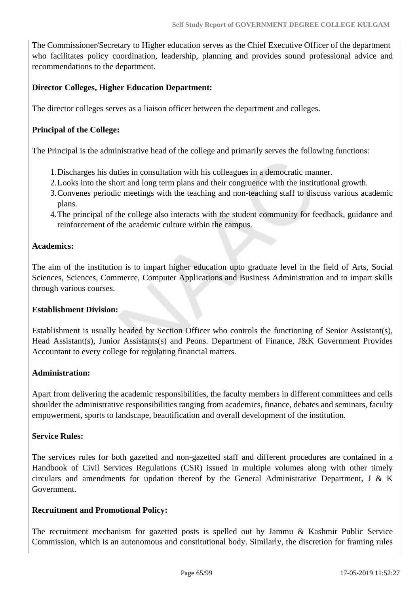The Commissioner/Secretary to Higher education serves as the Chief Executive Officer of the department who facilitates policy coordination, leadership, planning and provides sound professional advice and recommendations to the department.

#### **Director Colleges, Higher Education Department:**

The director colleges serves as a liaison officer between the department and colleges.

#### **Principal of the College:**

The Principal is the administrative head of the college and primarily serves the following functions:

- 1.Discharges his duties in consultation with his colleagues in a democratic manner.
- 2.Looks into the short and long term plans and their congruence with the institutional growth.
- 3.Convenes periodic meetings with the teaching and non-teaching staff to discuss various academic plans.
- 4.The principal of the college also interacts with the student community for feedback, guidance and reinforcement of the academic culture within the campus.

#### **Academics:**

The aim of the institution is to impart higher education upto graduate level in the field of Arts, Social Sciences, Sciences, Commerce, Computer Applications and Business Administration and to impart skills through various courses.

#### **Establishment Division:**

Establishment is usually headed by Section Officer who controls the functioning of Senior Assistant(s), Head Assistant(s), Junior Assistants(s) and Peons. Department of Finance, J&K Government Provides Accountant to every college for regulating financial matters.

#### **Administration:**

Apart from delivering the academic responsibilities, the faculty members in different committees and cells shoulder the administrative responsibilities ranging from academics, finance, debates and seminars, faculty empowerment, sports to landscape, beautification and overall development of the institution.

#### **Service Rules:**

The services rules for both gazetted and non-gazetted staff and different procedures are contained in a Handbook of Civil Services Regulations (CSR) issued in multiple volumes along with other timely circulars and amendments for updation thereof by the General Administrative Department, J & K Government.

#### **Recruitment and Promotional Policy:**

The recruitment mechanism for gazetted posts is spelled out by Jammu & Kashmir Public Service Commission, which is an autonomous and constitutional body. Similarly, the discretion for framing rules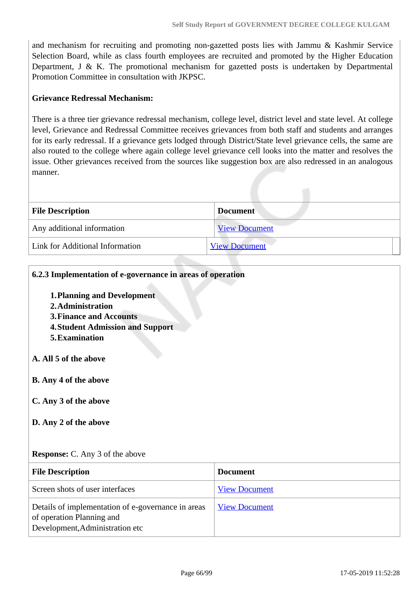and mechanism for recruiting and promoting non-gazetted posts lies with Jammu & Kashmir Service Selection Board, while as class fourth employees are recruited and promoted by the Higher Education Department, J & K. The promotional mechanism for gazetted posts is undertaken by Departmental Promotion Committee in consultation with JKPSC.

#### **Grievance Redressal Mechanism:**

There is a three tier grievance redressal mechanism, college level, district level and state level. At college level, Grievance and Redressal Committee receives grievances from both staff and students and arranges for its early redressal. If a grievance gets lodged through District/State level grievance cells, the same are also routed to the college where again college level grievance cell looks into the matter and resolves the issue. Other grievances received from the sources like suggestion box are also redressed in an analogous manner.

| <b>File Description</b>         | <b>Document</b>      |  |
|---------------------------------|----------------------|--|
| Any additional information      | <b>View Document</b> |  |
| Link for Additional Information | <b>View Document</b> |  |

#### **6.2.3 Implementation of e-governance in areas of operation**

- **1.Planning and Development**
- **2.Administration**
- **3.Finance and Accounts**
- **4.Student Admission and Support**
- **5.Examination**
- **A. All 5 of the above**
- **B. Any 4 of the above**
- **C. Any 3 of the above**
- **D. Any 2 of the above**

#### **Response:** C. Any 3 of the above

| <b>File Description</b>                                                                                            | <b>Document</b>      |
|--------------------------------------------------------------------------------------------------------------------|----------------------|
| Screen shots of user interfaces                                                                                    | <b>View Document</b> |
| Details of implementation of e-governance in areas<br>of operation Planning and<br>Development, Administration etc | <b>View Document</b> |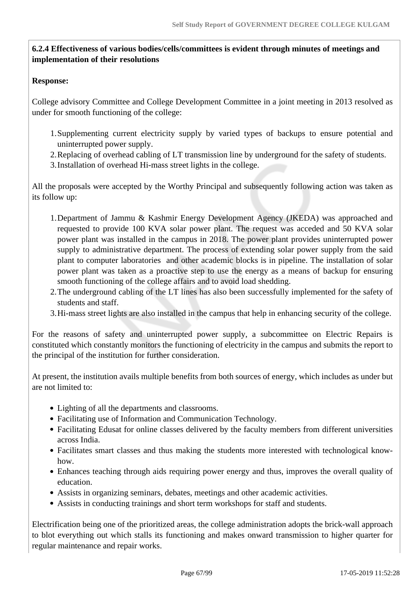#### **6.2.4 Effectiveness of various bodies/cells/committees is evident through minutes of meetings and implementation of their resolutions**

#### **Response:**

College advisory Committee and College Development Committee in a joint meeting in 2013 resolved as under for smooth functioning of the college:

- 1.Supplementing current electricity supply by varied types of backups to ensure potential and uninterrupted power supply.
- 2.Replacing of overhead cabling of LT transmission line by underground for the safety of students.
- 3.Installation of overhead Hi-mass street lights in the college.

All the proposals were accepted by the Worthy Principal and subsequently following action was taken as its follow up:

- 1.Department of Jammu & Kashmir Energy Development Agency (JKEDA) was approached and requested to provide 100 KVA solar power plant. The request was acceded and 50 KVA solar power plant was installed in the campus in 2018. The power plant provides uninterrupted power supply to administrative department. The process of extending solar power supply from the said plant to computer laboratories and other academic blocks is in pipeline. The installation of solar power plant was taken as a proactive step to use the energy as a means of backup for ensuring smooth functioning of the college affairs and to avoid load shedding.
- 2.The underground cabling of the LT lines has also been successfully implemented for the safety of students and staff.
- 3.Hi-mass street lights are also installed in the campus that help in enhancing security of the college.

For the reasons of safety and uninterrupted power supply, a subcommittee on Electric Repairs is constituted which constantly monitors the functioning of electricity in the campus and submits the report to the principal of the institution for further consideration.

At present, the institution avails multiple benefits from both sources of energy, which includes as under but are not limited to:

- Lighting of all the departments and classrooms.
- Facilitating use of Information and Communication Technology.
- Facilitating Edusat for online classes delivered by the faculty members from different universities across India.
- Facilitates smart classes and thus making the students more interested with technological knowhow.
- Enhances teaching through aids requiring power energy and thus, improves the overall quality of education.
- Assists in organizing seminars, debates, meetings and other academic activities.
- Assists in conducting trainings and short term workshops for staff and students.

Electrification being one of the prioritized areas, the college administration adopts the brick-wall approach to blot everything out which stalls its functioning and makes onward transmission to higher quarter for regular maintenance and repair works.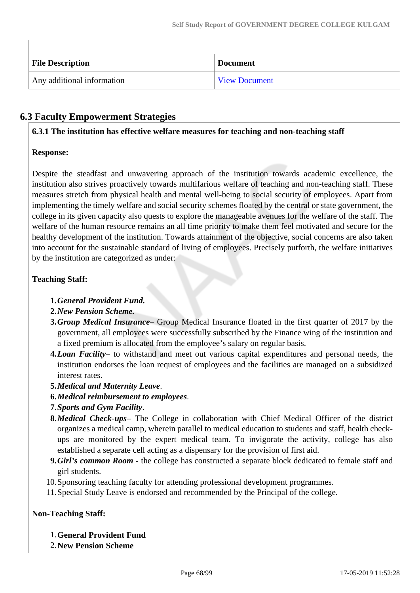| <b>File Description</b>    | <b>Document</b>      |
|----------------------------|----------------------|
| Any additional information | <b>View Document</b> |

## **6.3 Faculty Empowerment Strategies**

#### **6.3.1 The institution has effective welfare measures for teaching and non-teaching staff**

#### **Response:**

Despite the steadfast and unwavering approach of the institution towards academic excellence, the institution also strives proactively towards multifarious welfare of teaching and non-teaching staff. These measures stretch from physical health and mental well-being to social security of employees. Apart from implementing the timely welfare and social security schemes floated by the central or state government, the college in its given capacity also quests to explore the manageable avenues for the welfare of the staff. The welfare of the human resource remains an all time priority to make them feel motivated and secure for the healthy development of the institution. Towards attainment of the objective, social concerns are also taken into account for the sustainable standard of living of employees. Precisely putforth, the welfare initiatives by the institution are categorized as under:

#### **Teaching Staff:**

- **1.***General Provident Fund.*
- **2.***New Pension Scheme.*
- **3.***Group Medical Insurance* Group Medical Insurance floated in the first quarter of 2017 by the government, all employees were successfully subscribed by the Finance wing of the institution and a fixed premium is allocated from the employee's salary on regular basis.
- **4.***Loan Facility* to withstand and meet out various capital expenditures and personal needs, the institution endorses the loan request of employees and the facilities are managed on a subsidized interest rates.
- **5.***Medical and Maternity Leave*.
- **6.***Medical reimbursement to employees*.
- **7.***Sports and Gym Facility*.
- **8.***Medical Check-ups* The College in collaboration with Chief Medical Officer of the district organizes a medical camp, wherein parallel to medical education to students and staff, health checkups are monitored by the expert medical team. To invigorate the activity, college has also established a separate cell acting as a dispensary for the provision of first aid.
- **9.***Girl's common Room* the college has constructed a separate block dedicated to female staff and girl students.
- 10.Sponsoring teaching faculty for attending professional development programmes.
- 11.Special Study Leave is endorsed and recommended by the Principal of the college.

#### **Non-Teaching Staff:**

- 1.**General Provident Fund**
- 2.**New Pension Scheme**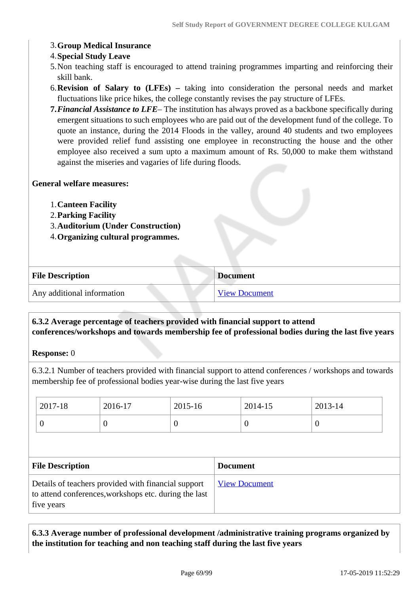#### 3.**Group Medical Insurance**

#### 4.**Special Study Leave**

- 5.Non teaching staff is encouraged to attend training programmes imparting and reinforcing their skill bank.
- 6.**Revision of Salary to (LFEs)** taking into consideration the personal needs and market fluctuations like price hikes, the college constantly revises the pay structure of LFEs.
- **7.***Financial Assistance to LFE* The institution has always proved as a backbone specifically during emergent situations to such employees who are paid out of the development fund of the college. To quote an instance, during the 2014 Floods in the valley, around 40 students and two employees were provided relief fund assisting one employee in reconstructing the house and the other employee also received a sum upto a maximum amount of Rs. 50,000 to make them withstand against the miseries and vagaries of life during floods.

#### **General welfare measures:**

- 1.**Canteen Facility**
- 2.**Parking Facility**
- 3.**Auditorium (Under Construction)**
- 4.**Organizing cultural programmes.**

| <b>File Description</b>    | <b>Document</b>      |
|----------------------------|----------------------|
| Any additional information | <b>View Document</b> |

#### **6.3.2 Average percentage of teachers provided with financial support to attend conferences/workshops and towards membership fee of professional bodies during the last five years**

#### **Response:** 0

6.3.2.1 Number of teachers provided with financial support to attend conferences / workshops and towards membership fee of professional bodies year-wise during the last five years

| 2017-18                 | 2016-17  | 2015-16  |                 | 2014-15          | 2013-14 |
|-------------------------|----------|----------|-----------------|------------------|---------|
| 0                       | $\theta$ | $\theta$ |                 | $\boldsymbol{0}$ | O       |
|                         |          |          |                 |                  |         |
|                         |          |          |                 |                  |         |
|                         |          |          |                 |                  |         |
| <b>File Description</b> |          |          | <b>Document</b> |                  |         |

 **6.3.3 Average number of professional development /administrative training programs organized by the institution for teaching and non teaching staff during the last five years**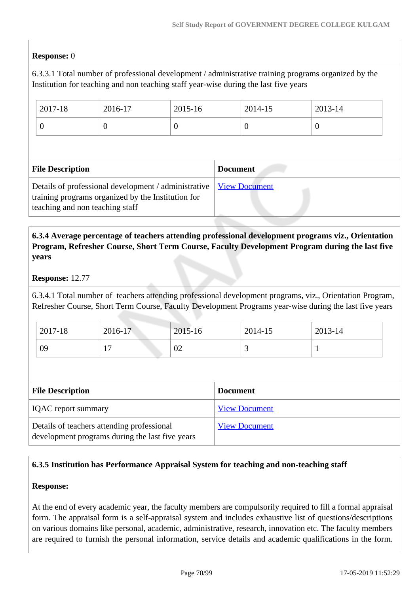#### **Response:** 0

6.3.3.1 Total number of professional development / administrative training programs organized by the Institution for teaching and non teaching staff year-wise during the last five years

| 2017-18                                                                                                                                       | 2016-17  | 2015-16         |                      | 2014-15  | 2013-14 |
|-----------------------------------------------------------------------------------------------------------------------------------------------|----------|-----------------|----------------------|----------|---------|
| $\overline{0}$                                                                                                                                | $\theta$ | $\theta$        |                      | $\theta$ |         |
|                                                                                                                                               |          |                 |                      |          |         |
| <b>File Description</b>                                                                                                                       |          | <b>Document</b> |                      |          |         |
| Details of professional development / administrative<br>training programs organized by the Institution for<br>teaching and non teaching staff |          |                 | <b>View Document</b> |          |         |

#### **6.3.4 Average percentage of teachers attending professional development programs viz., Orientation Program, Refresher Course, Short Term Course, Faculty Development Program during the last five years**

#### **Response:** 12.77

6.3.4.1 Total number of teachers attending professional development programs, viz., Orientation Program, Refresher Course, Short Term Course, Faculty Development Programs year-wise during the last five years

| 2017-18 | 2016-17                             | $2015 - 16$ | 2014-15 | 2013-14 |
|---------|-------------------------------------|-------------|---------|---------|
| 09      | $\overline{ }$<br><b>*</b> <i>*</i> | 02          | ັ       |         |

| <b>File Description</b>                                                                       | <b>Document</b>      |
|-----------------------------------------------------------------------------------------------|----------------------|
| <b>IQAC</b> report summary                                                                    | <b>View Document</b> |
| Details of teachers attending professional<br>development programs during the last five years | <b>View Document</b> |

#### **6.3.5 Institution has Performance Appraisal System for teaching and non-teaching staff**

#### **Response:**

At the end of every academic year, the faculty members are compulsorily required to fill a formal appraisal form. The appraisal form is a self-appraisal system and includes exhaustive list of questions/descriptions on various domains like personal, academic, administrative, research, innovation etc. The faculty members are required to furnish the personal information, service details and academic qualifications in the form.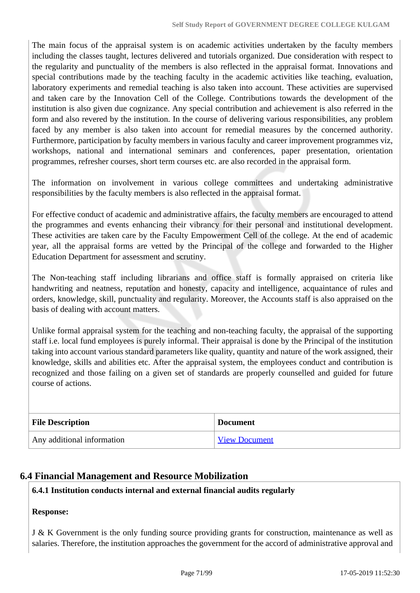The main focus of the appraisal system is on academic activities undertaken by the faculty members including the classes taught, lectures delivered and tutorials organized. Due consideration with respect to the regularity and punctuality of the members is also reflected in the appraisal format. Innovations and special contributions made by the teaching faculty in the academic activities like teaching, evaluation, laboratory experiments and remedial teaching is also taken into account. These activities are supervised and taken care by the Innovation Cell of the College. Contributions towards the development of the institution is also given due cognizance. Any special contribution and achievement is also referred in the form and also revered by the institution. In the course of delivering various responsibilities, any problem faced by any member is also taken into account for remedial measures by the concerned authority. Furthermore, participation by faculty members in various faculty and career improvement programmes viz, workshops, national and international seminars and conferences, paper presentation, orientation programmes, refresher courses, short term courses etc. are also recorded in the appraisal form.

The information on involvement in various college committees and undertaking administrative responsibilities by the faculty members is also reflected in the appraisal format.

For effective conduct of academic and administrative affairs, the faculty members are encouraged to attend the programmes and events enhancing their vibrancy for their personal and institutional development. These activities are taken care by the Faculty Empowerment Cell of the college. At the end of academic year, all the appraisal forms are vetted by the Principal of the college and forwarded to the Higher Education Department for assessment and scrutiny.

The Non-teaching staff including librarians and office staff is formally appraised on criteria like handwriting and neatness, reputation and honesty, capacity and intelligence, acquaintance of rules and orders, knowledge, skill, punctuality and regularity. Moreover, the Accounts staff is also appraised on the basis of dealing with account matters.

Unlike formal appraisal system for the teaching and non-teaching faculty, the appraisal of the supporting staff i.e. local fund employees is purely informal. Their appraisal is done by the Principal of the institution taking into account various standard parameters like quality, quantity and nature of the work assigned, their knowledge, skills and abilities etc. After the appraisal system, the employees conduct and contribution is recognized and those failing on a given set of standards are properly counselled and guided for future course of actions.

| <b>File Description</b>    | <b>Document</b>      |
|----------------------------|----------------------|
| Any additional information | <b>View Document</b> |

#### **6.4 Financial Management and Resource Mobilization**

#### **6.4.1 Institution conducts internal and external financial audits regularly**

#### **Response:**

J & K Government is the only funding source providing grants for construction, maintenance as well as salaries. Therefore, the institution approaches the government for the accord of administrative approval and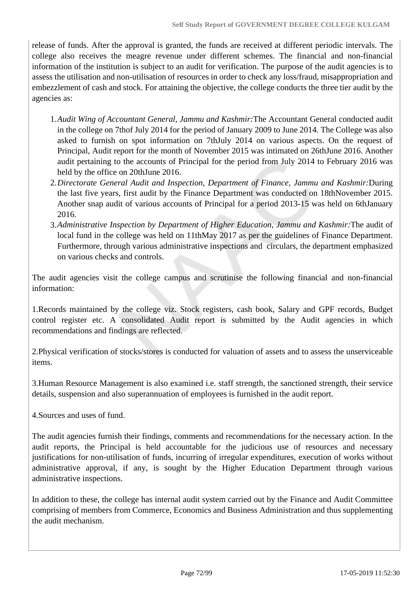release of funds. After the approval is granted, the funds are received at different periodic intervals. The college also receives the meagre revenue under different schemes. The financial and non-financial information of the institution is subject to an audit for verification. The purpose of the audit agencies is to assess the utilisation and non-utilisation of resources in order to check any loss/fraud, misappropriation and embezzlement of cash and stock. For attaining the objective, the college conducts the three tier audit by the agencies as:

- 1.*Audit Wing of Accountant General, Jammu and Kashmir:*The Accountant General conducted audit in the college on 7thof July 2014 for the period of January 2009 to June 2014. The College was also asked to furnish on spot information on 7thJuly 2014 on various aspects. On the request of Principal, Audit report for the month of November 2015 was intimated on 26thJune 2016. Another audit pertaining to the accounts of Principal for the period from July 2014 to February 2016 was held by the office on 20thJune 2016.
- 2.*Directorate General Audit and Inspection, Department of Finance, Jammu and Kashmir:*During the last five years, first audit by the Finance Department was conducted on 18thNovember 2015. Another snap audit of various accounts of Principal for a period 2013-15 was held on 6thJanuary 2016.
- 3.*Administrative Inspection by Department of Higher Education, Jammu and Kashmir:*The audit of local fund in the college was held on 11thMay 2017 as per the guidelines of Finance Department. Furthermore, through various administrative inspections and circulars, the department emphasized on various checks and controls.

The audit agencies visit the college campus and scrutinise the following financial and non-financial information:

1.Records maintained by the college viz. Stock registers, cash book, Salary and GPF records, Budget control register etc. A consolidated Audit report is submitted by the Audit agencies in which recommendations and findings are reflected.

2.Physical verification of stocks/stores is conducted for valuation of assets and to assess the unserviceable items.

3.Human Resource Management is also examined i.e. staff strength, the sanctioned strength, their service details, suspension and also superannuation of employees is furnished in the audit report.

4.Sources and uses of fund.

The audit agencies furnish their findings, comments and recommendations for the necessary action. In the audit reports, the Principal is held accountable for the judicious use of resources and necessary justifications for non-utilisation of funds, incurring of irregular expenditures, execution of works without administrative approval, if any, is sought by the Higher Education Department through various administrative inspections.

In addition to these, the college has internal audit system carried out by the Finance and Audit Committee comprising of members from Commerce, Economics and Business Administration and thus supplementing the audit mechanism.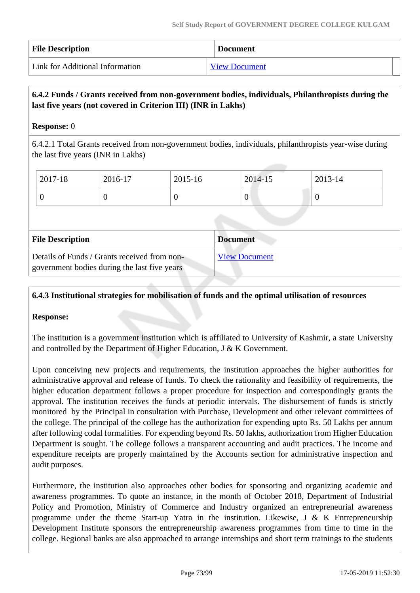| <b>File Description</b>         | <b>Document</b>      |
|---------------------------------|----------------------|
| Link for Additional Information | <b>View Document</b> |

## **6.4.2 Funds / Grants received from non-government bodies, individuals, Philanthropists during the last five years (not covered in Criterion III) (INR in Lakhs)**

## **Response:** 0

6.4.2.1 Total Grants received from non-government bodies, individuals, philanthropists year-wise during the last five years (INR in Lakhs)

| 2017-18 | 2016-17 | 2015-16 | 2014-15 | 2013-14 |
|---------|---------|---------|---------|---------|
|         | ν       |         | v       |         |

| <b>File Description</b>                                                                      | <b>Document</b>      |
|----------------------------------------------------------------------------------------------|----------------------|
| Details of Funds / Grants received from non-<br>government bodies during the last five years | <b>View Document</b> |

## **6.4.3 Institutional strategies for mobilisation of funds and the optimal utilisation of resources**

## **Response:**

The institution is a government institution which is affiliated to University of Kashmir, a state University and controlled by the Department of Higher Education,  $J & K$  Government.

Upon conceiving new projects and requirements, the institution approaches the higher authorities for administrative approval and release of funds. To check the rationality and feasibility of requirements, the higher education department follows a proper procedure for inspection and correspondingly grants the approval. The institution receives the funds at periodic intervals. The disbursement of funds is strictly monitored by the Principal in consultation with Purchase, Development and other relevant committees of the college. The principal of the college has the authorization for expending upto Rs. 50 Lakhs per annum after following codal formalities. For expending beyond Rs. 50 lakhs, authorization from Higher Education Department is sought. The college follows a transparent accounting and audit practices. The income and expenditure receipts are properly maintained by the Accounts section for administrative inspection and audit purposes.

Furthermore, the institution also approaches other bodies for sponsoring and organizing academic and awareness programmes. To quote an instance, in the month of October 2018, Department of Industrial Policy and Promotion, Ministry of Commerce and Industry organized an entrepreneurial awareness programme under the theme Start-up Yatra in the institution. Likewise, J & K Entrepreneurship Development Institute sponsors the entrepreneurship awareness programmes from time to time in the college. Regional banks are also approached to arrange internships and short term trainings to the students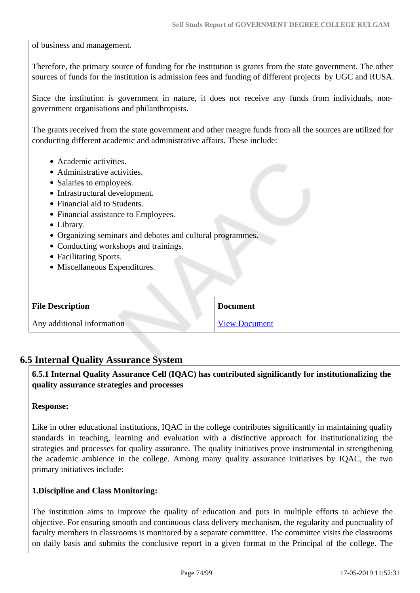of business and management.

Therefore, the primary source of funding for the institution is grants from the state government. The other sources of funds for the institution is admission fees and funding of different projects by UGC and RUSA.

Since the institution is government in nature, it does not receive any funds from individuals, nongovernment organisations and philanthropists.

The grants received from the state government and other meagre funds from all the sources are utilized for conducting different academic and administrative affairs. These include:

- Academic activities.
- Administrative activities.
- Salaries to employees.
- Infrastructural development.
- Financial aid to Students.
- Financial assistance to Employees.
- Library.
- Organizing seminars and debates and cultural programmes.
- Conducting workshops and trainings.
- Facilitating Sports.
- Miscellaneous Expenditures.

| <b>File Description</b>    | <b>Document</b>      |
|----------------------------|----------------------|
| Any additional information | <b>View Document</b> |

## **6.5 Internal Quality Assurance System**

 **6.5.1 Internal Quality Assurance Cell (IQAC) has contributed significantly for institutionalizing the quality assurance strategies and processes**

## **Response:**

Like in other educational institutions, IQAC in the college contributes significantly in maintaining quality standards in teaching, learning and evaluation with a distinctive approach for institutionalizing the strategies and processes for quality assurance. The quality initiatives prove instrumental in strengthening the academic ambience in the college. Among many quality assurance initiatives by IQAC, the two primary initiatives include:

## **1.Discipline and Class Monitoring:**

The institution aims to improve the quality of education and puts in multiple efforts to achieve the objective. For ensuring smooth and continuous class delivery mechanism, the regularity and punctuality of faculty members in classrooms is monitored by a separate committee. The committee visits the classrooms on daily basis and submits the conclusive report in a given format to the Principal of the college. The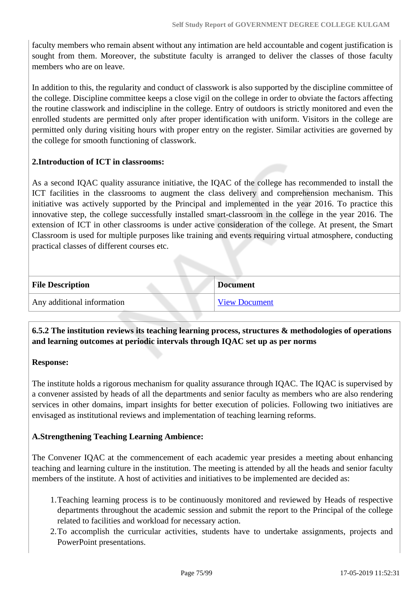faculty members who remain absent without any intimation are held accountable and cogent justification is sought from them. Moreover, the substitute faculty is arranged to deliver the classes of those faculty members who are on leave.

In addition to this, the regularity and conduct of classwork is also supported by the discipline committee of the college. Discipline committee keeps a close vigil on the college in order to obviate the factors affecting the routine classwork and indiscipline in the college. Entry of outdoors is strictly monitored and even the enrolled students are permitted only after proper identification with uniform. Visitors in the college are permitted only during visiting hours with proper entry on the register. Similar activities are governed by the college for smooth functioning of classwork.

## **2.Introduction of ICT in classrooms:**

As a second IQAC quality assurance initiative, the IQAC of the college has recommended to install the ICT facilities in the classrooms to augment the class delivery and comprehension mechanism. This initiative was actively supported by the Principal and implemented in the year 2016. To practice this innovative step, the college successfully installed smart-classroom in the college in the year 2016. The extension of ICT in other classrooms is under active consideration of the college. At present, the Smart Classroom is used for multiple purposes like training and events requiring virtual atmosphere, conducting practical classes of different courses etc.

| <b>File Description</b>    | <b>Document</b>      |
|----------------------------|----------------------|
| Any additional information | <b>View Document</b> |

## **6.5.2 The institution reviews its teaching learning process, structures & methodologies of operations and learning outcomes at periodic intervals through IQAC set up as per norms**

## **Response:**

The institute holds a rigorous mechanism for quality assurance through IQAC. The IQAC is supervised by a convener assisted by heads of all the departments and senior faculty as members who are also rendering services in other domains, impart insights for better execution of policies. Following two initiatives are envisaged as institutional reviews and implementation of teaching learning reforms.

## **A.Strengthening Teaching Learning Ambience:**

The Convener IQAC at the commencement of each academic year presides a meeting about enhancing teaching and learning culture in the institution. The meeting is attended by all the heads and senior faculty members of the institute. A host of activities and initiatives to be implemented are decided as:

- 1.Teaching learning process is to be continuously monitored and reviewed by Heads of respective departments throughout the academic session and submit the report to the Principal of the college related to facilities and workload for necessary action.
- 2.To accomplish the curricular activities, students have to undertake assignments, projects and PowerPoint presentations.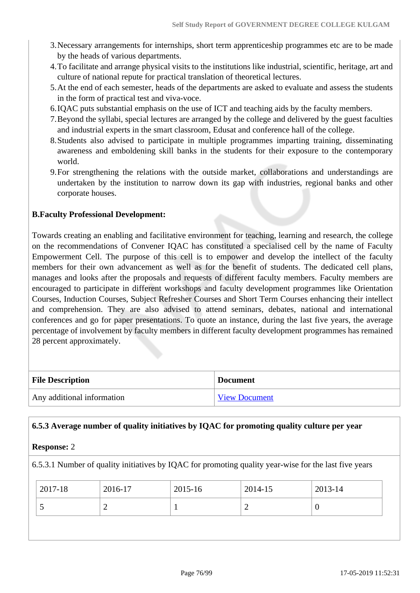- 3.Necessary arrangements for internships, short term apprenticeship programmes etc are to be made by the heads of various departments.
- 4.To facilitate and arrange physical visits to the institutions like industrial, scientific, heritage, art and culture of national repute for practical translation of theoretical lectures.
- 5.At the end of each semester, heads of the departments are asked to evaluate and assess the students in the form of practical test and viva-voce.
- 6.IQAC puts substantial emphasis on the use of ICT and teaching aids by the faculty members.
- 7.Beyond the syllabi, special lectures are arranged by the college and delivered by the guest faculties and industrial experts in the smart classroom, Edusat and conference hall of the college.
- 8.Students also advised to participate in multiple programmes imparting training, disseminating awareness and emboldening skill banks in the students for their exposure to the contemporary world.
- 9.For strengthening the relations with the outside market, collaborations and understandings are undertaken by the institution to narrow down its gap with industries, regional banks and other corporate houses.

#### **B.Faculty Professional Development:**

Towards creating an enabling and facilitative environment for teaching, learning and research, the college on the recommendations of Convener IQAC has constituted a specialised cell by the name of Faculty Empowerment Cell. The purpose of this cell is to empower and develop the intellect of the faculty members for their own advancement as well as for the benefit of students. The dedicated cell plans, manages and looks after the proposals and requests of different faculty members. Faculty members are encouraged to participate in different workshops and faculty development programmes like Orientation Courses, Induction Courses, Subject Refresher Courses and Short Term Courses enhancing their intellect and comprehension. They are also advised to attend seminars, debates, national and international conferences and go for paper presentations. To quote an instance, during the last five years, the average percentage of involvement by faculty members in different faculty development programmes has remained 28 percent approximately.

| <b>File Description</b>    | <b>Document</b>      |
|----------------------------|----------------------|
| Any additional information | <b>View Document</b> |

#### **6.5.3 Average number of quality initiatives by IQAC for promoting quality culture per year**

#### **Response:** 2

6.5.3.1 Number of quality initiatives by IQAC for promoting quality year-wise for the last five years

| υ<br>ت<br>∸ | 2017-18 | 2016-17 | 2015-16 | 2014-15 | 2013-14 |
|-------------|---------|---------|---------|---------|---------|
|             |         |         |         |         |         |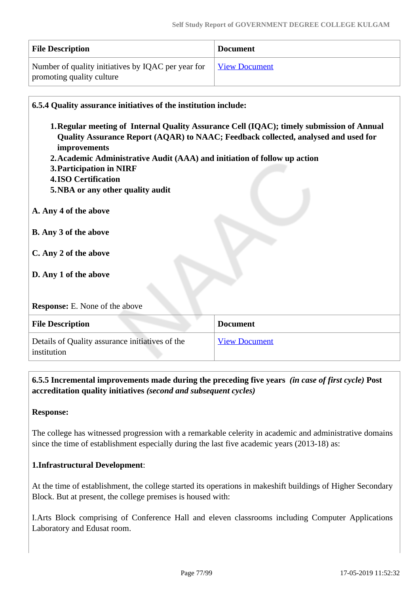| <b>File Description</b>                            | <b>Document</b> |
|----------------------------------------------------|-----------------|
| Number of quality initiatives by IQAC per year for | View Document   |
| promoting quality culture                          |                 |

| 6.5.4 Quality assurance initiatives of the institution include:           |                                                                                                                                                                                 |
|---------------------------------------------------------------------------|---------------------------------------------------------------------------------------------------------------------------------------------------------------------------------|
| improvements                                                              | 1. Regular meeting of Internal Quality Assurance Cell (IQAC); timely submission of Annual<br>Quality Assurance Report (AQAR) to NAAC; Feedback collected, analysed and used for |
| 2. Academic Administrative Audit (AAA) and initiation of follow up action |                                                                                                                                                                                 |
| 3. Participation in NIRF                                                  |                                                                                                                                                                                 |
| <b>4.ISO Certification</b>                                                |                                                                                                                                                                                 |
| 5. NBA or any other quality audit                                         |                                                                                                                                                                                 |
| A. Any 4 of the above                                                     |                                                                                                                                                                                 |
| <b>B.</b> Any 3 of the above                                              |                                                                                                                                                                                 |
| C. Any 2 of the above                                                     |                                                                                                                                                                                 |
| D. Any 1 of the above                                                     |                                                                                                                                                                                 |
| <b>Response:</b> E. None of the above                                     |                                                                                                                                                                                 |
| <b>File Description</b>                                                   | <b>Document</b>                                                                                                                                                                 |
| Details of Quality assurance initiatives of the<br>institution            | <b>View Document</b>                                                                                                                                                            |

 **6.5.5 Incremental improvements made during the preceding five years** *(in case of first cycle)* **Post accreditation quality initiatives** *(second and subsequent cycles)*

## **Response:**

The college has witnessed progression with a remarkable celerity in academic and administrative domains since the time of establishment especially during the last five academic years (2013-18) as:

## **1.Infrastructural Development**:

At the time of establishment, the college started its operations in makeshift buildings of Higher Secondary Block. But at present, the college premises is housed with:

I.Arts Block comprising of Conference Hall and eleven classrooms including Computer Applications Laboratory and Edusat room.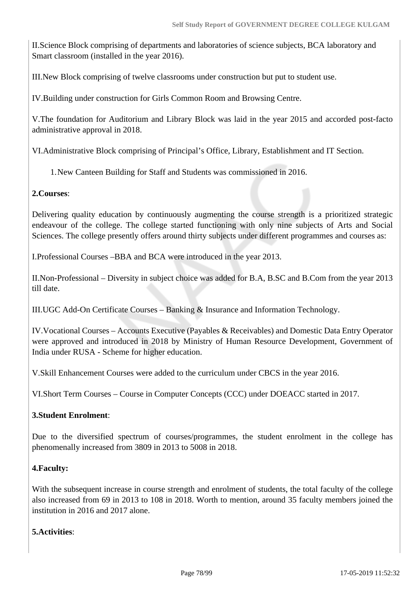II.Science Block comprising of departments and laboratories of science subjects, BCA laboratory and Smart classroom (installed in the year 2016).

III.New Block comprising of twelve classrooms under construction but put to student use.

IV.Building under construction for Girls Common Room and Browsing Centre.

V.The foundation for Auditorium and Library Block was laid in the year 2015 and accorded post-facto administrative approval in 2018.

VI.Administrative Block comprising of Principal's Office, Library, Establishment and IT Section.

1.New Canteen Building for Staff and Students was commissioned in 2016.

## **2.Courses**:

Delivering quality education by continuously augmenting the course strength is a prioritized strategic endeavour of the college. The college started functioning with only nine subjects of Arts and Social Sciences. The college presently offers around thirty subjects under different programmes and courses as:

I.Professional Courses –BBA and BCA were introduced in the year 2013.

II.Non-Professional – Diversity in subject choice was added for B.A, B.SC and B.Com from the year 2013 till date.

III.UGC Add-On Certificate Courses – Banking & Insurance and Information Technology.

IV.Vocational Courses – Accounts Executive (Payables & Receivables) and Domestic Data Entry Operator were approved and introduced in 2018 by Ministry of Human Resource Development, Government of India under RUSA - Scheme for higher education.

V.Skill Enhancement Courses were added to the curriculum under CBCS in the year 2016.

VI.Short Term Courses – Course in Computer Concepts (CCC) under DOEACC started in 2017.

## **3.Student Enrolment**:

Due to the diversified spectrum of courses/programmes, the student enrolment in the college has phenomenally increased from 3809 in 2013 to 5008 in 2018.

## **4.Faculty:**

With the subsequent increase in course strength and enrolment of students, the total faculty of the college also increased from 69 in 2013 to 108 in 2018. Worth to mention, around 35 faculty members joined the institution in 2016 and 2017 alone.

## **5.Activities**: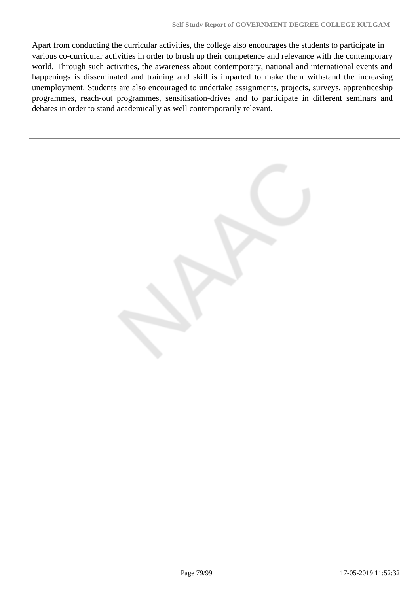Apart from conducting the curricular activities, the college also encourages the students to participate in various co-curricular activities in order to brush up their competence and relevance with the contemporary world. Through such activities, the awareness about contemporary, national and international events and happenings is disseminated and training and skill is imparted to make them withstand the increasing unemployment. Students are also encouraged to undertake assignments, projects, surveys, apprenticeship programmes, reach-out programmes, sensitisation-drives and to participate in different seminars and debates in order to stand academically as well contemporarily relevant.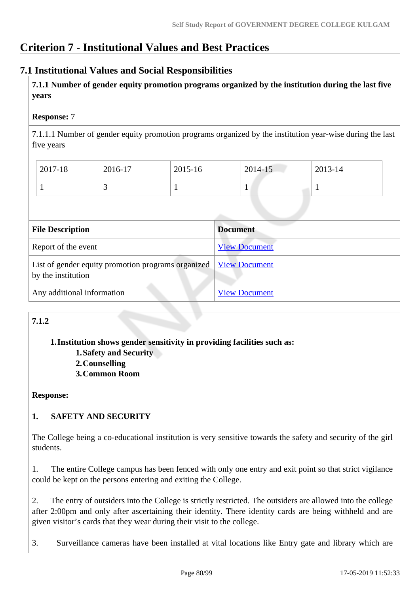## **Criterion 7 - Institutional Values and Best Practices**

## **7.1 Institutional Values and Social Responsibilities**

 **7.1.1 Number of gender equity promotion programs organized by the institution during the last five years** 

## **Response:** 7

7.1.1.1 Number of gender equity promotion programs organized by the institution year-wise during the last five years

| 2017-18 | 2016-17  | 2015-16 | 2014-15 | 2013-14 |
|---------|----------|---------|---------|---------|
|         | <u>ب</u> |         |         |         |

| <b>File Description</b>                                                  | <b>Document</b>      |
|--------------------------------------------------------------------------|----------------------|
| Report of the event                                                      | <b>View Document</b> |
| List of gender equity promotion programs organized<br>by the institution | <b>View Document</b> |
| Any additional information                                               | <b>View Document</b> |

## **7.1.2**

## **1.Institution shows gender sensitivity in providing facilities such as:**

- **1.Safety and Security**
- **2.Counselling**
- **3.Common Room**

## **Response:**

## **1. SAFETY AND SECURITY**

The College being a co-educational institution is very sensitive towards the safety and security of the girl students.

1. The entire College campus has been fenced with only one entry and exit point so that strict vigilance could be kept on the persons entering and exiting the College.

2. The entry of outsiders into the College is strictly restricted. The outsiders are allowed into the college after 2:00pm and only after ascertaining their identity. There identity cards are being withheld and are given visitor's cards that they wear during their visit to the college.

3. Surveillance cameras have been installed at vital locations like Entry gate and library which are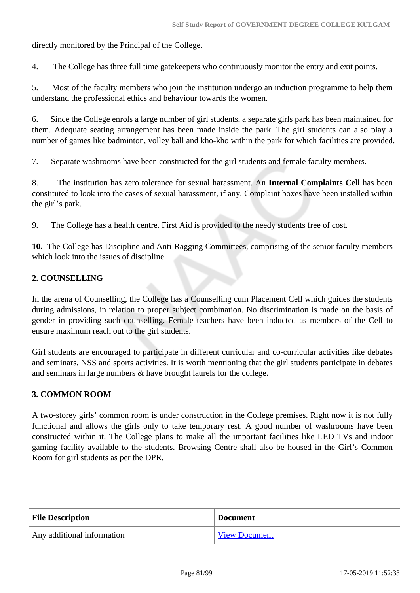directly monitored by the Principal of the College.

4. The College has three full time gatekeepers who continuously monitor the entry and exit points.

5. Most of the faculty members who join the institution undergo an induction programme to help them understand the professional ethics and behaviour towards the women.

6. Since the College enrols a large number of girl students, a separate girls park has been maintained for them. Adequate seating arrangement has been made inside the park. The girl students can also play a number of games like badminton, volley ball and kho-kho within the park for which facilities are provided.

7. Separate washrooms have been constructed for the girl students and female faculty members.

8. The institution has zero tolerance for sexual harassment. An **Internal Complaints Cell** has been constituted to look into the cases of sexual harassment, if any. Complaint boxes have been installed within the girl's park.

9. The College has a health centre. First Aid is provided to the needy students free of cost.

**10.** The College has Discipline and Anti-Ragging Committees, comprising of the senior faculty members which look into the issues of discipline.

## **2. COUNSELLING**

In the arena of Counselling, the College has a Counselling cum Placement Cell which guides the students during admissions, in relation to proper subject combination. No discrimination is made on the basis of gender in providing such counselling. Female teachers have been inducted as members of the Cell to ensure maximum reach out to the girl students.

Girl students are encouraged to participate in different curricular and co-curricular activities like debates and seminars, NSS and sports activities. It is worth mentioning that the girl students participate in debates and seminars in large numbers & have brought laurels for the college.

## **3. COMMON ROOM**

A two-storey girls' common room is under construction in the College premises. Right now it is not fully functional and allows the girls only to take temporary rest. A good number of washrooms have been constructed within it. The College plans to make all the important facilities like LED TVs and indoor gaming facility available to the students. Browsing Centre shall also be housed in the Girl's Common Room for girl students as per the DPR.

| <b>File Description</b>    | <b>Document</b>      |
|----------------------------|----------------------|
| Any additional information | <b>View Document</b> |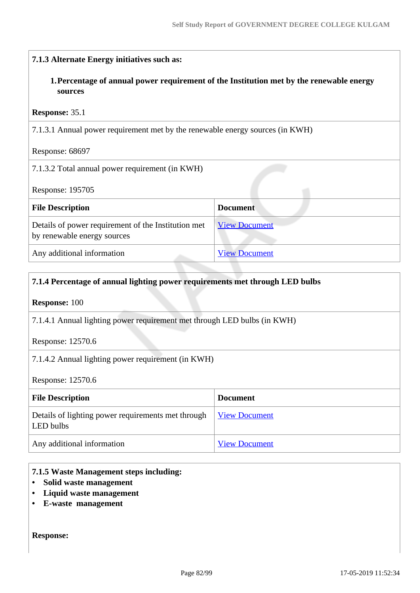| 7.1.3 Alternate Energy initiatives such as:                                        |                                                                                          |
|------------------------------------------------------------------------------------|------------------------------------------------------------------------------------------|
| sources                                                                            | 1. Percentage of annual power requirement of the Institution met by the renewable energy |
| <b>Response: 35.1</b>                                                              |                                                                                          |
| 7.1.3.1 Annual power requirement met by the renewable energy sources (in KWH)      |                                                                                          |
| Response: 68697                                                                    |                                                                                          |
| 7.1.3.2 Total annual power requirement (in KWH)                                    |                                                                                          |
| Response: 195705                                                                   |                                                                                          |
| <b>File Description</b>                                                            | <b>Document</b>                                                                          |
| Details of power requirement of the Institution met<br>by renewable energy sources | <b>View Document</b>                                                                     |
| Any additional information                                                         | <b>View Document</b>                                                                     |

| 7.1.4 Percentage of annual lighting power requirements met through LED bulbs |                      |  |  |
|------------------------------------------------------------------------------|----------------------|--|--|
| <b>Response: 100</b>                                                         |                      |  |  |
| 7.1.4.1 Annual lighting power requirement met through LED bulbs (in KWH)     |                      |  |  |
| Response: 12570.6                                                            |                      |  |  |
| 7.1.4.2 Annual lighting power requirement (in KWH)                           |                      |  |  |
| Response: 12570.6                                                            |                      |  |  |
| <b>File Description</b>                                                      | <b>Document</b>      |  |  |
| Details of lighting power requirements met through<br>LED bulbs              | <b>View Document</b> |  |  |
| Any additional information                                                   | <b>View Document</b> |  |  |

## **7.1.5 Waste Management steps including:**

- **Solid waste management**
- **Liquid waste management**
- **E-waste management**

**Response:**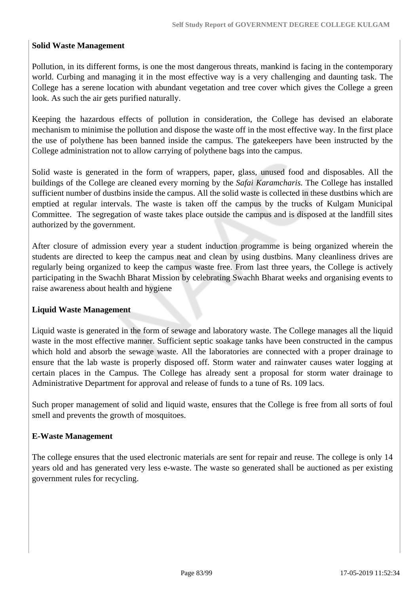## **Solid Waste Management**

Pollution, in its different forms, is one the most dangerous threats, mankind is facing in the contemporary world. Curbing and managing it in the most effective way is a very challenging and daunting task. The College has a serene location with abundant vegetation and tree cover which gives the College a green look. As such the air gets purified naturally.

Keeping the hazardous effects of pollution in consideration, the College has devised an elaborate mechanism to minimise the pollution and dispose the waste off in the most effective way. In the first place the use of polythene has been banned inside the campus. The gatekeepers have been instructed by the College administration not to allow carrying of polythene bags into the campus.

Solid waste is generated in the form of wrappers, paper, glass, unused food and disposables. All the buildings of the College are cleaned every morning by the *Safai Karamcharis.* The College has installed sufficient number of dustbins inside the campus. All the solid waste is collected in these dustbins which are emptied at regular intervals. The waste is taken off the campus by the trucks of Kulgam Municipal Committee. The segregation of waste takes place outside the campus and is disposed at the landfill sites authorized by the government.

After closure of admission every year a student induction programme is being organized wherein the students are directed to keep the campus neat and clean by using dustbins. Many cleanliness drives are regularly being organized to keep the campus waste free. From last three years, the College is actively participating in the Swachh Bharat Mission by celebrating Swachh Bharat weeks and organising events to raise awareness about health and hygiene

## **Liquid Waste Management**

Liquid waste is generated in the form of sewage and laboratory waste. The College manages all the liquid waste in the most effective manner. Sufficient septic soakage tanks have been constructed in the campus which hold and absorb the sewage waste. All the laboratories are connected with a proper drainage to ensure that the lab waste is properly disposed off. Storm water and rainwater causes water logging at certain places in the Campus. The College has already sent a proposal for storm water drainage to Administrative Department for approval and release of funds to a tune of Rs. 109 lacs.

Such proper management of solid and liquid waste, ensures that the College is free from all sorts of foul smell and prevents the growth of mosquitoes.

## **E-Waste Management**

The college ensures that the used electronic materials are sent for repair and reuse. The college is only 14 years old and has generated very less e-waste. The waste so generated shall be auctioned as per existing government rules for recycling.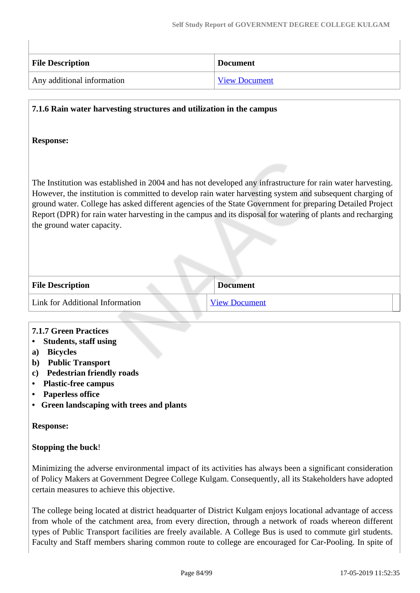| <b>File Description</b>    | <b>Document</b>      |
|----------------------------|----------------------|
| Any additional information | <b>View Document</b> |

| 7.1.6 Rain water harvesting structures and utilization in the campus                                                                                                                                                                                                                                                                                                                                                                                                              |                      |  |
|-----------------------------------------------------------------------------------------------------------------------------------------------------------------------------------------------------------------------------------------------------------------------------------------------------------------------------------------------------------------------------------------------------------------------------------------------------------------------------------|----------------------|--|
| <b>Response:</b>                                                                                                                                                                                                                                                                                                                                                                                                                                                                  |                      |  |
| The Institution was established in 2004 and has not developed any infrastructure for rain water harvesting.<br>However, the institution is committed to develop rain water harvesting system and subsequent charging of<br>ground water. College has asked different agencies of the State Government for preparing Detailed Project<br>Report (DPR) for rain water harvesting in the campus and its disposal for watering of plants and recharging<br>the ground water capacity. |                      |  |
| <b>File Description</b>                                                                                                                                                                                                                                                                                                                                                                                                                                                           | <b>Document</b>      |  |
| Link for Additional Information                                                                                                                                                                                                                                                                                                                                                                                                                                                   | <b>View Document</b> |  |
|                                                                                                                                                                                                                                                                                                                                                                                                                                                                                   |                      |  |
| <b>7.1.7 Green Practices</b><br><b>Students, staff using</b><br>$\bullet$<br><b>Bicycles</b><br>a)<br><b>Public Transport</b><br>$\mathbf{b}$<br><b>Pedestrian friendly roads</b><br>$\mathbf{c})$<br><b>Plastic-free campus</b><br>$\bullet$<br><b>Paperless office</b><br>$\bullet$<br>Green landscaping with trees and plants<br>$\bullet$                                                                                                                                     |                      |  |
| <b>Response:</b>                                                                                                                                                                                                                                                                                                                                                                                                                                                                  |                      |  |

## **Stopping the buck**!

Minimizing the adverse environmental impact of its activities has always been a significant consideration of Policy Makers at Government Degree College Kulgam. Consequently, all its Stakeholders have adopted certain measures to achieve this objective.

The college being located at district headquarter of District Kulgam enjoys locational advantage of access from whole of the catchment area, from every direction, through a network of roads whereon different types of Public Transport facilities are freely available. A College Bus is used to commute girl students. Faculty and Staff members sharing common route to college are encouraged for Car-Pooling. In spite of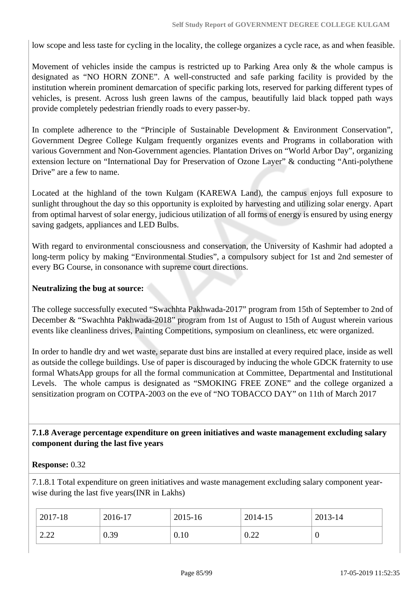low scope and less taste for cycling in the locality, the college organizes a cycle race, as and when feasible.

Movement of vehicles inside the campus is restricted up to Parking Area only & the whole campus is designated as "NO HORN ZONE". A well-constructed and safe parking facility is provided by the institution wherein prominent demarcation of specific parking lots, reserved for parking different types of vehicles, is present. Across lush green lawns of the campus, beautifully laid black topped path ways provide completely pedestrian friendly roads to every passer-by.

In complete adherence to the "Principle of Sustainable Development & Environment Conservation", Government Degree College Kulgam frequently organizes events and Programs in collaboration with various Government and Non-Government agencies. Plantation Drives on "World Arbor Day", organizing extension lecture on "International Day for Preservation of Ozone Layer" & conducting "Anti-polythene Drive" are a few to name.

Located at the highland of the town Kulgam (KAREWA Land), the campus enjoys full exposure to sunlight throughout the day so this opportunity is exploited by harvesting and utilizing solar energy. Apart from optimal harvest of solar energy, judicious utilization of all forms of energy is ensured by using energy saving gadgets, appliances and LED Bulbs.

With regard to environmental consciousness and conservation, the University of Kashmir had adopted a long-term policy by making "Environmental Studies", a compulsory subject for 1st and 2nd semester of every BG Course, in consonance with supreme court directions.

## **Neutralizing the bug at source:**

The college successfully executed "Swachhta Pakhwada-2017" program from 15th of September to 2nd of December & "Swachhta Pakhwada-2018" program from 1st of August to 15th of August wherein various events like cleanliness drives, Painting Competitions, symposium on cleanliness, etc were organized.

In order to handle dry and wet waste, separate dust bins are installed at every required place, inside as well as outside the college buildings. Use of paper is discouraged by inducing the whole GDCK fraternity to use formal WhatsApp groups for all the formal communication at Committee, Departmental and Institutional Levels. The whole campus is designated as "SMOKING FREE ZONE" and the college organized a sensitization program on COTPA-2003 on the eve of "NO TOBACCO DAY" on 11th of March 2017

## **7.1.8 Average percentage expenditure on green initiatives and waste management excluding salary component during the last five years**

#### **Response:** 0.32

7.1.8.1 Total expenditure on green initiatives and waste management excluding salary component yearwise during the last five years(INR in Lakhs)

| 2017-18                            | 2016-17 | 2015-16 | 2014-15 | $2013 - 14$ |
|------------------------------------|---------|---------|---------|-------------|
| റ ററ<br>$\overline{\phantom{a}}\,$ | 0.39    | 0.10    | 0.22    | ν           |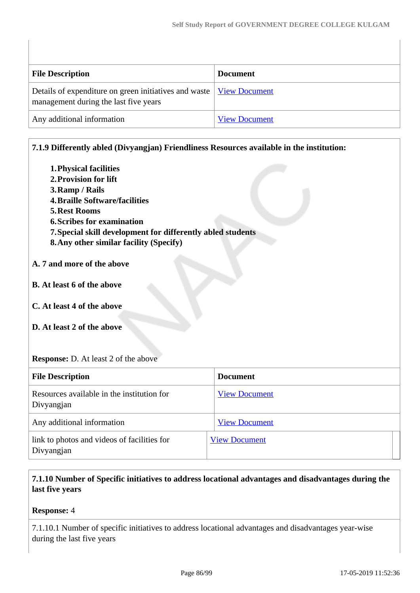| <b>File Description</b>                                                                                        | <b>Document</b>      |
|----------------------------------------------------------------------------------------------------------------|----------------------|
| Details of expenditure on green initiatives and waste   View Document<br>management during the last five years |                      |
| Any additional information                                                                                     | <b>View Document</b> |

## **7.1.9 Differently abled (Divyangjan) Friendliness Resources available in the institution:**

- **1.Physical facilities**
- **2.Provision for lift**
- **3.Ramp / Rails**
- **4.Braille Software/facilities**
- **5.Rest Rooms**
- **6.Scribes for examination**
- **7.Special skill development for differently abled students**
- **8.Any other similar facility (Specify)**

## **A. 7 and more of the above**

- **B. At least 6 of the above**
- **C. At least 4 of the above**
- **D. At least 2 of the above**

## **Response:** D. At least 2 of the above

| <b>File Description</b>                                   | <b>Document</b>      |  |
|-----------------------------------------------------------|----------------------|--|
| Resources available in the institution for<br>Divyangjan  | <b>View Document</b> |  |
| Any additional information                                | <b>View Document</b> |  |
| link to photos and videos of facilities for<br>Divyangjan | <b>View Document</b> |  |

## **7.1.10 Number of Specific initiatives to address locational advantages and disadvantages during the last five years**

## **Response:** 4

7.1.10.1 Number of specific initiatives to address locational advantages and disadvantages year-wise during the last five years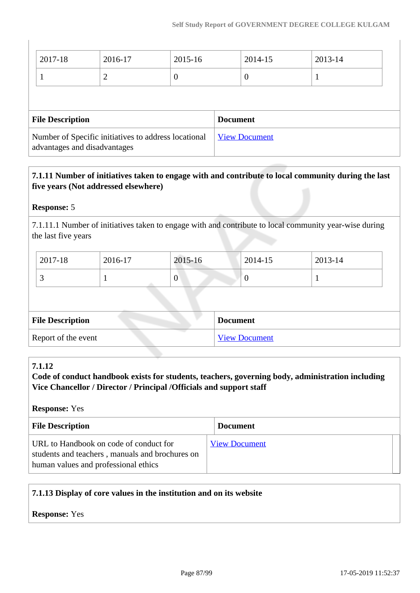| 2017-18                                                                              | 2016-17 | 2015-16         |                      | 2014-15  | 2013-14 |  |
|--------------------------------------------------------------------------------------|---------|-----------------|----------------------|----------|---------|--|
|                                                                                      | 2       | O               |                      | $\theta$ |         |  |
|                                                                                      |         |                 |                      |          |         |  |
| <b>File Description</b>                                                              |         | <b>Document</b> |                      |          |         |  |
| Number of Specific initiatives to address locational<br>advantages and disadvantages |         |                 | <b>View Document</b> |          |         |  |

## **7.1.11 Number of initiatives taken to engage with and contribute to local community during the last five years (Not addressed elsewhere)**

## **Response:** 5

7.1.11.1 Number of initiatives taken to engage with and contribute to local community year-wise during the last five years

| $2017 - 18$ | 2016-17 | 2015-16 | 2014-15 | 2013-14 |
|-------------|---------|---------|---------|---------|
|             |         | v       |         |         |

| <b>File Description</b> | <b>Document</b>      |
|-------------------------|----------------------|
| Report of the event     | <b>View Document</b> |

## **7.1.12**

**Code of conduct handbook exists for students, teachers, governing body, administration including Vice Chancellor / Director / Principal /Officials and support staff**

## **Response:** Yes

| <b>File Description</b>                                                                                                           | <b>Document</b>      |
|-----------------------------------------------------------------------------------------------------------------------------------|----------------------|
| URL to Handbook on code of conduct for<br>students and teachers, manuals and brochures on<br>human values and professional ethics | <b>View Document</b> |

## **7.1.13 Display of core values in the institution and on its website**

## **Response:** Yes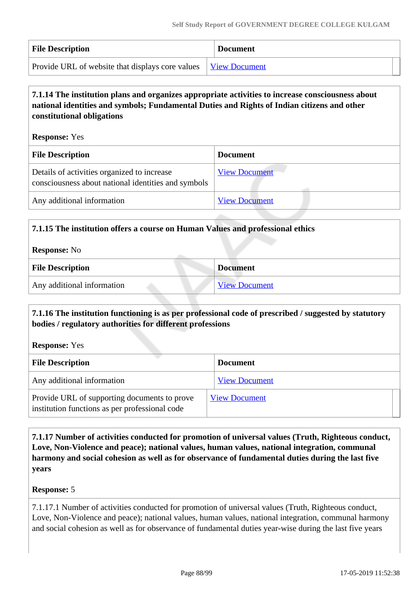| <b>File Description</b>                                          | <b>Document</b> |
|------------------------------------------------------------------|-----------------|
| Provide URL of website that displays core values   View Document |                 |

## **7.1.14 The institution plans and organizes appropriate activities to increase consciousness about national identities and symbols; Fundamental Duties and Rights of Indian citizens and other constitutional obligations**

**Response:** Yes

| <b>File Description</b>                                                                            | <b>Document</b>      |
|----------------------------------------------------------------------------------------------------|----------------------|
| Details of activities organized to increase<br>consciousness about national identities and symbols | <b>View Document</b> |
| Any additional information                                                                         | <b>View Document</b> |

| 7.1.15 The institution offers a course on Human Values and professional ethics |                      |
|--------------------------------------------------------------------------------|----------------------|
| <b>Response:</b> No                                                            |                      |
| <b>File Description</b>                                                        | <b>Document</b>      |
| Any additional information                                                     | <b>View Document</b> |

## **7.1.16 The institution functioning is as per professional code of prescribed / suggested by statutory bodies / regulatory authorities for different professions**

**Response:** Yes

| <b>File Description</b>                                                                        | <b>Document</b>      |
|------------------------------------------------------------------------------------------------|----------------------|
| Any additional information                                                                     | <b>View Document</b> |
| Provide URL of supporting documents to prove<br>institution functions as per professional code | <b>View Document</b> |

 **7.1.17 Number of activities conducted for promotion of universal values (Truth, Righteous conduct, Love, Non-Violence and peace); national values, human values, national integration, communal harmony and social cohesion as well as for observance of fundamental duties during the last five years**

## **Response:** 5

7.1.17.1 Number of activities conducted for promotion of universal values (Truth, Righteous conduct, Love, Non-Violence and peace); national values, human values, national integration, communal harmony and social cohesion as well as for observance of fundamental duties year-wise during the last five years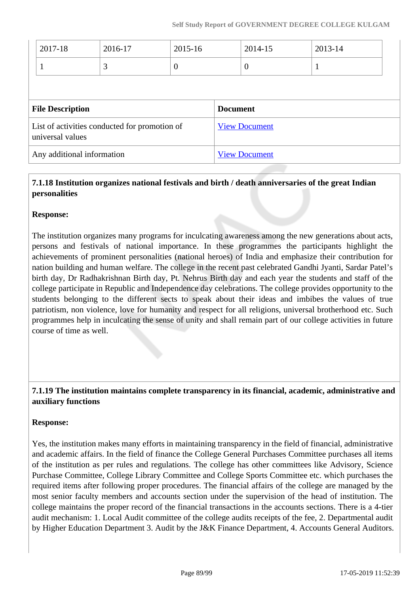| 2017-18                    | 2016-17                                       | 2015-16  | 2014-15              | 2013-14      |
|----------------------------|-----------------------------------------------|----------|----------------------|--------------|
|                            | 3                                             | $\theta$ | $\overline{0}$       | $\mathbf{1}$ |
|                            |                                               |          |                      |              |
| <b>File Description</b>    |                                               |          | <b>Document</b>      |              |
| universal values           | List of activities conducted for promotion of |          | <b>View Document</b> |              |
| Any additional information |                                               |          | <b>View Document</b> |              |

## **7.1.18 Institution organizes national festivals and birth / death anniversaries of the great Indian personalities**

## **Response:**

The institution organizes many programs for inculcating awareness among the new generations about acts, persons and festivals of national importance. In these programmes the participants highlight the achievements of prominent personalities (national heroes) of India and emphasize their contribution for nation building and human welfare. The college in the recent past celebrated Gandhi Jyanti, Sardar Patel's birth day, Dr Radhakrishnan Birth day, Pt. Nehrus Birth day and each year the students and staff of the college participate in Republic and Independence day celebrations. The college provides opportunity to the students belonging to the different sects to speak about their ideas and imbibes the values of true patriotism, non violence, love for humanity and respect for all religions, universal brotherhood etc. Such programmes help in inculcating the sense of unity and shall remain part of our college activities in future course of time as well.

## **7.1.19 The institution maintains complete transparency in its financial, academic, administrative and auxiliary functions**

## **Response:**

Yes, the institution makes many efforts in maintaining transparency in the field of financial, administrative and academic affairs. In the field of finance the College General Purchases Committee purchases all items of the institution as per rules and regulations. The college has other committees like Advisory, Science Purchase Committee, College Library Committee and College Sports Committee etc. which purchases the required items after following proper procedures. The financial affairs of the college are managed by the most senior faculty members and accounts section under the supervision of the head of institution. The college maintains the proper record of the financial transactions in the accounts sections. There is a 4-tier audit mechanism: 1. Local Audit committee of the college audits receipts of the fee, 2. Departmental audit by Higher Education Department 3. Audit by the J&K Finance Department, 4. Accounts General Auditors.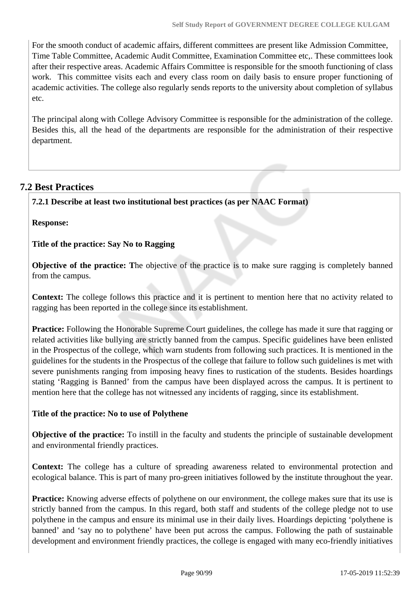For the smooth conduct of academic affairs, different committees are present like Admission Committee, Time Table Committee, Academic Audit Committee, Examination Committee etc,. These committees look after their respective areas. Academic Affairs Committee is responsible for the smooth functioning of class work. This committee visits each and every class room on daily basis to ensure proper functioning of academic activities. The college also regularly sends reports to the university about completion of syllabus etc.

The principal along with College Advisory Committee is responsible for the administration of the college. Besides this, all the head of the departments are responsible for the administration of their respective department.

## **7.2 Best Practices**

**7.2.1 Describe at least two institutional best practices (as per NAAC Format)**

**Response:** 

**Title of the practice: Say No to Ragging**

**Objective of the practice: T**he objective of the practice is to make sure ragging is completely banned from the campus.

**Context:** The college follows this practice and it is pertinent to mention here that no activity related to ragging has been reported in the college since its establishment.

**Practice:** Following the Honorable Supreme Court guidelines, the college has made it sure that ragging or related activities like bullying are strictly banned from the campus. Specific guidelines have been enlisted in the Prospectus of the college, which warn students from following such practices. It is mentioned in the guidelines for the students in the Prospectus of the college that failure to follow such guidelines is met with severe punishments ranging from imposing heavy fines to rustication of the students. Besides hoardings stating 'Ragging is Banned' from the campus have been displayed across the campus. It is pertinent to mention here that the college has not witnessed any incidents of ragging, since its establishment.

## **Title of the practice: No to use of Polythene**

**Objective of the practice:** To instill in the faculty and students the principle of sustainable development and environmental friendly practices.

**Context:** The college has a culture of spreading awareness related to environmental protection and ecological balance. This is part of many pro-green initiatives followed by the institute throughout the year.

**Practice:** Knowing adverse effects of polythene on our environment, the college makes sure that its use is strictly banned from the campus. In this regard, both staff and students of the college pledge not to use polythene in the campus and ensure its minimal use in their daily lives. Hoardings depicting 'polythene is banned' and 'say no to polythene' have been put across the campus. Following the path of sustainable development and environment friendly practices, the college is engaged with many eco-friendly initiatives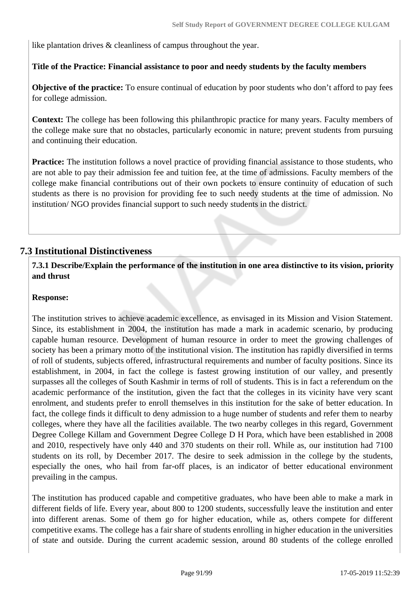like plantation drives & cleanliness of campus throughout the year.

## **Title of the Practice: Financial assistance to poor and needy students by the faculty members**

**Objective of the practice:** To ensure continual of education by poor students who don't afford to pay fees for college admission.

**Context:** The college has been following this philanthropic practice for many years. Faculty members of the college make sure that no obstacles, particularly economic in nature; prevent students from pursuing and continuing their education.

**Practice:** The institution follows a novel practice of providing financial assistance to those students, who are not able to pay their admission fee and tuition fee, at the time of admissions. Faculty members of the college make financial contributions out of their own pockets to ensure continuity of education of such students as there is no provision for providing fee to such needy students at the time of admission. No institution/ NGO provides financial support to such needy students in the district.

## **7.3 Institutional Distinctiveness**

 **7.3.1 Describe/Explain the performance of the institution in one area distinctive to its vision, priority and thrust**

#### **Response:**

The institution strives to achieve academic excellence, as envisaged in its Mission and Vision Statement. Since, its establishment in 2004, the institution has made a mark in academic scenario, by producing capable human resource. Development of human resource in order to meet the growing challenges of society has been a primary motto of the institutional vision. The institution has rapidly diversified in terms of roll of students, subjects offered, infrastructural requirements and number of faculty positions. Since its establishment, in 2004, in fact the college is fastest growing institution of our valley, and presently surpasses all the colleges of South Kashmir in terms of roll of students. This is in fact a referendum on the academic performance of the institution, given the fact that the colleges in its vicinity have very scant enrolment, and students prefer to enroll themselves in this institution for the sake of better education. In fact, the college finds it difficult to deny admission to a huge number of students and refer them to nearby colleges, where they have all the facilities available. The two nearby colleges in this regard, Government Degree College Killam and Government Degree College D H Pora, which have been established in 2008 and 2010, respectively have only 440 and 370 students on their roll. While as, our institution had 7100 students on its roll, by December 2017. The desire to seek admission in the college by the students, especially the ones, who hail from far-off places, is an indicator of better educational environment prevailing in the campus.

The institution has produced capable and competitive graduates, who have been able to make a mark in different fields of life. Every year, about 800 to 1200 students, successfully leave the institution and enter into different arenas. Some of them go for higher education, while as, others compete for different competitive exams. The college has a fair share of students enrolling in higher education in the universities of state and outside. During the current academic session, around 80 students of the college enrolled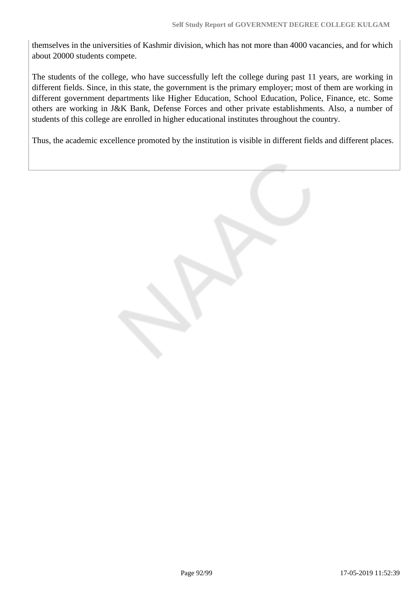themselves in the universities of Kashmir division, which has not more than 4000 vacancies, and for which about 20000 students compete.

The students of the college, who have successfully left the college during past 11 years, are working in different fields. Since, in this state, the government is the primary employer; most of them are working in different government departments like Higher Education, School Education, Police, Finance, etc. Some others are working in J&K Bank, Defense Forces and other private establishments. Also, a number of students of this college are enrolled in higher educational institutes throughout the country.

Thus, the academic excellence promoted by the institution is visible in different fields and different places.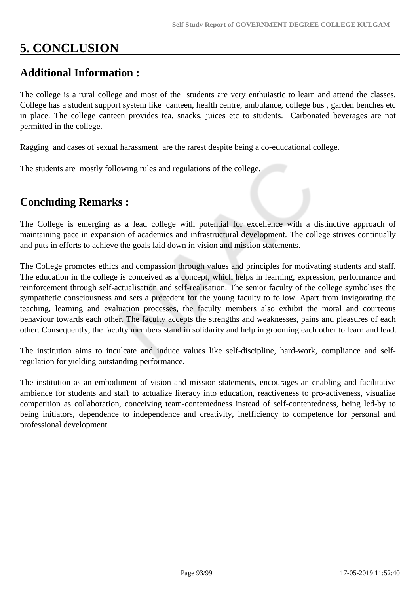# **5. CONCLUSION**

## **Additional Information :**

The college is a rural college and most of the students are very enthuiastic to learn and attend the classes. College has a student support system like canteen, health centre, ambulance, college bus , garden benches etc in place. The college canteen provides tea, snacks, juices etc to students. Carbonated beverages are not permitted in the college.

Ragging and cases of sexual harassment are the rarest despite being a co-educational college.

The students are mostly following rules and regulations of the college.

## **Concluding Remarks :**

The College is emerging as a lead college with potential for excellence with a distinctive approach of maintaining pace in expansion of academics and infrastructural development. The college strives continually and puts in efforts to achieve the goals laid down in vision and mission statements.

The College promotes ethics and compassion through values and principles for motivating students and staff. The education in the college is conceived as a concept, which helps in learning, expression, performance and reinforcement through self-actualisation and self-realisation. The senior faculty of the college symbolises the sympathetic consciousness and sets a precedent for the young faculty to follow. Apart from invigorating the teaching, learning and evaluation processes, the faculty members also exhibit the moral and courteous behaviour towards each other. The faculty accepts the strengths and weaknesses, pains and pleasures of each other. Consequently, the faculty members stand in solidarity and help in grooming each other to learn and lead.

The institution aims to inculcate and induce values like self-discipline, hard-work, compliance and selfregulation for yielding outstanding performance.

The institution as an embodiment of vision and mission statements, encourages an enabling and facilitative ambience for students and staff to actualize literacy into education, reactiveness to pro-activeness, visualize competition as collaboration, conceiving team-contentedness instead of self-contentedness, being led-by to being initiators, dependence to independence and creativity, inefficiency to competence for personal and professional development.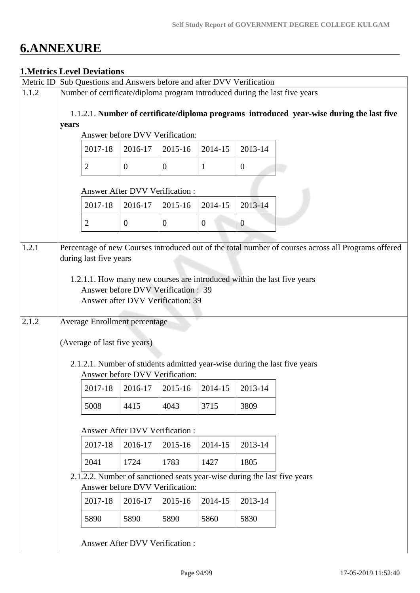# **6.ANNEXURE**

## **1.Metrics Level Deviations**

| LIMetrics Level Deviations |       |                               |                                       |                                                                       |              |                |                                                                                                     |
|----------------------------|-------|-------------------------------|---------------------------------------|-----------------------------------------------------------------------|--------------|----------------|-----------------------------------------------------------------------------------------------------|
|                            |       |                               |                                       | Metric ID Sub Questions and Answers before and after DVV Verification |              |                |                                                                                                     |
| 1.1.2                      |       |                               |                                       |                                                                       |              |                | Number of certificate/diploma program introduced during the last five years                         |
|                            |       |                               |                                       |                                                                       |              |                |                                                                                                     |
|                            |       |                               |                                       |                                                                       |              |                | 1.1.2.1. Number of certificate/diploma programs introduced year-wise during the last five           |
|                            | years |                               |                                       |                                                                       |              |                |                                                                                                     |
|                            |       |                               |                                       | Answer before DVV Verification:                                       |              |                |                                                                                                     |
|                            |       | 2017-18                       | 2016-17                               | 2015-16                                                               | 2014-15      | 2013-14        |                                                                                                     |
|                            |       | $\overline{2}$                | $\overline{0}$                        | $\mathbf{0}$                                                          | $\mathbf{1}$ | $\overline{0}$ |                                                                                                     |
|                            |       |                               | Answer After DVV Verification:        |                                                                       |              |                |                                                                                                     |
|                            |       | 2017-18                       | 2016-17                               | 2015-16                                                               | 2014-15      | 2013-14        |                                                                                                     |
|                            |       | $\overline{2}$                | $\overline{0}$                        | $\overline{0}$                                                        | $\mathbf{0}$ | $\overline{0}$ |                                                                                                     |
| 1.2.1                      |       |                               |                                       |                                                                       |              |                | Percentage of new Courses introduced out of the total number of courses across all Programs offered |
|                            |       | during last five years        |                                       |                                                                       |              |                |                                                                                                     |
|                            |       |                               |                                       |                                                                       |              |                |                                                                                                     |
|                            |       |                               |                                       |                                                                       |              |                | 1.2.1.1. How many new courses are introduced within the last five years                             |
|                            |       |                               |                                       | <b>Answer before DVV Verification: 39</b>                             |              |                |                                                                                                     |
|                            |       |                               |                                       | Answer after DVV Verification: 39                                     |              |                |                                                                                                     |
|                            |       |                               |                                       |                                                                       |              |                |                                                                                                     |
| 2.1.2                      |       | Average Enrollment percentage |                                       |                                                                       |              |                |                                                                                                     |
|                            |       |                               |                                       |                                                                       |              |                |                                                                                                     |
|                            |       | (Average of last five years)  |                                       |                                                                       |              |                |                                                                                                     |
|                            |       |                               |                                       |                                                                       |              |                | 2.1.2.1. Number of students admitted year-wise during the last five years                           |
|                            |       |                               |                                       | Answer before DVV Verification:                                       |              |                |                                                                                                     |
|                            |       |                               |                                       |                                                                       |              |                |                                                                                                     |
|                            |       |                               |                                       | $2017-18$ 2016-17 2015-16 2014-15 2013-14                             |              |                |                                                                                                     |
|                            |       | 5008                          | 4415                                  | 4043                                                                  | 3715         | 3809           |                                                                                                     |
|                            |       |                               | <b>Answer After DVV Verification:</b> |                                                                       |              |                |                                                                                                     |
|                            |       | 2017-18                       | 2016-17                               | 2015-16                                                               | 2014-15      | 2013-14        |                                                                                                     |
|                            |       | 2041                          | 1724                                  | 1783                                                                  | 1427         | 1805           |                                                                                                     |
|                            |       |                               |                                       |                                                                       |              |                | 2.1.2.2. Number of sanctioned seats year-wise during the last five years                            |
|                            |       |                               |                                       | Answer before DVV Verification:                                       |              |                |                                                                                                     |
|                            |       | 2017-18                       | 2016-17                               | 2015-16                                                               | 2014-15      | 2013-14        |                                                                                                     |
|                            |       |                               |                                       |                                                                       |              |                |                                                                                                     |
|                            |       | 5890                          | 5890                                  | 5890                                                                  | 5860         | 5830           |                                                                                                     |
|                            |       |                               |                                       |                                                                       |              |                |                                                                                                     |

Answer After DVV Verification :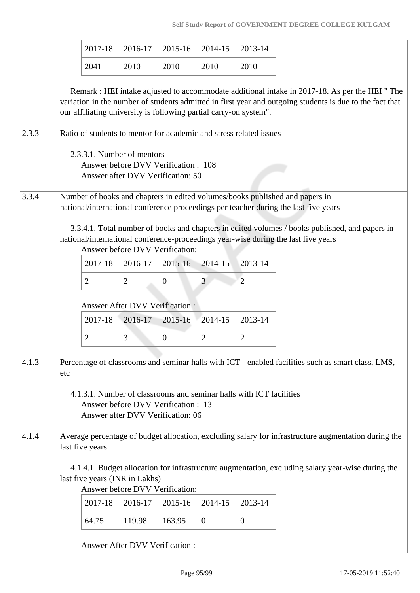|                |     | 2017-18                                                                                                                                                                                                                                                                        | 2016-17                                                                  | 2015-16          | 2014-15        | 2013-14        |
|----------------|-----|--------------------------------------------------------------------------------------------------------------------------------------------------------------------------------------------------------------------------------------------------------------------------------|--------------------------------------------------------------------------|------------------|----------------|----------------|
|                |     | 2041                                                                                                                                                                                                                                                                           | 2010                                                                     | 2010             | 2010           | 2010           |
|                |     | Remark : HEI intake adjusted to accommodate additional intake in 2017-18. As per the HEI "The<br>variation in the number of students admitted in first year and outgoing students is due to the fact that<br>our affiliating university is following partial carry-on system". |                                                                          |                  |                |                |
| 2.3.3          |     | Ratio of students to mentor for academic and stress related issues                                                                                                                                                                                                             |                                                                          |                  |                |                |
|                |     | 2.3.3.1. Number of mentors                                                                                                                                                                                                                                                     | Answer before DVV Verification: 108<br>Answer after DVV Verification: 50 |                  |                |                |
| 3.3.4          |     | Number of books and chapters in edited volumes/books published and papers in<br>national/international conference proceedings per teacher during the last five years                                                                                                           |                                                                          |                  |                |                |
|                |     | national/international conference-proceedings year-wise during the last five years<br>2017-18                                                                                                                                                                                  | Answer before DVV Verification:<br>2016-17                               | 2015-16          | 2014-15        | 2013-14        |
|                |     |                                                                                                                                                                                                                                                                                |                                                                          |                  |                |                |
|                |     | $\overline{2}$                                                                                                                                                                                                                                                                 | $\overline{2}$                                                           | $\overline{0}$   | 3              | $\overline{2}$ |
|                |     |                                                                                                                                                                                                                                                                                |                                                                          |                  |                |                |
|                |     | 2017-18                                                                                                                                                                                                                                                                        | <b>Answer After DVV Verification:</b><br>2016-17                         | 2015-16          | 2014-15        | 2013-14        |
|                |     | 2                                                                                                                                                                                                                                                                              | 3                                                                        | $\boldsymbol{0}$ | $\overline{2}$ | $\overline{2}$ |
|                |     |                                                                                                                                                                                                                                                                                |                                                                          |                  |                |                |
|                | etc | Percentage of classrooms and seminar halls with ICT - enabled facilities such as smart class, LMS,                                                                                                                                                                             |                                                                          |                  |                |                |
|                |     | 4.1.3.1. Number of classrooms and seminar halls with ICT facilities                                                                                                                                                                                                            | Answer before DVV Verification : 13<br>Answer after DVV Verification: 06 |                  |                |                |
|                |     | Average percentage of budget allocation, excluding salary for infrastructure augmentation during the<br>last five years.                                                                                                                                                       |                                                                          |                  |                |                |
| 4.1.3<br>4.1.4 |     | 4.1.4.1. Budget allocation for infrastructure augmentation, excluding salary year-wise during the<br>last five years (INR in Lakhs)                                                                                                                                            | Answer before DVV Verification:                                          |                  |                |                |
|                |     | 2017-18                                                                                                                                                                                                                                                                        | 2016-17                                                                  | 2015-16          | 2014-15        | 2013-14        |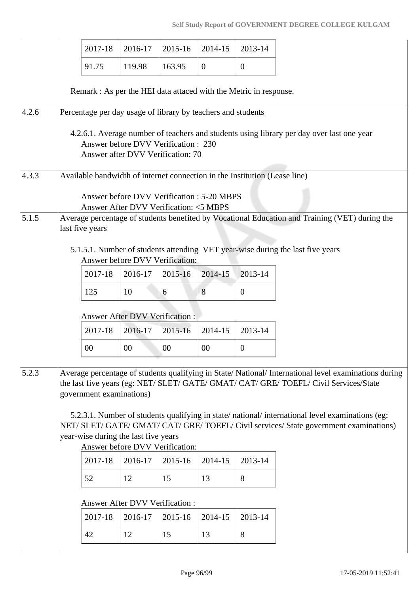|       | 2017-18                                                                                                                                                                                                                          | 2016-17                                                                                    | 2015-16 | 2014-15        | 2013-14        |
|-------|----------------------------------------------------------------------------------------------------------------------------------------------------------------------------------------------------------------------------------|--------------------------------------------------------------------------------------------|---------|----------------|----------------|
|       | 91.75                                                                                                                                                                                                                            | 119.98                                                                                     | 163.95  | $\overline{0}$ | $\overline{0}$ |
|       | Remark : As per the HEI data attaced with the Metric in response.                                                                                                                                                                |                                                                                            |         |                |                |
| 4.2.6 | Percentage per day usage of library by teachers and students                                                                                                                                                                     |                                                                                            |         |                |                |
|       | 4.2.6.1. Average number of teachers and students using library per day over last one year                                                                                                                                        | Answer before DVV Verification: 230<br>Answer after DVV Verification: 70                   |         |                |                |
| 4.3.3 | Available bandwidth of internet connection in the Institution (Lease line)                                                                                                                                                       |                                                                                            |         |                |                |
|       |                                                                                                                                                                                                                                  | <b>Answer before DVV Verification: 5-20 MBPS</b><br>Answer After DVV Verification: <5 MBPS |         |                |                |
| 5.1.5 | Average percentage of students benefited by Vocational Education and Training (VET) during the                                                                                                                                   |                                                                                            |         |                |                |
|       | last five years                                                                                                                                                                                                                  |                                                                                            |         |                |                |
|       | 5.1.5.1. Number of students attending VET year-wise during the last five years                                                                                                                                                   |                                                                                            |         |                |                |
|       | 2017-18                                                                                                                                                                                                                          | Answer before DVV Verification:<br>2016-17                                                 | 2015-16 | 2014-15        | 2013-14        |
|       | 125                                                                                                                                                                                                                              | 10                                                                                         | 6       | 8              | $\overline{0}$ |
|       |                                                                                                                                                                                                                                  |                                                                                            |         |                |                |
|       |                                                                                                                                                                                                                                  | <b>Answer After DVV Verification:</b>                                                      |         |                |                |
|       | 2017-18                                                                                                                                                                                                                          | 2016-17                                                                                    | 2015-16 | 2014-15        | 2013-14        |
|       | 00                                                                                                                                                                                                                               | 00                                                                                         | 00      | $00\,$         | $\overline{0}$ |
| 5.2.3 | Average percentage of students qualifying in State/National/International level examinations during<br>the last five years (eg: NET/ SLET/ GATE/ GMAT/ CAT/ GRE/ TOEFL/ Civil Services/State<br>government examinations)         |                                                                                            |         |                |                |
|       | 5.2.3.1. Number of students qualifying in state/national/international level examinations (eg:<br>NET/ SLET/ GATE/ GMAT/ CAT/ GRE/ TOEFL/ Civil services/ State government examinations)<br>year-wise during the last five years | Answer before DVV Verification:                                                            |         |                |                |
|       | 2017-18                                                                                                                                                                                                                          | 2016-17                                                                                    | 2015-16 | 2014-15        | 2013-14        |
|       | 52                                                                                                                                                                                                                               | 12                                                                                         | 15      | 13             | 8              |
|       |                                                                                                                                                                                                                                  | <b>Answer After DVV Verification:</b>                                                      |         |                |                |
|       | 2017-18                                                                                                                                                                                                                          | 2016-17                                                                                    | 2015-16 | 2014-15        | 2013-14        |
|       | 42                                                                                                                                                                                                                               | 12                                                                                         | 15      | 13             | 8              |
|       |                                                                                                                                                                                                                                  |                                                                                            |         |                |                |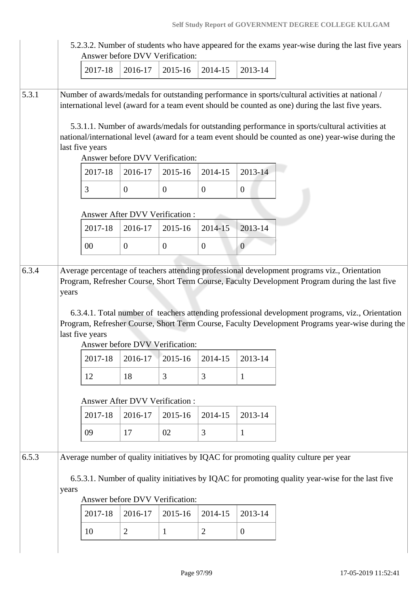|                |       | 5.2.3.2. Number of students who have appeared for the exams year-wise during the last five years |                | Answer before DVV Verification:            |                |                |  |                                                                                                                                                                                                      |  |
|----------------|-------|--------------------------------------------------------------------------------------------------|----------------|--------------------------------------------|----------------|----------------|--|------------------------------------------------------------------------------------------------------------------------------------------------------------------------------------------------------|--|
|                |       | 2017-18                                                                                          | 2016-17        | 2015-16                                    | 2014-15        | 2013-14        |  |                                                                                                                                                                                                      |  |
| 5.3.1          |       |                                                                                                  |                |                                            |                |                |  | Number of awards/medals for outstanding performance in sports/cultural activities at national /<br>international level (award for a team event should be counted as one) during the last five years. |  |
|                |       | last five years                                                                                  |                | Answer before DVV Verification:            |                |                |  | 5.3.1.1. Number of awards/medals for outstanding performance in sports/cultural activities at<br>national/international level (award for a team event should be counted as one) year-wise during the |  |
|                |       | 2017-18                                                                                          | 2016-17        | 2015-16                                    | 2014-15        | 2013-14        |  |                                                                                                                                                                                                      |  |
|                |       | 3                                                                                                | $\overline{0}$ | $\overline{0}$                             | $\overline{0}$ | $\overline{0}$ |  |                                                                                                                                                                                                      |  |
|                |       |                                                                                                  |                | <b>Answer After DVV Verification:</b>      |                |                |  |                                                                                                                                                                                                      |  |
|                |       | 2017-18                                                                                          | 2016-17        | 2015-16                                    | 2014-15        | 2013-14        |  |                                                                                                                                                                                                      |  |
|                |       | 00                                                                                               | $\overline{0}$ | $\mathbf{0}$                               | $\overline{0}$ | $\overline{0}$ |  |                                                                                                                                                                                                      |  |
|                | years |                                                                                                  |                |                                            |                |                |  | Average percentage of teachers attending professional development programs viz., Orientation<br>Program, Refresher Course, Short Term Course, Faculty Development Program during the last five       |  |
|                |       | last five years                                                                                  |                | Answer before DVV Verification:            |                |                |  | 6.3.4.1. Total number of teachers attending professional development programs, viz., Orientation<br>Program, Refresher Course, Short Term Course, Faculty Development Programs year-wise during the  |  |
|                |       | 2017-18                                                                                          | 2016-17        | 2015-16                                    | 2014-15        | 2013-14        |  |                                                                                                                                                                                                      |  |
|                |       | 12                                                                                               | 18             | 3                                          | 3              | 1              |  |                                                                                                                                                                                                      |  |
|                |       |                                                                                                  |                | Answer After DVV Verification :            |                |                |  |                                                                                                                                                                                                      |  |
|                |       | 2017-18                                                                                          | 2016-17        | 2015-16                                    | 2014-15        | 2013-14        |  |                                                                                                                                                                                                      |  |
|                |       | 09                                                                                               | 17             | 02                                         | 3              | $\mathbf{1}$   |  |                                                                                                                                                                                                      |  |
|                |       | Average number of quality initiatives by IQAC for promoting quality culture per year             |                |                                            |                |                |  |                                                                                                                                                                                                      |  |
|                | years |                                                                                                  |                |                                            |                |                |  | 6.5.3.1. Number of quality initiatives by IQAC for promoting quality year-wise for the last five                                                                                                     |  |
| 6.3.4<br>6.5.3 |       | 2017-18                                                                                          | 2016-17        | Answer before DVV Verification:<br>2015-16 | 2014-15        | 2013-14        |  |                                                                                                                                                                                                      |  |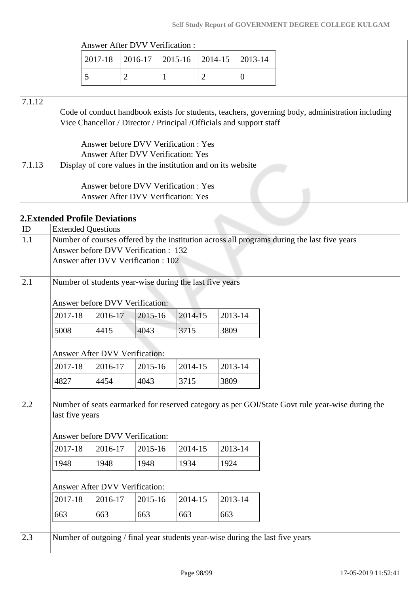|        |   |         | Answer After DVV Verification :           |              |                                                                      |          |                                                                                                  |  |
|--------|---|---------|-------------------------------------------|--------------|----------------------------------------------------------------------|----------|--------------------------------------------------------------------------------------------------|--|
|        |   | 2017-18 | 2016-17                                   | $2015 - 16$  | 2014-15                                                              | 2013-14  |                                                                                                  |  |
|        | 5 |         | $\overline{2}$                            | $\mathbf{1}$ | 2                                                                    | $\theta$ |                                                                                                  |  |
| 7.1.12 |   |         |                                           |              |                                                                      |          |                                                                                                  |  |
|        |   |         |                                           |              |                                                                      |          | Code of conduct handbook exists for students, teachers, governing body, administration including |  |
|        |   |         |                                           |              | Vice Chancellor / Director / Principal / Officials and support staff |          |                                                                                                  |  |
|        |   |         | Answer before DVV Verification : Yes      |              |                                                                      |          |                                                                                                  |  |
|        |   |         | <b>Answer After DVV Verification: Yes</b> |              |                                                                      |          |                                                                                                  |  |
| 7.1.13 |   |         |                                           |              | Display of core values in the institution and on its website         |          |                                                                                                  |  |
|        |   |         |                                           |              |                                                                      |          |                                                                                                  |  |
|        |   |         | Answer before DVV Verification : Yes      |              |                                                                      |          |                                                                                                  |  |
|        |   |         | <b>Answer After DVV Verification: Yes</b> |              |                                                                      |          |                                                                                                  |  |

## **2.Extended Profile Deviations**

| ID  | <b>Extended Questions</b> |                                                                            |         |         |         |                                                                                                 |
|-----|---------------------------|----------------------------------------------------------------------------|---------|---------|---------|-------------------------------------------------------------------------------------------------|
| 1.1 |                           | Answer before DVV Verification : 132<br>Answer after DVV Verification: 102 |         |         |         | Number of courses offered by the institution across all programs during the last five years     |
|     |                           |                                                                            |         |         |         |                                                                                                 |
| 2.1 |                           | Number of students year-wise during the last five years                    |         |         |         |                                                                                                 |
|     |                           | Answer before DVV Verification:                                            |         |         |         |                                                                                                 |
|     | 2017-18                   | 2016-17                                                                    | 2015-16 | 2014-15 | 2013-14 |                                                                                                 |
|     | 5008                      | 4415                                                                       | 4043    | 3715    | 3809    |                                                                                                 |
|     |                           | <b>Answer After DVV Verification:</b>                                      |         |         |         |                                                                                                 |
|     | 2017-18                   | 2016-17                                                                    | 2015-16 | 2014-15 | 2013-14 |                                                                                                 |
|     | 4827                      | 4454                                                                       | 4043    | 3715    | 3809    |                                                                                                 |
|     |                           |                                                                            |         |         |         |                                                                                                 |
| 2.2 | last five years           |                                                                            |         |         |         | Number of seats earmarked for reserved category as per GOI/State Govt rule year-wise during the |
|     |                           |                                                                            |         |         |         |                                                                                                 |
|     |                           | Answer before DVV Verification:                                            |         |         |         |                                                                                                 |
|     | 2017-18                   | 2016-17                                                                    | 2015-16 | 2014-15 | 2013-14 |                                                                                                 |
|     | 1948                      | 1948                                                                       | 1948    | 1934    | 1924    |                                                                                                 |
|     |                           | Answer After DVV Verification:                                             |         |         |         |                                                                                                 |
|     | 2017-18                   | 2016-17                                                                    | 2015-16 | 2014-15 | 2013-14 |                                                                                                 |
|     | 663                       | 663                                                                        | 663     | 663     | 663     |                                                                                                 |
| 2.3 |                           |                                                                            |         |         |         | Number of outgoing / final year students year-wise during the last five years                   |